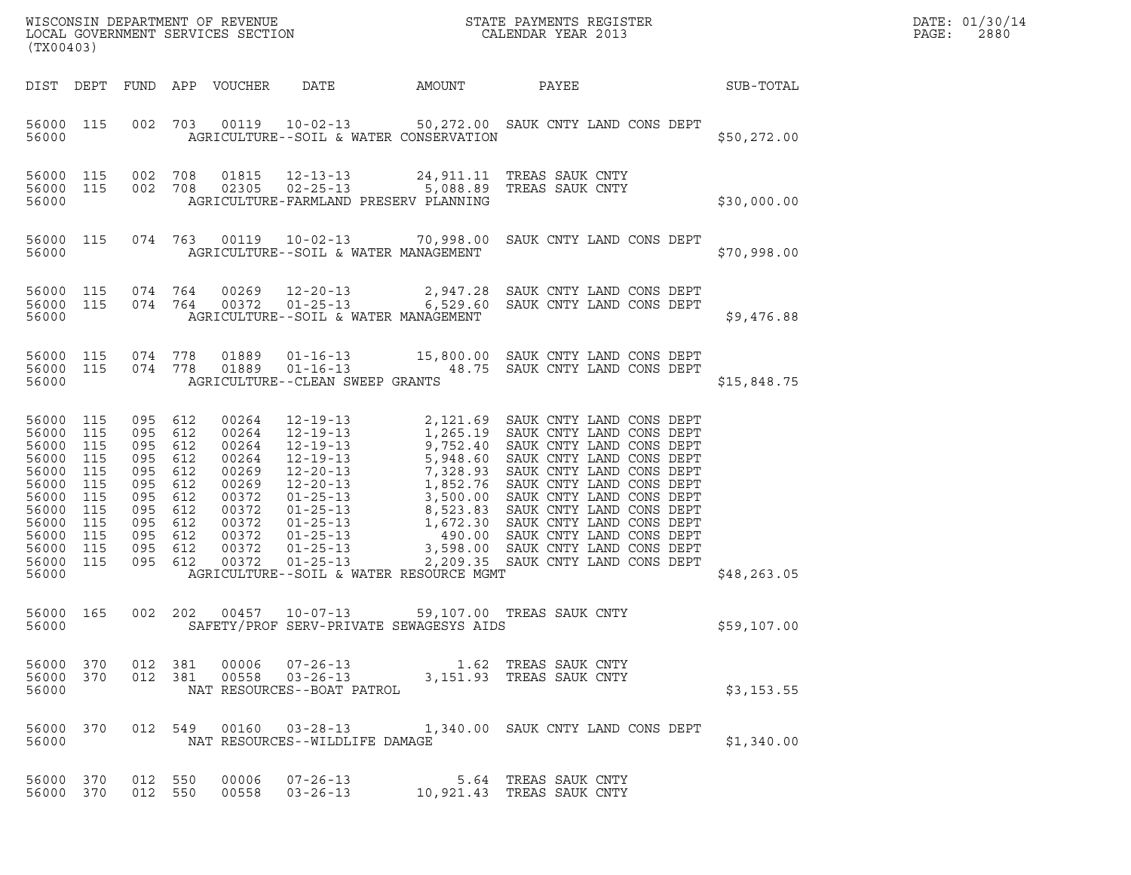| DATE: | 01/30/14 |
|-------|----------|
| PAGE: | 2880     |

| (TX00403)                                                                                                        |                                                                    |                                                                                                                      |                   |                                                                                                          |                                                           |        | ${\tt WISCONSIN} \begin{tabular}{l} DEPARTMENT OF REVIEW \\ LOCAL GOVERIMENT S ERVICES SECTION \\ \end{tabular}$ |              | DATE: 01/30/14<br>PAGE:<br>2880 |
|------------------------------------------------------------------------------------------------------------------|--------------------------------------------------------------------|----------------------------------------------------------------------------------------------------------------------|-------------------|----------------------------------------------------------------------------------------------------------|-----------------------------------------------------------|--------|------------------------------------------------------------------------------------------------------------------|--------------|---------------------------------|
|                                                                                                                  |                                                                    |                                                                                                                      |                   | DIST DEPT FUND APP VOUCHER                                                                               | DATE                                                      | AMOUNT | PAYEE                                                                                                            | SUB-TOTAL    |                                 |
| 56000 115<br>56000                                                                                               |                                                                    |                                                                                                                      |                   |                                                                                                          | AGRICULTURE--SOIL & WATER CONSERVATION                    |        | 002 703 00119 10-02-13 50,272.00 SAUK CNTY LAND CONS DEPT                                                        | \$50,272.00  |                                 |
| 56000 115<br>56000 115<br>56000                                                                                  |                                                                    | 002 708<br>002 708                                                                                                   |                   | 01815<br>02305                                                                                           | $12 - 13 - 13$<br>AGRICULTURE-FARMLAND PRESERV PLANNING   |        | 24,911.11 TREAS SAUK CNTY<br>02-25-13 5,088.89 TREAS SAUK CNTY                                                   | \$30,000.00  |                                 |
| 56000 115<br>56000                                                                                               |                                                                    |                                                                                                                      |                   |                                                                                                          | AGRICULTURE--SOIL & WATER MANAGEMENT                      |        | 074  763  00119  10-02-13  70,998.00  SAUK CNTY LAND CONS DEPT                                                   | \$70,998.00  |                                 |
| 56000 115<br>56000 115<br>56000                                                                                  |                                                                    | 074 764<br>074 764                                                                                                   |                   | 00269<br>00372                                                                                           | AGRICULTURE--SOIL & WATER MANAGEMENT                      |        | $12 - 20 - 13$ 2, 947.28 SAUK CNTY LAND CONS DEPT<br>01-25-13 6,529.60 SAUK CNTY LAND CONS DEPT                  | \$9,476.88   |                                 |
| 56000 115<br>56000 115<br>56000                                                                                  |                                                                    | 074 778<br>074 778                                                                                                   |                   | 01889<br>01889                                                                                           | $01 - 16 - 13$<br>AGRICULTURE--CLEAN SWEEP GRANTS         |        | 01-16-13 15,800.00 SAUK CNTY LAND CONS DEPT<br>48.75 SAUK CNTY LAND CONS DEPT                                    | \$15,848.75  |                                 |
| 56000 115<br>56000<br>56000<br>56000<br>56000<br>56000<br>56000<br>56000<br>56000<br>56000<br>56000<br>56000 115 | 115<br>115<br>115<br>115<br>115<br>115<br>115<br>115<br>115<br>115 | 095 612<br>095 612<br>095<br>095 612<br>095<br>095 612<br>095<br>095 612<br>095 612<br>095 612<br>095 612<br>095 612 | 612<br>612<br>612 | 00264<br>00264<br>00264<br>00264<br>00269<br>00269<br>00372<br>00372<br>00372<br>00372<br>00372<br>00372 |                                                           |        | 01-25-13 2,209.35 SAUK CNTY LAND CONS DEPT                                                                       |              |                                 |
| 56000                                                                                                            |                                                                    |                                                                                                                      |                   |                                                                                                          | AGRICULTURE--SOIL & WATER RESOURCE MGMT                   |        |                                                                                                                  | \$48, 263.05 |                                 |
| 56000 165<br>56000                                                                                               |                                                                    | 002 202                                                                                                              |                   | 00457                                                                                                    | $10 - 07 - 13$<br>SAFETY/PROF SERV-PRIVATE SEWAGESYS AIDS |        | 59,107.00 TREAS SAUK CNTY                                                                                        | \$59,107.00  |                                 |
| 56000 370<br>56000                                                                                               |                                                                    | 56000 370 012 381<br>012 381                                                                                         |                   |                                                                                                          | NAT RESOURCES--BOAT PATROL                                |        | 00558  03-26-13  3,151.93  TREAS SAUK CNTY                                                                       | \$3,153.55   |                                 |
| 56000 370<br>56000                                                                                               |                                                                    |                                                                                                                      |                   |                                                                                                          | NAT RESOURCES--WILDLIFE DAMAGE                            |        | 012 549 00160 03-28-13 1,340.00 SAUK CNTY LAND CONS DEPT                                                         | \$1,340.00   |                                 |
| 56000 370<br>56000 370                                                                                           |                                                                    | 012 550<br>012 550                                                                                                   |                   | 00006<br>00558                                                                                           | $07 - 26 - 13$<br>$03 - 26 - 13$                          |        | 5.64 TREAS SAUK CNTY<br>10,921.43 TREAS SAUK CNTY                                                                |              |                                 |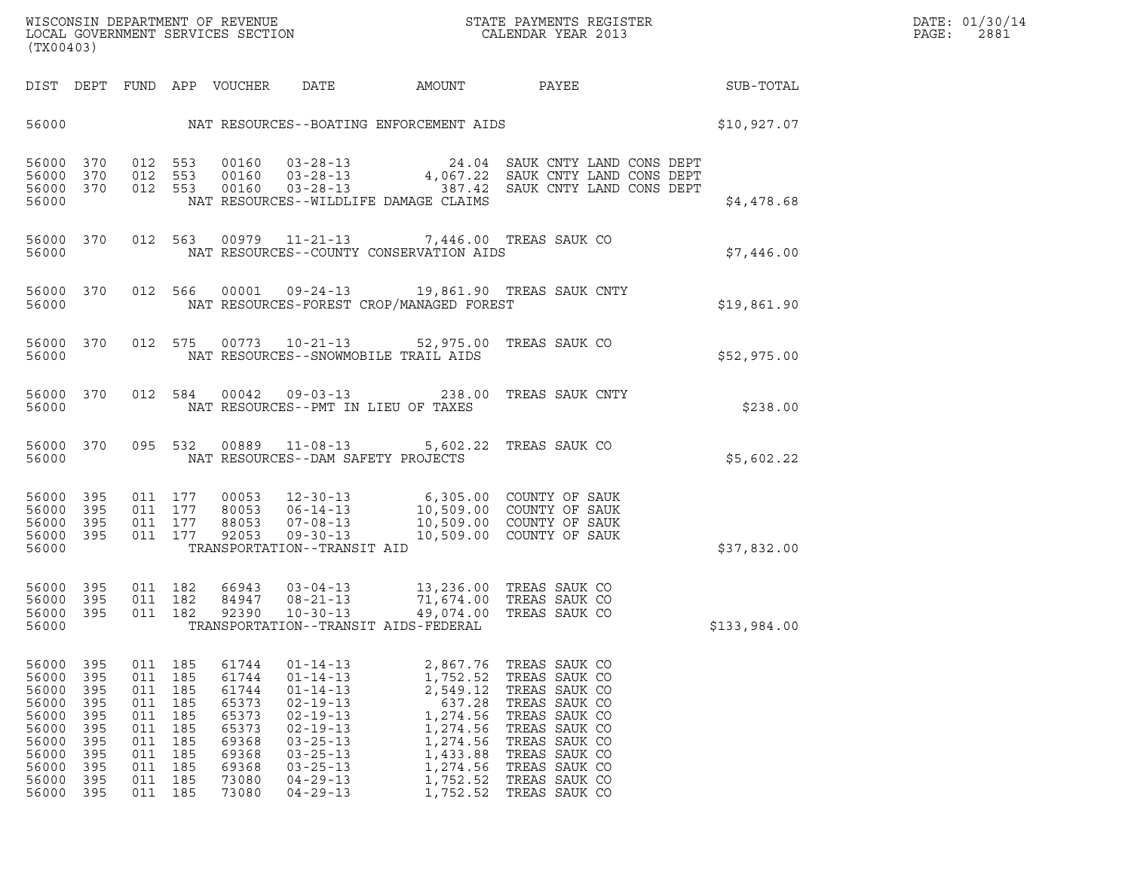| (TX00403)                                                                                           |                                                                       |                                                                                                       |                                          |                                                                                                 |                                                                                                                                                                                                    |                                                                                                                                                                          | ${\tt WISCONSIM\ DEPARTMENT\ OF\ REVENUE}\qquad \qquad {\tt STATE\ PAYMENTS\ REGISTER} \\ {\tt LOCAL\ GOVERNMENT\ SERVICES\ SECTION}\qquad \qquad {\tt CALENDAR\ YEAR\ 2013}$                                                                                    |                                                           | DATE: 01/30/14<br>PAGE:<br>2881 |
|-----------------------------------------------------------------------------------------------------|-----------------------------------------------------------------------|-------------------------------------------------------------------------------------------------------|------------------------------------------|-------------------------------------------------------------------------------------------------|----------------------------------------------------------------------------------------------------------------------------------------------------------------------------------------------------|--------------------------------------------------------------------------------------------------------------------------------------------------------------------------|------------------------------------------------------------------------------------------------------------------------------------------------------------------------------------------------------------------------------------------------------------------|-----------------------------------------------------------|---------------------------------|
|                                                                                                     |                                                                       |                                                                                                       |                                          |                                                                                                 |                                                                                                                                                                                                    |                                                                                                                                                                          |                                                                                                                                                                                                                                                                  |                                                           |                                 |
|                                                                                                     |                                                                       |                                                                                                       |                                          |                                                                                                 |                                                                                                                                                                                                    |                                                                                                                                                                          |                                                                                                                                                                                                                                                                  | 56000 SHO, 927.07 NAT RESOURCES--BOATING ENFORCEMENT AIDS |                                 |
| 56000 370<br>56000 370<br>56000 370<br>56000                                                        |                                                                       |                                                                                                       |                                          |                                                                                                 |                                                                                                                                                                                                    | NAT RESOURCES--WILDLIFE DAMAGE CLAIMS                                                                                                                                    | $\begin{array}{cccc} 012 & 553 & 00160 & 03-28-13 & 24.04 & \text{SAUK CNTY LAND CONS DEPT} \\ 012 & 553 & 00160 & 03-28-13 & 4,067.22 & \text{SAUK CNTY LAND CONS DEPT} \\ 012 & 553 & 00160 & 03-28-13 & 387.42 & \text{SAUK CNTY LAND CONS DEPT} \end{array}$ | \$4,478.68                                                |                                 |
| 56000                                                                                               |                                                                       |                                                                                                       |                                          |                                                                                                 |                                                                                                                                                                                                    | 56000 370 012 563 00979 11-21-13 7,446.00 TREAS SAUK CO<br>NAT RESOURCES--COUNTY CONSERVATION AIDS                                                                       |                                                                                                                                                                                                                                                                  | \$7,446.00                                                |                                 |
| 56000                                                                                               |                                                                       |                                                                                                       |                                          |                                                                                                 |                                                                                                                                                                                                    | 56000 370 012 566 00001 09-24-13 19,861.90 TREAS SAUK CNTY<br>NAT RESOURCES-FOREST CROP/MANAGED FOREST                                                                   |                                                                                                                                                                                                                                                                  | \$19,861.90                                               |                                 |
| 56000                                                                                               |                                                                       |                                                                                                       |                                          |                                                                                                 |                                                                                                                                                                                                    | 56000 370 012 575 00773 10-21-13 52,975.00 TREAS SAUK CO<br>NAT RESOURCES--SNOWMOBILE TRAIL AIDS                                                                         |                                                                                                                                                                                                                                                                  | \$52,975.00                                               |                                 |
| 56000                                                                                               |                                                                       |                                                                                                       |                                          |                                                                                                 |                                                                                                                                                                                                    | 56000 370 012 584 00042 09-03-13 238.00 TREAS SAUK CNTY<br>NAT RESOURCES--PMT IN LIEU OF TAXES                                                                           |                                                                                                                                                                                                                                                                  | \$238.00                                                  |                                 |
| 56000                                                                                               |                                                                       |                                                                                                       |                                          |                                                                                                 |                                                                                                                                                                                                    | 56000 370 095 532 00889 11-08-13 5,602.22 TREAS SAUK CO<br>NAT RESOURCES--DAM SAFETY PROJECTS                                                                            |                                                                                                                                                                                                                                                                  | \$5,602.22                                                |                                 |
| 56000 395<br>56000 395<br>56000 395<br>56000 395<br>56000                                           |                                                                       |                                                                                                       | 011 177<br>011 177<br>011 177<br>011 177 |                                                                                                 | TRANSPORTATION--TRANSIT AID                                                                                                                                                                        |                                                                                                                                                                          |                                                                                                                                                                                                                                                                  | \$37,832.00                                               |                                 |
| 56000 395<br>56000 395<br>56000 395<br>56000                                                        |                                                                       |                                                                                                       | 011 182<br>011 182<br>011 182            |                                                                                                 |                                                                                                                                                                                                    | 66943  03-04-13  13,236.00 TREAS SAUK CO<br>84947  08-21-13  71,674.00 TREAS SAUK CO<br>92390  10-30-13  49,074.00 TREAS SAUK CO<br>TRANSPORTATION--TRANSIT AIDS-FEDERAL |                                                                                                                                                                                                                                                                  | \$133,984.00                                              |                                 |
| 56000 395<br>56000<br>56000<br>56000<br>56000<br>56000<br>56000<br>56000<br>56000<br>56000<br>56000 | 395<br>395<br>395<br>395<br>395<br>395<br>395<br>395<br>-395<br>- 395 | 011 185<br>011<br>011<br>011<br>011 185<br>011<br>011 185<br>011 185<br>011 185<br>011 185<br>011 185 | 185<br>185<br>185<br>185                 | 61744<br>61744<br>61744<br>65373<br>65373<br>65373<br>69368<br>69368<br>69368<br>73080<br>73080 | $01 - 14 - 13$<br>$01 - 14 - 13$<br>$01 - 14 - 13$<br>$02 - 19 - 13$<br>$02 - 19 - 13$<br>$02 - 19 - 13$<br>$03 - 25 - 13$<br>$03 - 25 - 13$<br>$03 - 25 - 13$<br>$04 - 29 - 13$<br>$04 - 29 - 13$ | 2,867.76<br>1,752.52<br>2,549.12<br>637.28<br>1,274.56<br>1,274.56<br>1,274.56<br>1,433.88<br>1,274.56<br>1,752.52<br>1,752.52                                           | TREAS SAUK CO<br>TREAS SAUK CO<br>TREAS SAUK CO<br>TREAS SAUK CO<br>TREAS SAUK CO<br>TREAS SAUK CO<br>TREAS SAUK CO<br>TREAS SAUK CO<br>TREAS SAUK CO<br>TREAS SAUK CO<br>TREAS SAUK CO                                                                          |                                                           |                                 |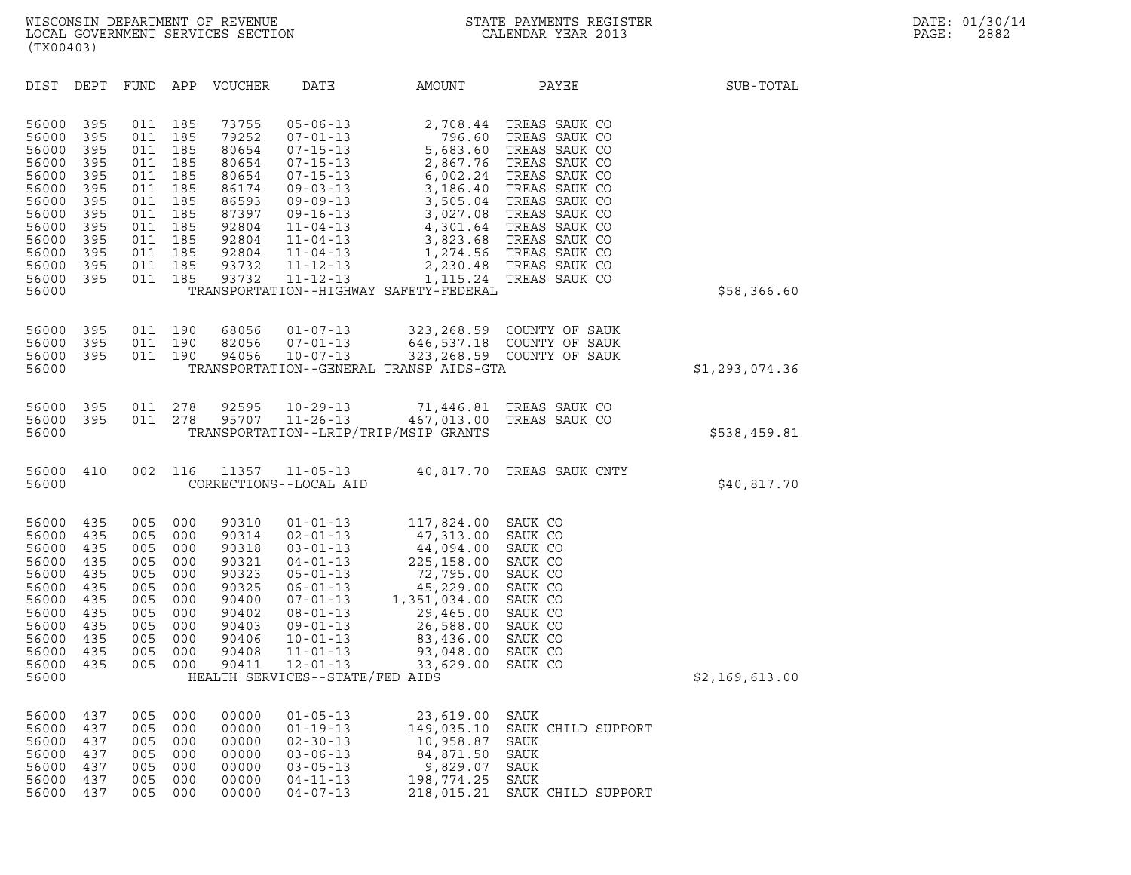| (TX00403)                                                                                                                  |                                                                                         |                                                                                         |                                                                                         |                                                                                                                   |                                                                                                                                                                                                                                             |                                                                                                                                                               |                                                                                                                                                                                                                                                               |                |  |
|----------------------------------------------------------------------------------------------------------------------------|-----------------------------------------------------------------------------------------|-----------------------------------------------------------------------------------------|-----------------------------------------------------------------------------------------|-------------------------------------------------------------------------------------------------------------------|---------------------------------------------------------------------------------------------------------------------------------------------------------------------------------------------------------------------------------------------|---------------------------------------------------------------------------------------------------------------------------------------------------------------|---------------------------------------------------------------------------------------------------------------------------------------------------------------------------------------------------------------------------------------------------------------|----------------|--|
| DIST                                                                                                                       | DEPT                                                                                    | FUND APP                                                                                |                                                                                         | VOUCHER                                                                                                           | DATE                                                                                                                                                                                                                                        | AMOUNT                                                                                                                                                        | PAYEE                                                                                                                                                                                                                                                         | SUB-TOTAL      |  |
| 56000<br>56000<br>56000<br>56000<br>56000<br>56000<br>56000<br>56000<br>56000<br>56000<br>56000<br>56000<br>56000<br>56000 | 395<br>395<br>395<br>395<br>395<br>395<br>395<br>395<br>395<br>395<br>395<br>395<br>395 | 011<br>011<br>011<br>011<br>011<br>011<br>011<br>011<br>011<br>011<br>011<br>011<br>011 | 185<br>185<br>185<br>185<br>185<br>185<br>185<br>185<br>185<br>185<br>185<br>185<br>185 | 73755<br>79252<br>80654<br>80654<br>80654<br>86174<br>86593<br>87397<br>92804<br>92804<br>92804<br>93732<br>93732 | $05 - 06 - 13$<br>$07 - 01 - 13$<br>$07 - 15 - 13$<br>$07 - 15 - 13$<br>$07 - 15 - 13$<br>$09 - 03 - 13$<br>$09 - 09 - 13$<br>$09 - 16 - 13$<br>$11 - 04 - 13$<br>$11 - 04 - 13$<br>$11 - 04 - 13$<br>$11 - 12 - 13$<br>$11 - 12 - 13$      | 2,708.44<br>796.60<br>5,683.60<br>2,867.76<br>6,002.24<br>3,186.40<br>3,505.04<br>3,027.08<br>3,823.68<br>TRANSPORTATION--HIGHWAY SAFETY-FEDERAL              | TREAS SAUK CO<br>TREAS SAUK CO<br>TREAS SAUK CO<br>TREAS SAUK CO<br>TREAS SAUK CO<br>TREAS SAUK CO<br>TREAS SAUK CO<br>TREAS SAUK CO<br>4,301.64 TREAS SAUK CO<br>TREAS SAUK CO<br>1,274.56 TREAS SAUK CO<br>2,230.48 TREAS SAUK CO<br>1,115.24 TREAS SAUK CO | \$58,366.60    |  |
| 56000<br>56000<br>56000<br>56000                                                                                           | 395<br>395<br>395                                                                       | 011<br>011<br>011                                                                       | 190<br>190<br>190                                                                       | 68056<br>82056<br>94056                                                                                           | $01 - 07 - 13$<br>$07 - 01 - 13$<br>$10 - 07 - 13$                                                                                                                                                                                          | TRANSPORTATION--GENERAL TRANSP AIDS-GTA                                                                                                                       | 323, 268.59 COUNTY OF SAUK<br>646,537.18 COUNTY OF SAUK<br>323, 268.59 COUNTY OF SAUK                                                                                                                                                                         | \$1,293,074.36 |  |
| 56000<br>56000<br>56000                                                                                                    | 395<br>395                                                                              | 011<br>011                                                                              | 278<br>278                                                                              | 92595<br>95707                                                                                                    | $10 - 29 - 13$<br>$11 - 26 - 13$                                                                                                                                                                                                            | 71,446.81<br>467,013.00<br>TRANSPORTATION--LRIP/TRIP/MSIP GRANTS                                                                                              | TREAS SAUK CO<br>TREAS SAUK CO                                                                                                                                                                                                                                | \$538,459.81   |  |
| 56000<br>56000                                                                                                             | 410                                                                                     | 002                                                                                     | 116                                                                                     | 11357                                                                                                             | $11 - 05 - 13$<br>CORRECTIONS--LOCAL AID                                                                                                                                                                                                    |                                                                                                                                                               | 40,817.70 TREAS SAUK CNTY                                                                                                                                                                                                                                     | \$40,817.70    |  |
| 56000<br>56000<br>56000<br>56000<br>56000<br>56000<br>56000<br>56000<br>56000<br>56000<br>56000<br>56000<br>56000          | 435<br>435<br>435<br>435<br>435<br>435<br>435<br>435<br>435<br>435<br>435<br>435        | 005<br>005<br>005<br>005<br>005<br>005<br>005<br>005<br>005<br>005<br>005<br>005        | 000<br>000<br>000<br>000<br>000<br>000<br>000<br>000<br>000<br>000<br>000<br>000        | 90310<br>90314<br>90318<br>90321<br>90323<br>90325<br>90400<br>90402<br>90403<br>90406<br>90408<br>90411          | $01 - 01 - 13$<br>$02 - 01 - 13$<br>$03 - 01 - 13$<br>$04 - 01 - 13$<br>05-01-13<br>$06 - 01 - 13$<br>07-01-13<br>$08 - 01 - 13$<br>$09 - 01 - 13$<br>$10 - 01 - 13$<br>$11 - 01 - 13$<br>$12 - 01 - 13$<br>HEALTH SERVICES--STATE/FED AIDS | 117,824.00<br>47,313.00<br>44,094.00<br>225,158.00<br>72,795.00<br>45,229.00<br>1,351,034.00<br>29,465.00<br>26,588.00<br>83,436.00<br>93,048.00<br>33,629.00 | SAUK CO<br>SAUK CO<br>SAUK CO<br>SAUK CO<br>SAUK CO<br>SAUK CO<br>SAUK CO<br>SAUK CO<br>SAUK CO<br>SAUK CO<br>SAUK CO<br>SAUK CO                                                                                                                              | \$2,169,613.00 |  |
| 56000<br>56000<br>56000<br>56000<br>56000<br>56000<br>56000                                                                | 437<br>437<br>437<br>437<br>437<br>437<br>437                                           | 005<br>005<br>005<br>005<br>005<br>005<br>005                                           | 000<br>000<br>000<br>000<br>000<br>000<br>000                                           | 00000<br>00000<br>00000<br>00000<br>00000<br>00000<br>00000                                                       | $01 - 05 - 13$<br>$01 - 19 - 13$<br>$02 - 30 - 13$<br>$03 - 06 - 13$<br>$03 - 05 - 13$<br>$04 - 11 - 13$<br>$04 - 07 - 13$                                                                                                                  | 23,619.00<br>149,035.10<br>10,958.87<br>84,871.50<br>9,829.07<br>198,774.25<br>218,015.21                                                                     | SAUK<br>SAUK CHILD SUPPORT<br>SAUK<br>SAUK<br>SAUK<br>SAUK<br>SAUK CHILD SUPPORT                                                                                                                                                                              |                |  |
|                                                                                                                            |                                                                                         |                                                                                         |                                                                                         |                                                                                                                   |                                                                                                                                                                                                                                             |                                                                                                                                                               |                                                                                                                                                                                                                                                               |                |  |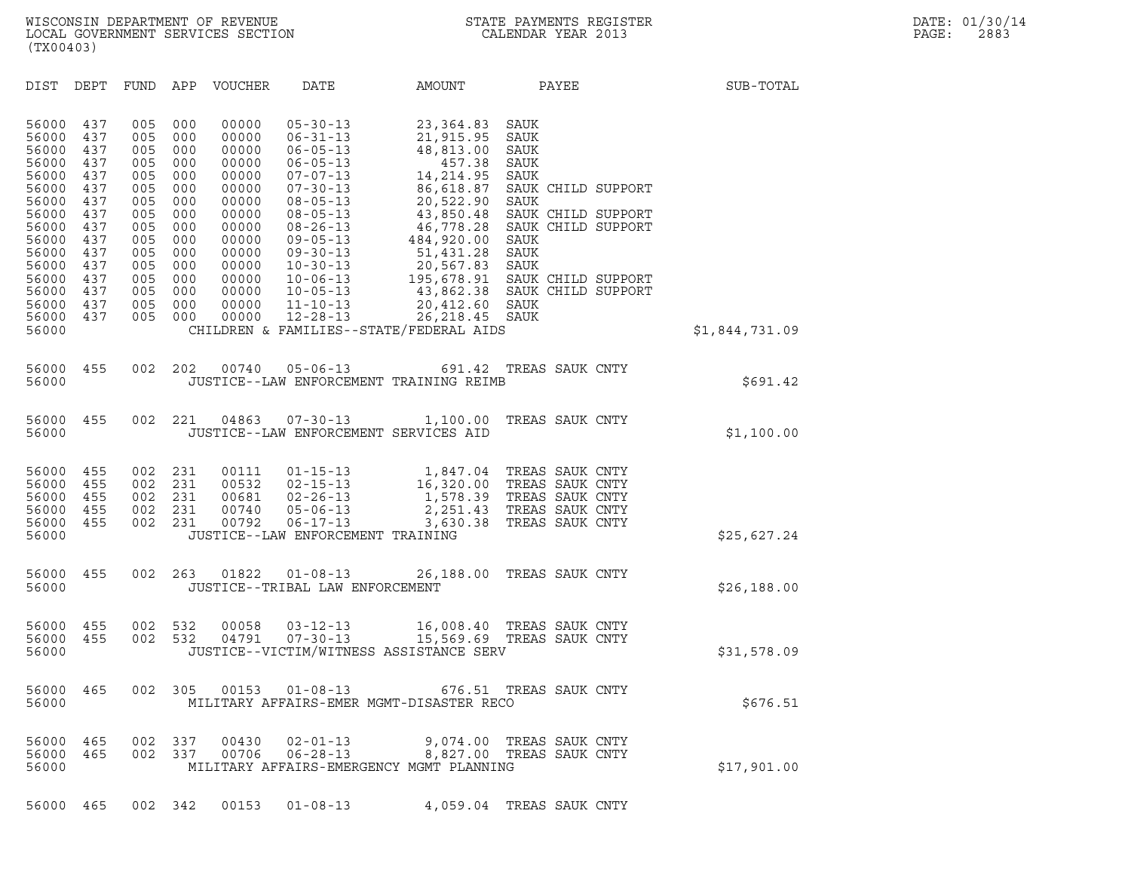| DIST<br>DEPT<br>FUND<br>APP<br>VOUCHER<br>DATE<br>PAYEE<br>SUB-TOTAL<br>AMOUNT<br>005<br>000<br>00000<br>56000<br>437<br>$05 - 30 - 13$<br>23,364.83<br>SAUK<br>56000<br>437<br>005<br>000<br>00000<br>$06 - 31 - 13$<br>21,915.95<br>SAUK<br>56000<br>437<br>005<br>000<br>00000<br>48,813.00<br>$06 - 05 - 13$<br>SAUK<br>00000<br>56000<br>437<br>005<br>000<br>457.38<br>SAUK<br>$06 - 05 - 13$<br>56000<br>437<br>005<br>000<br>00000<br>$07 - 07 - 13$<br>14,214.95<br>SAUK<br>56000<br>005<br>86,618.87<br>437<br>000<br>00000<br>$07 - 30 - 13$<br>SAUK CHILD SUPPORT<br>56000<br>437<br>005<br>000<br>00000<br>20,522.90<br>$08 - 05 - 13$<br>SAUK<br>005<br>56000<br>437<br>000<br>00000<br>$08 - 05 - 13$<br>43,850.48<br>SAUK CHILD SUPPORT<br>56000<br>437<br>005<br>000<br>00000<br>46,778.28<br>SAUK CHILD SUPPORT<br>$08 - 26 - 13$<br>56000<br>437<br>005<br>000<br>00000<br>$09 - 05 - 13$<br>484,920.00<br>SAUK<br>51,431.28<br>56000<br>437<br>005<br>000<br>00000<br>SAUK<br>$09 - 30 - 13$<br>20,567.83<br>56000<br>437<br>005<br>000<br>00000<br>$10 - 30 - 13$<br>SAUK<br>56000<br>437<br>005<br>000<br>00000<br>$10 - 06 - 13$<br>195,678.91<br>SAUK CHILD SUPPORT<br>43,862.38<br>56000<br>437<br>005<br>000<br>00000<br>$10 - 05 - 13$<br>SAUK CHILD SUPPORT<br>56000<br>437<br>005<br>20,412.60<br>000<br>00000<br>$11 - 10 - 13$<br>SAUK<br>$12 - 28 - 13$<br>26, 218.45<br>56000<br>437<br>005<br>00000<br>SAUK<br>000<br>56000<br>CHILDREN & FAMILIES--STATE/FEDERAL AIDS<br>\$1,844,731.09<br>002<br>202<br>56000<br>455<br>00740<br>$05 - 06 - 13$<br>691.42<br>TREAS SAUK CNTY<br>56000<br>JUSTICE--LAW ENFORCEMENT TRAINING REIMB<br>\$691.42<br>002<br>221<br>04863<br>56000<br>455<br>$07 - 30 - 13$<br>1,100.00<br>TREAS SAUK CNTY<br>56000<br>JUSTICE--LAW ENFORCEMENT SERVICES AID<br>\$1,100.00<br>455<br>002<br>231<br>00111<br>TREAS SAUK CNTY<br>56000<br>$01 - 15 - 13$<br>1,847.04<br>56000<br>455<br>002<br>231<br>00532<br>$02 - 15 - 13$<br>16,320.00<br>TREAS SAUK CNTY<br>56000<br>455<br>002<br>231<br>00681<br>$02 - 26 - 13$<br>1,578.39<br>TREAS SAUK CNTY<br>56000<br>455<br>002<br>231<br>00740<br>$05 - 06 - 13$<br>2,251.43<br>TREAS SAUK CNTY<br>56000<br>00792<br>$06 - 17 - 13$<br>TREAS SAUK CNTY<br>455<br>002<br>231<br>3,630.38<br>56000<br>JUSTICE--LAW ENFORCEMENT TRAINING<br>\$25,627.24<br>002<br>01822<br>56000<br>455<br>263<br>$01 - 08 - 13$<br>26,188.00<br>TREAS SAUK CNTY<br>56000<br>JUSTICE--TRIBAL LAW ENFORCEMENT<br>\$26,188.00<br>002<br>532<br>00058<br>TREAS SAUK CNTY<br>56000<br>455<br>$03 - 12 - 13$<br>16,008.40<br>56000<br>455<br>002<br>532<br>04791<br>$07 - 30 - 13$<br>15,569.69 TREAS SAUK CNTY<br>56000<br>JUSTICE--VICTIM/WITNESS ASSISTANCE SERV<br>\$31,578.09<br>002<br>305<br>00153<br>56000<br>465<br>$01 - 08 - 13$<br>676.51<br>TREAS SAUK CNTY<br>MILITARY AFFAIRS-EMER MGMT-DISASTER RECO<br>56000<br>\$676.51<br>56000<br>00430<br>$02 - 01 - 13$<br>465<br>002<br>337<br>9,074.00<br>TREAS SAUK CNTY<br>337<br>$06 - 28 - 13$<br>8,827.00<br>TREAS SAUK CNTY<br>56000<br>465<br>002<br>00706<br>56000<br>MILITARY AFFAIRS-EMERGENCY MGMT PLANNING<br>\$17,901.00 | (TX00403) |  |  |  |  |
|---------------------------------------------------------------------------------------------------------------------------------------------------------------------------------------------------------------------------------------------------------------------------------------------------------------------------------------------------------------------------------------------------------------------------------------------------------------------------------------------------------------------------------------------------------------------------------------------------------------------------------------------------------------------------------------------------------------------------------------------------------------------------------------------------------------------------------------------------------------------------------------------------------------------------------------------------------------------------------------------------------------------------------------------------------------------------------------------------------------------------------------------------------------------------------------------------------------------------------------------------------------------------------------------------------------------------------------------------------------------------------------------------------------------------------------------------------------------------------------------------------------------------------------------------------------------------------------------------------------------------------------------------------------------------------------------------------------------------------------------------------------------------------------------------------------------------------------------------------------------------------------------------------------------------------------------------------------------------------------------------------------------------------------------------------------------------------------------------------------------------------------------------------------------------------------------------------------------------------------------------------------------------------------------------------------------------------------------------------------------------------------------------------------------------------------------------------------------------------------------------------------------------------------------------------------------------------------------------------------------------------------------------------------------------------------------------------------------------------------------------------------------------------------------------------------------------------------------------------------------------------------------------------------------------------------------------------------------------------------------------------------------------------------------------------------------------------------------------------------------------------------------------------------------------------|-----------|--|--|--|--|
|                                                                                                                                                                                                                                                                                                                                                                                                                                                                                                                                                                                                                                                                                                                                                                                                                                                                                                                                                                                                                                                                                                                                                                                                                                                                                                                                                                                                                                                                                                                                                                                                                                                                                                                                                                                                                                                                                                                                                                                                                                                                                                                                                                                                                                                                                                                                                                                                                                                                                                                                                                                                                                                                                                                                                                                                                                                                                                                                                                                                                                                                                                                                                                                 |           |  |  |  |  |
|                                                                                                                                                                                                                                                                                                                                                                                                                                                                                                                                                                                                                                                                                                                                                                                                                                                                                                                                                                                                                                                                                                                                                                                                                                                                                                                                                                                                                                                                                                                                                                                                                                                                                                                                                                                                                                                                                                                                                                                                                                                                                                                                                                                                                                                                                                                                                                                                                                                                                                                                                                                                                                                                                                                                                                                                                                                                                                                                                                                                                                                                                                                                                                                 |           |  |  |  |  |
|                                                                                                                                                                                                                                                                                                                                                                                                                                                                                                                                                                                                                                                                                                                                                                                                                                                                                                                                                                                                                                                                                                                                                                                                                                                                                                                                                                                                                                                                                                                                                                                                                                                                                                                                                                                                                                                                                                                                                                                                                                                                                                                                                                                                                                                                                                                                                                                                                                                                                                                                                                                                                                                                                                                                                                                                                                                                                                                                                                                                                                                                                                                                                                                 |           |  |  |  |  |
|                                                                                                                                                                                                                                                                                                                                                                                                                                                                                                                                                                                                                                                                                                                                                                                                                                                                                                                                                                                                                                                                                                                                                                                                                                                                                                                                                                                                                                                                                                                                                                                                                                                                                                                                                                                                                                                                                                                                                                                                                                                                                                                                                                                                                                                                                                                                                                                                                                                                                                                                                                                                                                                                                                                                                                                                                                                                                                                                                                                                                                                                                                                                                                                 |           |  |  |  |  |
|                                                                                                                                                                                                                                                                                                                                                                                                                                                                                                                                                                                                                                                                                                                                                                                                                                                                                                                                                                                                                                                                                                                                                                                                                                                                                                                                                                                                                                                                                                                                                                                                                                                                                                                                                                                                                                                                                                                                                                                                                                                                                                                                                                                                                                                                                                                                                                                                                                                                                                                                                                                                                                                                                                                                                                                                                                                                                                                                                                                                                                                                                                                                                                                 |           |  |  |  |  |
|                                                                                                                                                                                                                                                                                                                                                                                                                                                                                                                                                                                                                                                                                                                                                                                                                                                                                                                                                                                                                                                                                                                                                                                                                                                                                                                                                                                                                                                                                                                                                                                                                                                                                                                                                                                                                                                                                                                                                                                                                                                                                                                                                                                                                                                                                                                                                                                                                                                                                                                                                                                                                                                                                                                                                                                                                                                                                                                                                                                                                                                                                                                                                                                 |           |  |  |  |  |
|                                                                                                                                                                                                                                                                                                                                                                                                                                                                                                                                                                                                                                                                                                                                                                                                                                                                                                                                                                                                                                                                                                                                                                                                                                                                                                                                                                                                                                                                                                                                                                                                                                                                                                                                                                                                                                                                                                                                                                                                                                                                                                                                                                                                                                                                                                                                                                                                                                                                                                                                                                                                                                                                                                                                                                                                                                                                                                                                                                                                                                                                                                                                                                                 |           |  |  |  |  |
|                                                                                                                                                                                                                                                                                                                                                                                                                                                                                                                                                                                                                                                                                                                                                                                                                                                                                                                                                                                                                                                                                                                                                                                                                                                                                                                                                                                                                                                                                                                                                                                                                                                                                                                                                                                                                                                                                                                                                                                                                                                                                                                                                                                                                                                                                                                                                                                                                                                                                                                                                                                                                                                                                                                                                                                                                                                                                                                                                                                                                                                                                                                                                                                 |           |  |  |  |  |
|                                                                                                                                                                                                                                                                                                                                                                                                                                                                                                                                                                                                                                                                                                                                                                                                                                                                                                                                                                                                                                                                                                                                                                                                                                                                                                                                                                                                                                                                                                                                                                                                                                                                                                                                                                                                                                                                                                                                                                                                                                                                                                                                                                                                                                                                                                                                                                                                                                                                                                                                                                                                                                                                                                                                                                                                                                                                                                                                                                                                                                                                                                                                                                                 |           |  |  |  |  |
|                                                                                                                                                                                                                                                                                                                                                                                                                                                                                                                                                                                                                                                                                                                                                                                                                                                                                                                                                                                                                                                                                                                                                                                                                                                                                                                                                                                                                                                                                                                                                                                                                                                                                                                                                                                                                                                                                                                                                                                                                                                                                                                                                                                                                                                                                                                                                                                                                                                                                                                                                                                                                                                                                                                                                                                                                                                                                                                                                                                                                                                                                                                                                                                 |           |  |  |  |  |

56000 465 002 342 00153 01-08-13 4,059.04 TREAS SAUK CNTY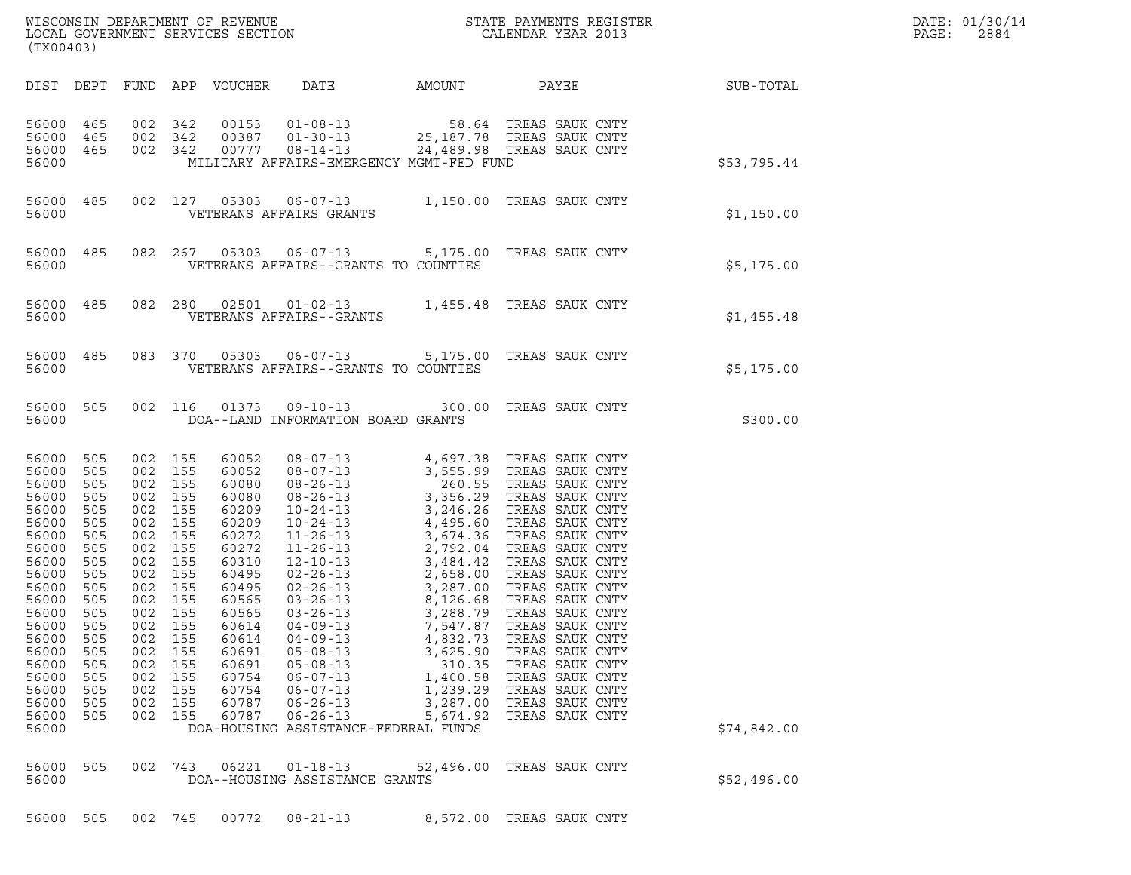| (TX00403)                                                                                                                                                                                                  |                                                                                                                                   |                                                                                                                                                                                                         |                                               |                                                                                                                                                                                           |                                                                                                                                                                                      |                                                                                            |                                                                                                                                                                                             |                                                        | DATE: 01/30/14<br>PAGE:<br>2884 |
|------------------------------------------------------------------------------------------------------------------------------------------------------------------------------------------------------------|-----------------------------------------------------------------------------------------------------------------------------------|---------------------------------------------------------------------------------------------------------------------------------------------------------------------------------------------------------|-----------------------------------------------|-------------------------------------------------------------------------------------------------------------------------------------------------------------------------------------------|--------------------------------------------------------------------------------------------------------------------------------------------------------------------------------------|--------------------------------------------------------------------------------------------|---------------------------------------------------------------------------------------------------------------------------------------------------------------------------------------------|--------------------------------------------------------|---------------------------------|
|                                                                                                                                                                                                            |                                                                                                                                   |                                                                                                                                                                                                         |                                               |                                                                                                                                                                                           |                                                                                                                                                                                      |                                                                                            |                                                                                                                                                                                             | DIST DEPT FUND APP VOUCHER DATE AMOUNT PAYEE SUB-TOTAL |                                 |
| 56000 465<br>56000<br>56000 465 002 342<br>56000                                                                                                                                                           | 465                                                                                                                               | 002 342<br>002 342                                                                                                                                                                                      |                                               |                                                                                                                                                                                           |                                                                                                                                                                                      | MILITARY AFFAIRS-EMERGENCY MGMT-FED FUND                                                   |                                                                                                                                                                                             | \$53,795.44                                            |                                 |
|                                                                                                                                                                                                            |                                                                                                                                   |                                                                                                                                                                                                         |                                               |                                                                                                                                                                                           |                                                                                                                                                                                      |                                                                                            |                                                                                                                                                                                             | \$1,150.00                                             |                                 |
| 56000                                                                                                                                                                                                      |                                                                                                                                   |                                                                                                                                                                                                         |                                               |                                                                                                                                                                                           | VETERANS AFFAIRS--GRANTS TO COUNTIES                                                                                                                                                 |                                                                                            | 56000 485 082 267 05303 06-07-13 5,175.00 TREAS SAUK CNTY                                                                                                                                   | \$5,175.00                                             |                                 |
|                                                                                                                                                                                                            |                                                                                                                                   |                                                                                                                                                                                                         |                                               |                                                                                                                                                                                           |                                                                                                                                                                                      |                                                                                            | $\begin{tabular}{lllllll} 56000& 485& 082& 280& 02501& 01-02-13& 1,455.48 \end{tabular} \begin{tabular}{lllllll} 1,455.48 & TREAS SAUK CNTY \\ & VETERANS AFFAIRS--GRANTS \\ \end{tabular}$ | \$1,455.48                                             |                                 |
| 56000                                                                                                                                                                                                      |                                                                                                                                   |                                                                                                                                                                                                         |                                               |                                                                                                                                                                                           | VETERANS AFFAIRS--GRANTS TO COUNTIES                                                                                                                                                 |                                                                                            | 56000 485 083 370 05303 06-07-13 5,175.00 TREAS SAUK CNTY                                                                                                                                   | \$5,175.00                                             |                                 |
| 56000                                                                                                                                                                                                      |                                                                                                                                   |                                                                                                                                                                                                         |                                               |                                                                                                                                                                                           | DOA--LAND INFORMATION BOARD GRANTS                                                                                                                                                   |                                                                                            | 56000 505 002 116 01373 09-10-13 300.00 TREAS SAUK CNTY                                                                                                                                     | \$300.00                                               |                                 |
| 56000 505<br>56000<br>56000<br>56000<br>56000<br>56000<br>56000<br>56000<br>56000<br>56000<br>56000<br>56000<br>56000 505<br>56000<br>56000<br>56000<br>56000<br>56000<br>56000<br>56000<br>56000<br>56000 | 505<br>505<br>505<br>505<br>505<br>505<br>505<br>505<br>505<br>505<br>505<br>505<br>505<br>505<br>505<br>505<br>505<br>505<br>505 | 002 155<br>002 155<br>002 155<br>002 155<br>002 155<br>002 155<br>002 155<br>002 155<br>002 155<br>002 155<br>002 155<br>002 155<br>002 155<br>002<br>002<br>002<br>002<br>002<br>002<br>002<br>002 155 | 155<br>155<br>155<br>155<br>155<br>155<br>155 | 60052<br>60052<br>60080<br>60080<br>60209<br>60209<br>60272<br>60272<br>60310<br>60495<br>60495<br>60565<br>60565<br>60614<br>60614<br>60691<br>60691<br>60754<br>60754<br>60787<br>60787 | $04 - 09 - 13$<br>$04 - 09 - 13$<br>$05 - 08 - 13$<br>$05 - 08 - 13$<br>$06 - 07 - 13$<br>$06 - 07 - 13$<br>$06 - 26 - 13$<br>$06 - 26 - 13$<br>DOA-HOUSING ASSISTANCE-FEDERAL FUNDS | 7,547.87<br>4,832.73<br>3,625.90<br>310.35<br>1,400.58<br>1,239.29<br>3,287.00<br>5,674.92 | TREAS SAUK CNTY<br>TREAS SAUK CNTY<br>TREAS SAUK CNTY<br>TREAS SAUK CNTY<br>TREAS SAUK CNTY<br>TREAS SAUK CNTY<br>TREAS SAUK CNTY<br>TREAS SAUK CNTY                                        | \$74,842.00                                            |                                 |
| 56000<br>56000                                                                                                                                                                                             | 505                                                                                                                               | 002                                                                                                                                                                                                     | 743                                           | 06221                                                                                                                                                                                     | $01 - 18 - 13$<br>DOA--HOUSING ASSISTANCE GRANTS                                                                                                                                     | 52,496.00                                                                                  | TREAS SAUK CNTY                                                                                                                                                                             | \$52,496.00                                            |                                 |

56000 505 002 745 00772 08-21-13 8,572.00 TREAS SAUK CNTY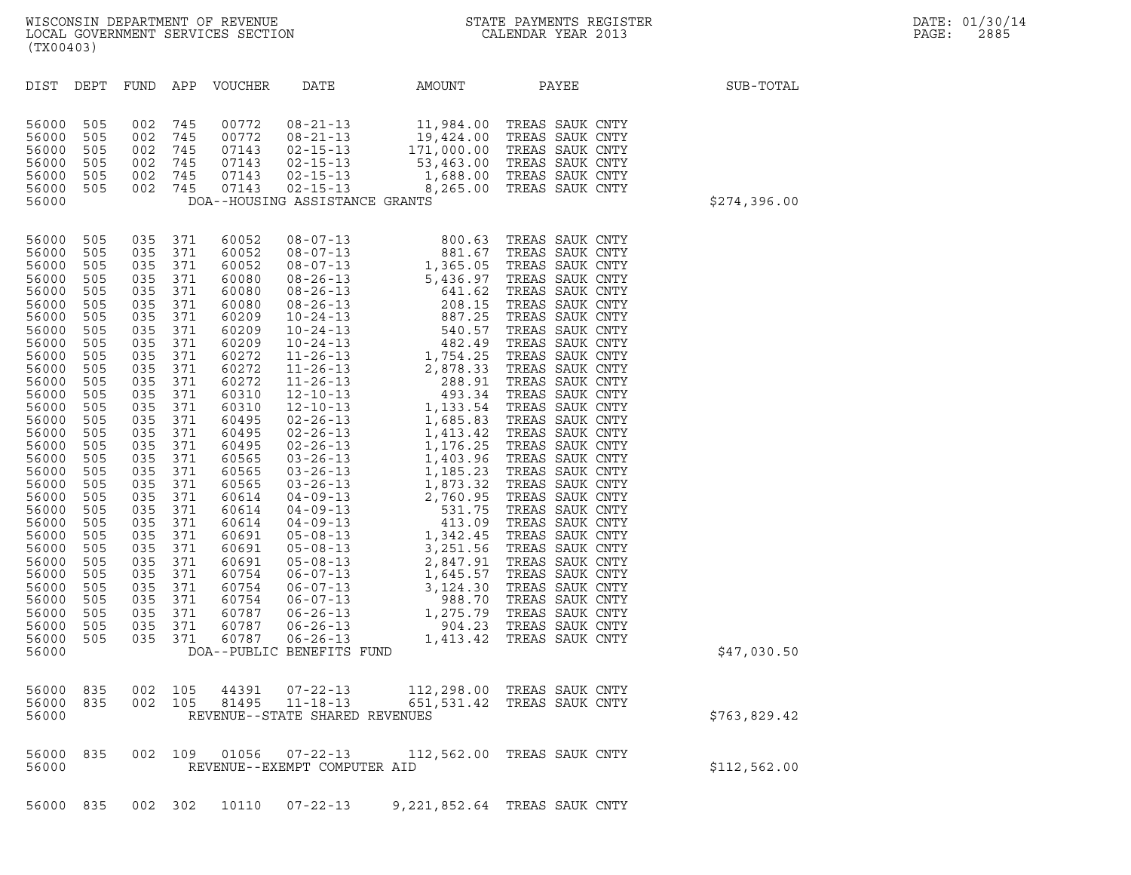| (TX00403)                                                                                                                                                                                                                                                                                                                                                                                                                                                                                                                             |                                                                                                                                                                                                                              |                                                                                                                                                                                                                              |                                                                                                                                                                                                                                                                                              |                                                                    |                                                                                                                                                                                                                                                                             |                                                                                                                                                                                                                                                                                                                                                                                                                                                                                                                                                                                                                              |              |
|---------------------------------------------------------------------------------------------------------------------------------------------------------------------------------------------------------------------------------------------------------------------------------------------------------------------------------------------------------------------------------------------------------------------------------------------------------------------------------------------------------------------------------------|------------------------------------------------------------------------------------------------------------------------------------------------------------------------------------------------------------------------------|------------------------------------------------------------------------------------------------------------------------------------------------------------------------------------------------------------------------------|----------------------------------------------------------------------------------------------------------------------------------------------------------------------------------------------------------------------------------------------------------------------------------------------|--------------------------------------------------------------------|-----------------------------------------------------------------------------------------------------------------------------------------------------------------------------------------------------------------------------------------------------------------------------|------------------------------------------------------------------------------------------------------------------------------------------------------------------------------------------------------------------------------------------------------------------------------------------------------------------------------------------------------------------------------------------------------------------------------------------------------------------------------------------------------------------------------------------------------------------------------------------------------------------------------|--------------|
| DEPT<br>DIST                                                                                                                                                                                                                                                                                                                                                                                                                                                                                                                          | FUND                                                                                                                                                                                                                         | APP                                                                                                                                                                                                                          | VOUCHER                                                                                                                                                                                                                                                                                      | DATE                                                               | AMOUNT                                                                                                                                                                                                                                                                      | PAYEE                                                                                                                                                                                                                                                                                                                                                                                                                                                                                                                                                                                                                        | SUB-TOTAL    |
| 56000<br>505<br>56000<br>505<br>56000<br>505<br>56000<br>505<br>56000<br>505<br>505<br>56000<br>56000                                                                                                                                                                                                                                                                                                                                                                                                                                 | 002<br>002<br>002<br>002<br>002<br>002                                                                                                                                                                                       | 745<br>745<br>745<br>745<br>745<br>745                                                                                                                                                                                       | 00772<br>00772<br>07143<br>07143<br>07143<br>07143                                                                                                                                                                                                                                           | $08 - 21 - 13$<br>$08 - 21 - 13$<br>DOA--HOUSING ASSISTANCE GRANTS | 11,984.00<br>19,424.00<br>$02-15-13$<br>$02-15-13$<br>$02-15-13$<br>$02-15-13$<br>$02-15-13$<br>$02-15-13$<br>$02-15-13$<br>$02-15-13$<br>$02-15-13$<br>$02-15-13$<br>$02-15-13$<br>$02-15-13$<br>$02-15-13$                                                                | TREAS SAUK CNTY<br>TREAS SAUK CNTY<br>TREAS SAUK CNTY<br>TREAS SAUK CNTY<br>TREAS SAUK CNTY<br>TREAS SAUK CNTY                                                                                                                                                                                                                                                                                                                                                                                                                                                                                                               | \$274,396.00 |
| 56000<br>505<br>56000<br>505<br>56000<br>505<br>56000<br>505<br>56000<br>505<br>56000<br>505<br>56000<br>505<br>56000<br>505<br>56000<br>505<br>56000<br>505<br>56000<br>505<br>56000<br>505<br>56000<br>505<br>56000<br>505<br>56000<br>505<br>56000<br>505<br>56000<br>505<br>56000<br>505<br>56000<br>505<br>56000<br>505<br>56000<br>505<br>56000<br>505<br>56000<br>505<br>56000<br>505<br>56000<br>505<br>56000<br>505<br>56000<br>505<br>56000<br>505<br>56000<br>505<br>56000<br>505<br>56000<br>505<br>56000<br>505<br>56000 | 035<br>035<br>035<br>035<br>035<br>035<br>035<br>035<br>035<br>035<br>035<br>035<br>035<br>035<br>035<br>035<br>035<br>035<br>035<br>035<br>035<br>035<br>035<br>035<br>035<br>035<br>035<br>035<br>035<br>035<br>035<br>035 | 371<br>371<br>371<br>371<br>371<br>371<br>371<br>371<br>371<br>371<br>371<br>371<br>371<br>371<br>371<br>371<br>371<br>371<br>371<br>371<br>371<br>371<br>371<br>371<br>371<br>371<br>371<br>371<br>371<br>371<br>371<br>371 | 60052<br>60052<br>60052<br>60080<br>60080<br>60080<br>60209<br>60209<br>60209<br>60272<br>60272<br>60272<br>60310<br>60310<br>60495<br>60495<br>60495<br>60565<br>60565<br>60565<br>60614<br>60614<br>60614<br>60691<br>60691<br>60691<br>60754<br>60754<br>60754<br>60787<br>60787<br>60787 | DOA--PUBLIC BENEFITS FUND                                          | $\begin{array}{cccc} 08-07-13 & 800.63 \\ 08-07-13 & 881.67 \\ 08-07-13 & 1,365.05 \\ 08-26-13 & 5,436.97 \\ 08-26-13 & 641.62 \\ 08-26-13 & 208.15 \\ 10-24-13 & 887.25 \\ 10-24-13 & 540.57 \\ 10-24-13 & 482.49 \\ 11-26-13 & 2,878.33 \\ 12-10-13 & 1,754.25 \\ 12-10-$ | TREAS SAUK CNTY<br>TREAS SAUK CNTY<br>TREAS SAUK CNTY<br>TREAS SAUK CNTY<br>TREAS SAUK CNTY<br>TREAS SAUK CNTY<br>TREAS SAUK CNTY<br>TREAS SAUK CNTY<br>TREAS SAUK CNTY<br>TREAS SAUK CNTY<br>TREAS SAUK CNTY<br>TREAS SAUK CNTY<br>TREAS SAUK CNTY<br>TREAS SAUK CNTY<br>TREAS SAUK CNTY<br>TREAS SAUK CNTY<br>TREAS SAUK CNTY<br>TREAS SAUK CNTY<br>TREAS SAUK CNTY<br>TREAS SAUK CNTY<br>TREAS SAUK CNTY<br>TREAS SAUK CNTY<br>TREAS SAUK CNTY<br>TREAS SAUK CNTY<br>TREAS SAUK CNTY<br>TREAS SAUK CNTY<br>TREAS SAUK CNTY<br>TREAS SAUK CNTY<br>TREAS SAUK CNTY<br>TREAS SAUK CNTY<br>TREAS SAUK CNTY<br>TREAS SAUK CNTY | \$47,030.50  |
| 56000<br>835<br>56000<br>835<br>56000                                                                                                                                                                                                                                                                                                                                                                                                                                                                                                 | 002<br>002                                                                                                                                                                                                                   | 105<br>105                                                                                                                                                                                                                   | 44391<br>81495                                                                                                                                                                                                                                                                               | $07 - 22 - 13$<br>$11 - 18 - 13$<br>REVENUE--STATE SHARED REVENUES | 651,531.42                                                                                                                                                                                                                                                                  | 112,298.00 TREAS SAUK CNTY<br>TREAS SAUK CNTY                                                                                                                                                                                                                                                                                                                                                                                                                                                                                                                                                                                | \$763,829.42 |
| 56000<br>835<br>56000                                                                                                                                                                                                                                                                                                                                                                                                                                                                                                                 | 002                                                                                                                                                                                                                          | 109                                                                                                                                                                                                                          | 01056                                                                                                                                                                                                                                                                                        | $07 - 22 - 13$<br>REVENUE--EXEMPT COMPUTER AID                     |                                                                                                                                                                                                                                                                             | 112,562.00 TREAS SAUK CNTY                                                                                                                                                                                                                                                                                                                                                                                                                                                                                                                                                                                                   | \$112,562.00 |
| 56000 835                                                                                                                                                                                                                                                                                                                                                                                                                                                                                                                             |                                                                                                                                                                                                                              | 002 302                                                                                                                                                                                                                      | 10110                                                                                                                                                                                                                                                                                        | $07 - 22 - 13$                                                     |                                                                                                                                                                                                                                                                             | 9,221,852.64 TREAS SAUK CNTY                                                                                                                                                                                                                                                                                                                                                                                                                                                                                                                                                                                                 |              |

WISCONSIN DEPARTMENT OF REVENUE<br>LOCAL GOVERNMENT SERVICES SECTION STATE PAYMENTS REGISTER SECONDER STATE PASSES OF SAMENTS REGISTER<br>DOCAL GOVERNMENT SERVICES SECTION SECONDER SERVICES SECONDAR VEAR 2013 WISCONSIN DEPARTMENT OF REVENUE<br>LOCAL GOVERNMENT SERVICES SECTION FOR THE STATE PAYMENTS REGISTER FOR THE PAGE: 2885<br>(TX00403)  $(TX00403)$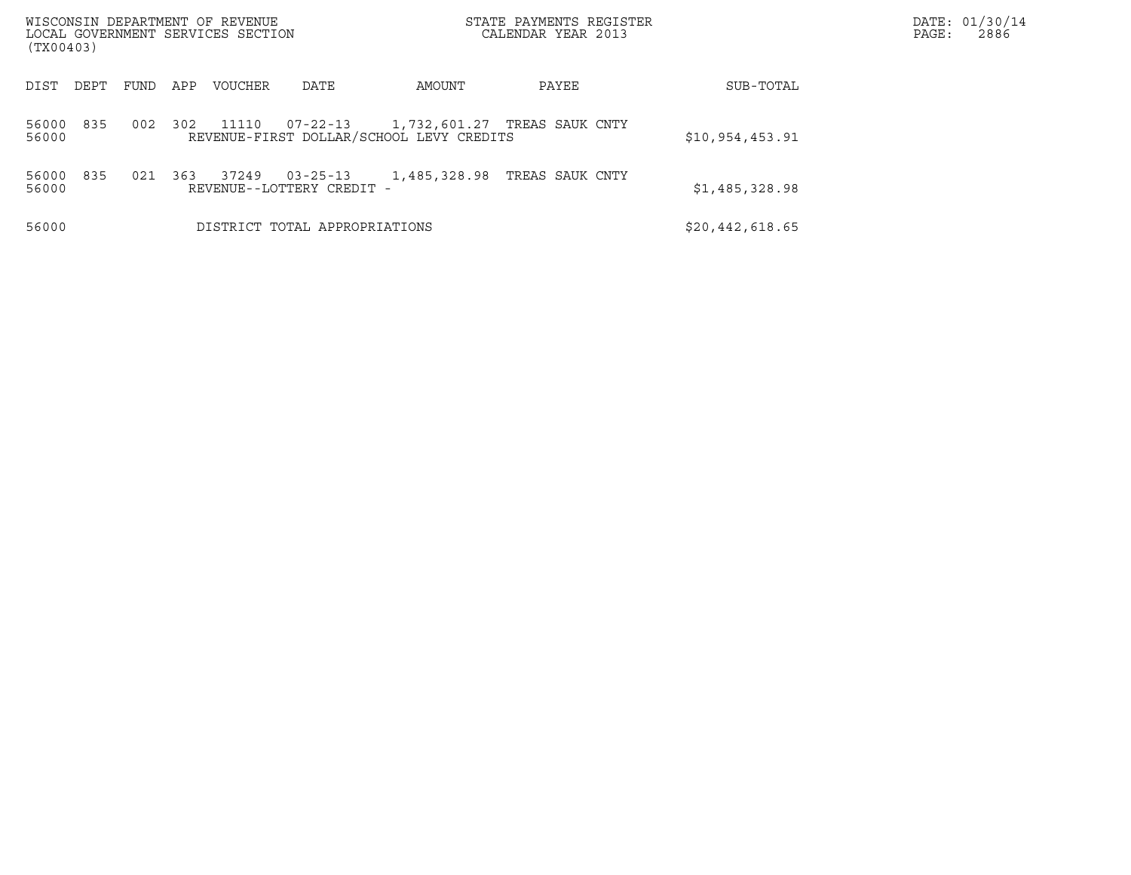| (TX00403)             | WISCONSIN DEPARTMENT OF REVENUE<br>LOCAL GOVERNMENT SERVICES SECTION |                                                            | STATE PAYMENTS REGISTER<br>CALENDAR YEAR 2013 |                 | DATE: 01/30/14<br>PAGE:<br>2886 |
|-----------------------|----------------------------------------------------------------------|------------------------------------------------------------|-----------------------------------------------|-----------------|---------------------------------|
| DEPT<br>DIST          | APP<br><b>VOUCHER</b><br>FUND                                        | AMOUNT<br>DATE                                             | PAYEE                                         | SUB-TOTAL       |                                 |
| 56000<br>835<br>56000 | 002<br>302<br>11110                                                  | $07 - 22 - 13$<br>REVENUE-FIRST DOLLAR/SCHOOL LEVY CREDITS | 1,732,601.27 TREAS SAUK CNTY                  | \$10,954,453.91 |                                 |
| 835<br>56000<br>56000 | 37249<br>021<br>363<br>REVENUE--LOTTERY CREDIT -                     | 1,485,328.98<br>$03 - 25 - 13$                             | TREAS SAUK CNTY                               | \$1,485,328.98  |                                 |
| 56000                 |                                                                      | DISTRICT TOTAL APPROPRIATIONS                              |                                               | \$20,442,618.65 |                                 |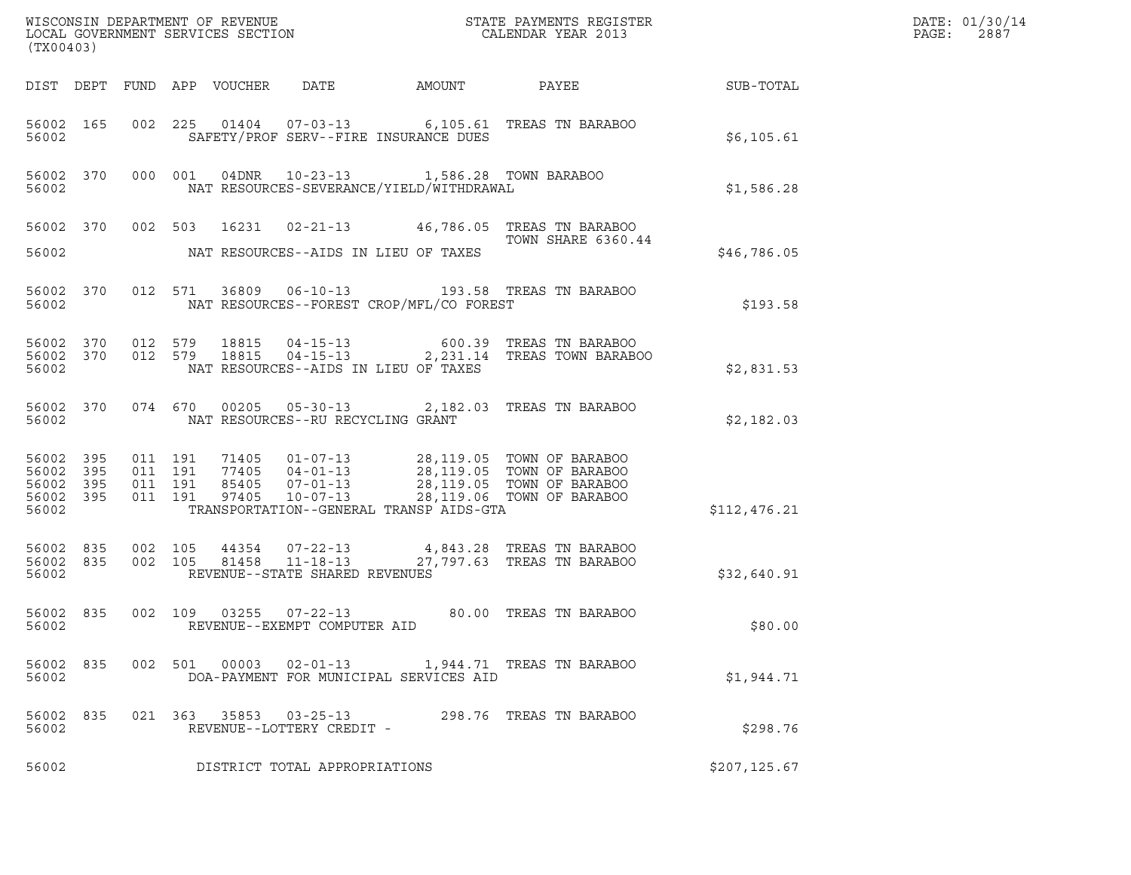| (TX00403)                   |                               |  |                                          |  |                                                     |                                                        |                                                                                                                                                                                                             |               | DATE: 01/30/14<br>PAGE:<br>2887 |
|-----------------------------|-------------------------------|--|------------------------------------------|--|-----------------------------------------------------|--------------------------------------------------------|-------------------------------------------------------------------------------------------------------------------------------------------------------------------------------------------------------------|---------------|---------------------------------|
|                             |                               |  |                                          |  |                                                     |                                                        |                                                                                                                                                                                                             |               |                                 |
| 56002                       |                               |  |                                          |  |                                                     | SAFETY/PROF SERV--FIRE INSURANCE DUES                  | 56002 165 002 225 01404 07-03-13 6,105.61 TREAS TN BARABOO                                                                                                                                                  | \$6,105.61    |                                 |
|                             | 56002                         |  |                                          |  |                                                     | 56002 370 000 001 04DNR 10-23-13 1,586.28 TOWN BARABOO | NAT RESOURCES-SEVERANCE/YIELD/WITHDRAWAL                                                                                                                                                                    | \$1,586.28    |                                 |
| 56002                       |                               |  |                                          |  |                                                     | NAT RESOURCES--AIDS IN LIEU OF TAXES                   | 56002 370 002 503 16231 02-21-13 46,786.05 TREAS TN BARABOO<br>TOWN SHARE 6360.44                                                                                                                           | \$46,786.05   |                                 |
| 56002                       |                               |  |                                          |  |                                                     | NAT RESOURCES--FOREST CROP/MFL/CO FOREST               | 56002 370 012 571 36809 06-10-13 193.58 TREAS TN BARABOO                                                                                                                                                    | \$193.58      |                                 |
| 56002                       |                               |  |                                          |  |                                                     | NAT RESOURCES--AIDS IN LIEU OF TAXES                   | 56002 370 012 579 18815 04-15-13 600.39 TREAS TN BARABOO<br>56002 370 012 579 18815 04-15-13 2,231.14 TREAS TOWN BARABOO                                                                                    | \$2,831.53    |                                 |
|                             |                               |  |                                          |  | 56002 NAT RESOURCES--RU RECYCLING GRANT             |                                                        | 56002 370 074 670 00205 05-30-13 2,182.03 TREAS TN BARABOO                                                                                                                                                  | \$2,182.03    |                                 |
| 56002<br>56002 395<br>56002 | 56002 395<br>395<br>56002 395 |  | 011 191<br>011 191<br>011 191<br>011 191 |  |                                                     | TRANSPORTATION--GENERAL TRANSP AIDS-GTA                | 71405  01-07-13  28,119.05  TOWN OF BARABOO<br>77405  04-01-13  28,119.05  TOWN OF BARABOO<br>85405  07-01-13  28,119.05  TOWN OF BARABOO<br>97405  10-07-13  28,119.06  TOWN OF BARABOO                    | \$112,476.21  |                                 |
| 56002                       |                               |  |                                          |  | REVENUE--STATE SHARED REVENUES                      |                                                        | $\begin{array}{cccccc} 56002 & 835 & 002 & 105 & 44354 & 07-22-13 & & 4,843.28 & \text{TREAS TN BARABOO} \\ 56002 & 835 & 002 & 105 & 81458 & 11-18-13 & & 27,797.63 & \text{TREAS TN BARABOO} \end{array}$ | \$32,640.91   |                                 |
| 56002                       |                               |  |                                          |  | REVENUE--EXEMPT COMPUTER AID                        |                                                        | 56002 835 002 109 03255 07-22-13 80.00 TREAS TN BARABOO                                                                                                                                                     | \$80.00       |                                 |
| 56002                       | 56002 835                     |  |                                          |  |                                                     | DOA-PAYMENT FOR MUNICIPAL SERVICES AID                 | 002 501 00003 02-01-13 1,944.71 TREAS TN BARABOO                                                                                                                                                            | \$1,944.71    |                                 |
| 56002                       | 56002 835                     |  |                                          |  | 021 363 35853 03-25-13<br>REVENUE--LOTTERY CREDIT - |                                                        | 298.76 TREAS TN BARABOO                                                                                                                                                                                     | \$298.76      |                                 |
| 56002                       |                               |  |                                          |  | DISTRICT TOTAL APPROPRIATIONS                       |                                                        |                                                                                                                                                                                                             | \$207, 125.67 |                                 |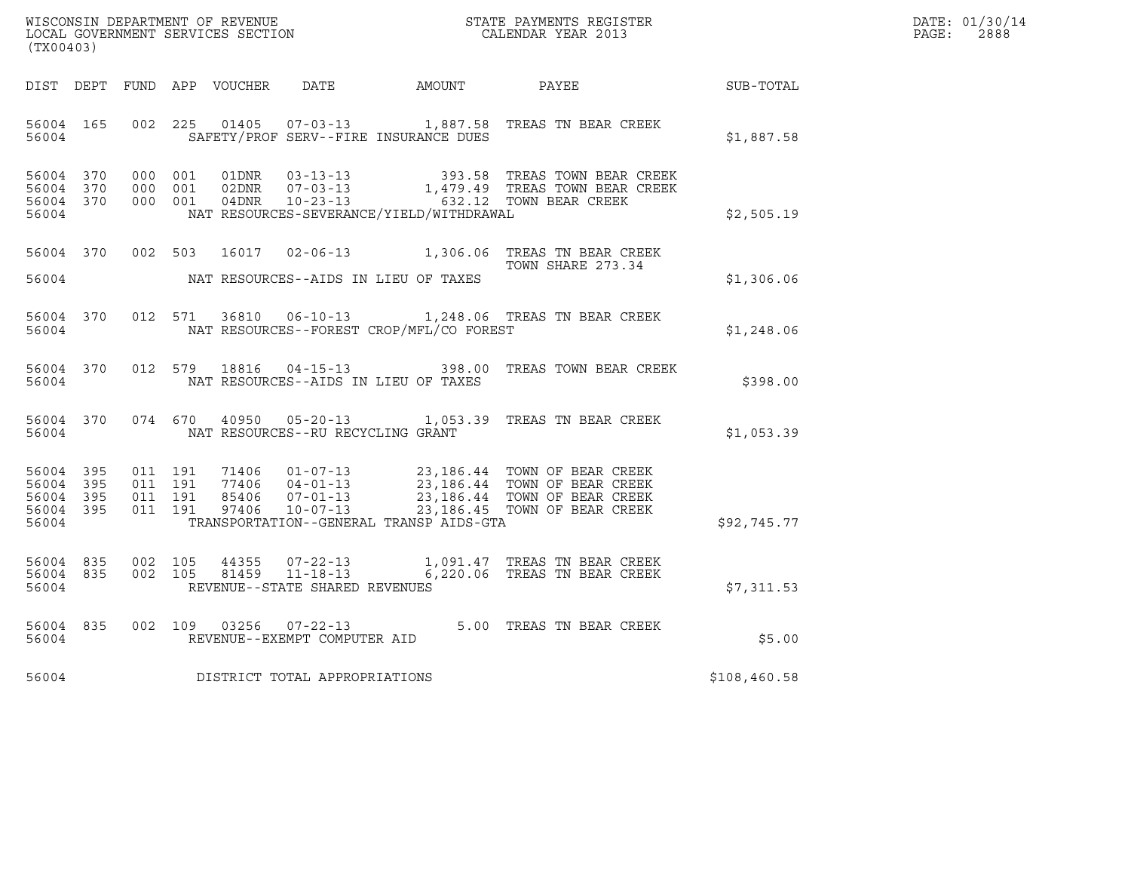| WISCONSIN DEPARTMENT OF REVENUE   | STATE PAYMENTS REGISTER | DATE: 01/30/14 |
|-----------------------------------|-------------------------|----------------|
| LOCAL GOVERNMENT SERVICES SECTION | CALENDAR YEAR 2013      | 2888<br>PAGE : |

|                                                           | WISCONSIN DEPARTMENT OF REVENUE<br>LOCAL GOVERNMENT SERVICES SECTION CALENDAR YEAR 2013<br>(TX00403) |  |  |                         |                                     |                                          |                                                                                                                                                                                                                          |              | DATE: 01/30/14<br>PAGE:<br>2888 |
|-----------------------------------------------------------|------------------------------------------------------------------------------------------------------|--|--|-------------------------|-------------------------------------|------------------------------------------|--------------------------------------------------------------------------------------------------------------------------------------------------------------------------------------------------------------------------|--------------|---------------------------------|
|                                                           |                                                                                                      |  |  |                         |                                     |                                          | DIST DEPT FUND APP VOUCHER DATE AMOUNT PAYEE                                                                                                                                                                             | SUB-TOTAL    |                                 |
| 56004                                                     |                                                                                                      |  |  |                         |                                     | SAFETY/PROF SERV--FIRE INSURANCE DUES    | 56004 165 002 225 01405 07-03-13 1,887.58 TREAS TN BEAR CREEK                                                                                                                                                            | \$1,887.58   |                                 |
| 56004 370<br>56004 370<br>56004 370<br>56004              |                                                                                                      |  |  |                         |                                     | NAT RESOURCES-SEVERANCE/YIELD/WITHDRAWAL | 000 001 01DNR 03-13-13 393.58 TREAS TOWN BEAR CREEK<br>000 001 02DNR 07-03-13 1,479.49 TREAS TOWN BEAR CREEK<br>000 001 04DNR 10-23-13 632.12 TOWN BEAR CREEK                                                            | \$2,505.19   |                                 |
|                                                           |                                                                                                      |  |  |                         |                                     |                                          | 56004 370 002 503 16017 02-06-13 1,306.06 TREAS TN BEAR CREEK<br>TOWN SHARE 273.34                                                                                                                                       | \$1,306.06   |                                 |
|                                                           |                                                                                                      |  |  |                         |                                     |                                          | 56004 370 012 571 36810 06-10-13 1,248.06 TREAS TN BEAR CREEK<br>56004 MAT RESOURCES--FOREST CROP/MFL/CO FOREST                                                                                                          | \$1,248.06   |                                 |
| 56004                                                     |                                                                                                      |  |  |                         |                                     | NAT RESOURCES--AIDS IN LIEU OF TAXES     | 56004 370 012 579 18816 04-15-13 398.00 TREAS TOWN BEAR CREEK                                                                                                                                                            | \$398.00     |                                 |
| 56004                                                     |                                                                                                      |  |  | 56004 370 074 670 40950 | NAT RESOURCES--RU RECYCLING GRANT   |                                          | 05-20-13 1,053.39 TREAS TN BEAR CREEK                                                                                                                                                                                    | \$1,053.39   |                                 |
| 56004 395<br>56004 395<br>56004 395<br>56004 395<br>56004 |                                                                                                      |  |  |                         |                                     | TRANSPORTATION--GENERAL TRANSP AIDS-GTA  | 011 191 71406 01-07-13 23,186.44 TOWN OF BEAR CREEK<br>011 191 77406 04-01-13 23,186.44 TOWN OF BEAR CREEK<br>011 191 85406 07-01-13 23,186.44 TOWN OF BEAR CREEK<br>011 191 97406 10-07-13 23,186.45 TOWN OF BEAR CREEK | \$92,745.77  |                                 |
| 56004 835<br>56004 835<br>56004                           |                                                                                                      |  |  |                         | REVENUE--STATE SHARED REVENUES      |                                          | 002 105 44355 07-22-13 1,091.47 TREAS TN BEAR CREEK<br>002 105 81459 11-18-13 6,220.06 TREAS TN BEAR CREEK                                                                                                               | \$7,311.53   |                                 |
| 56004 835<br>56004                                        |                                                                                                      |  |  |                         |                                     |                                          | 002 109 03256 07-22-13 5.00 TREAS TN BEAR CREEK<br>REVENUE--EXEMPT COMPUTER AID                                                                                                                                          | \$5.00       |                                 |
|                                                           |                                                                                                      |  |  |                         | 56004 DISTRICT TOTAL APPROPRIATIONS |                                          |                                                                                                                                                                                                                          | \$108,460.58 |                                 |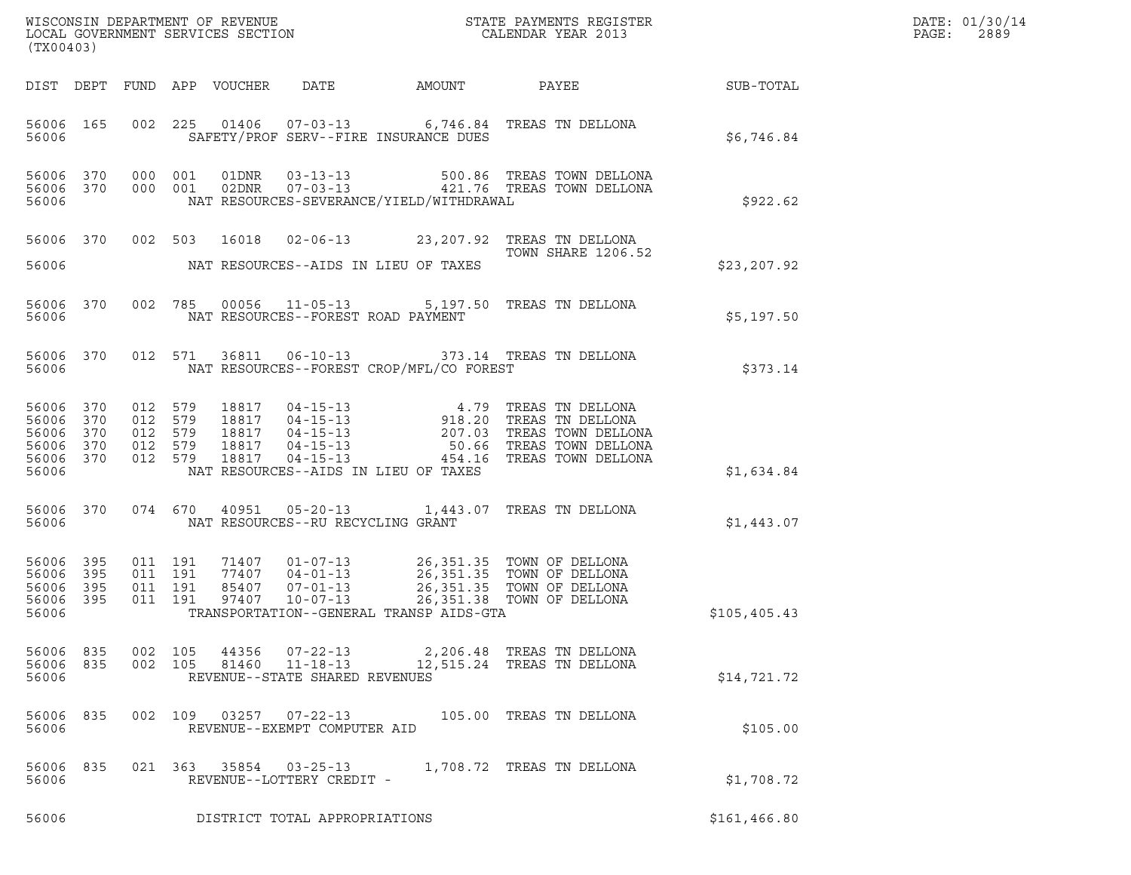| (TX00403)                                         |                         |                   |                                                     |                            |                                                                    |                                          |                                                                                                                                                                                                                                   | DATE: 01/30/14<br>PAGE:<br>2889 |  |
|---------------------------------------------------|-------------------------|-------------------|-----------------------------------------------------|----------------------------|--------------------------------------------------------------------|------------------------------------------|-----------------------------------------------------------------------------------------------------------------------------------------------------------------------------------------------------------------------------------|---------------------------------|--|
|                                                   |                         |                   |                                                     | DIST DEPT FUND APP VOUCHER |                                                                    |                                          | DATE AMOUNT PAYEE SUB-TOTAL                                                                                                                                                                                                       |                                 |  |
| 56006                                             | 56006 165               |                   |                                                     |                            |                                                                    | SAFETY/PROF SERV--FIRE INSURANCE DUES    | 002 225 01406 07-03-13 6,746.84 TREAS TN DELLONA                                                                                                                                                                                  | \$6.746.84                      |  |
| 56006                                             | 56006 370               | 56006 370 000 001 | 000 001                                             |                            |                                                                    | NAT RESOURCES-SEVERANCE/YIELD/WITHDRAWAL |                                                                                                                                                                                                                                   | \$922.62                        |  |
| 56006                                             | 56006 370               |                   |                                                     |                            |                                                                    | NAT RESOURCES--AIDS IN LIEU OF TAXES     | 002 503 16018 02-06-13 23,207.92 TREAS TN DELLONA<br>TOWN SHARE 1206.52                                                                                                                                                           | \$23,207.92                     |  |
| 56006                                             | 56006 370               |                   |                                                     |                            |                                                                    | NAT RESOURCES--FOREST ROAD PAYMENT       | 002 785 00056 11-05-13 5,197.50 TREAS TN DELLONA                                                                                                                                                                                  | \$5,197.50                      |  |
| 56006                                             | 56006 370               |                   |                                                     |                            |                                                                    | NAT RESOURCES--FOREST CROP/MFL/CO FOREST | 012 571 36811 06-10-13 373.14 TREAS TN DELLONA                                                                                                                                                                                    | \$373.14                        |  |
| 56006 370<br>56006<br>56006<br>56006 370<br>56006 | 370<br>370<br>56006 370 |                   | 012 579<br>012 579<br>012 579<br>012 579<br>012 579 |                            |                                                                    | NAT RESOURCES--AIDS IN LIEU OF TAXES     | 18817  04-15-13  4.79  TREAS TN DELLONA<br>18817  04-15-13  918.20  TREAS TN DELLONA<br>18817  04-15-13  207.03  TREAS TOWN DELLONA<br>18817  04-15-13  50.66  TREAS TOWN DELLONA<br>18817  04-15-13   454.16  TREAS TOWN DELLONA | \$1,634.84                      |  |
| 56006                                             | 56006 370               |                   |                                                     |                            |                                                                    | NAT RESOURCES--RU RECYCLING GRANT        | 074 670 40951 05-20-13 1,443.07 TREAS TN DELLONA                                                                                                                                                                                  | \$1,443.07                      |  |
| 56006 395<br>56006<br>56006<br>56006 395<br>56006 | 395<br>395              |                   | 011 191<br>011 191<br>011 191<br>011 191            |                            |                                                                    | TRANSPORTATION--GENERAL TRANSP AIDS-GTA  | 71407  01-07-13  26,351.35  TOWN OF DELLONA<br>77407  04-01-13  26,351.35  TOWN OF DELLONA<br>85407  07-01-13  26,351.35  TOWN OF DELLONA<br>97407  10-07-13  26,351.38  TOWN OF DELLONA                                          | \$105,405.43                    |  |
| 56006<br>56006 835<br>56006                       | 835                     | 002 105           | 002 105                                             | 44356<br>81460             | $07 - 22 - 13$<br>$11 - 18 - 13$<br>REVENUE--STATE SHARED REVENUES |                                          | 2,206.48   TREAS  TN DELLONA<br>12,515.24 TREAS TN DELLONA                                                                                                                                                                        | \$14,721.72                     |  |
| 56006<br>56006                                    | 835                     |                   | 002 109                                             | 03257                      | $07 - 22 - 13$<br>REVENUE--EXEMPT COMPUTER AID                     |                                          | 105.00 TREAS TN DELLONA                                                                                                                                                                                                           | \$105.00                        |  |
| 56006<br>56006                                    | 835                     |                   |                                                     | 021 363 35854              | $03 - 25 - 13$<br>REVENUE--LOTTERY CREDIT -                        |                                          | 1,708.72 TREAS TN DELLONA                                                                                                                                                                                                         | \$1,708.72                      |  |
| 56006                                             |                         |                   |                                                     |                            | DISTRICT TOTAL APPROPRIATIONS                                      |                                          |                                                                                                                                                                                                                                   | \$161, 466.80                   |  |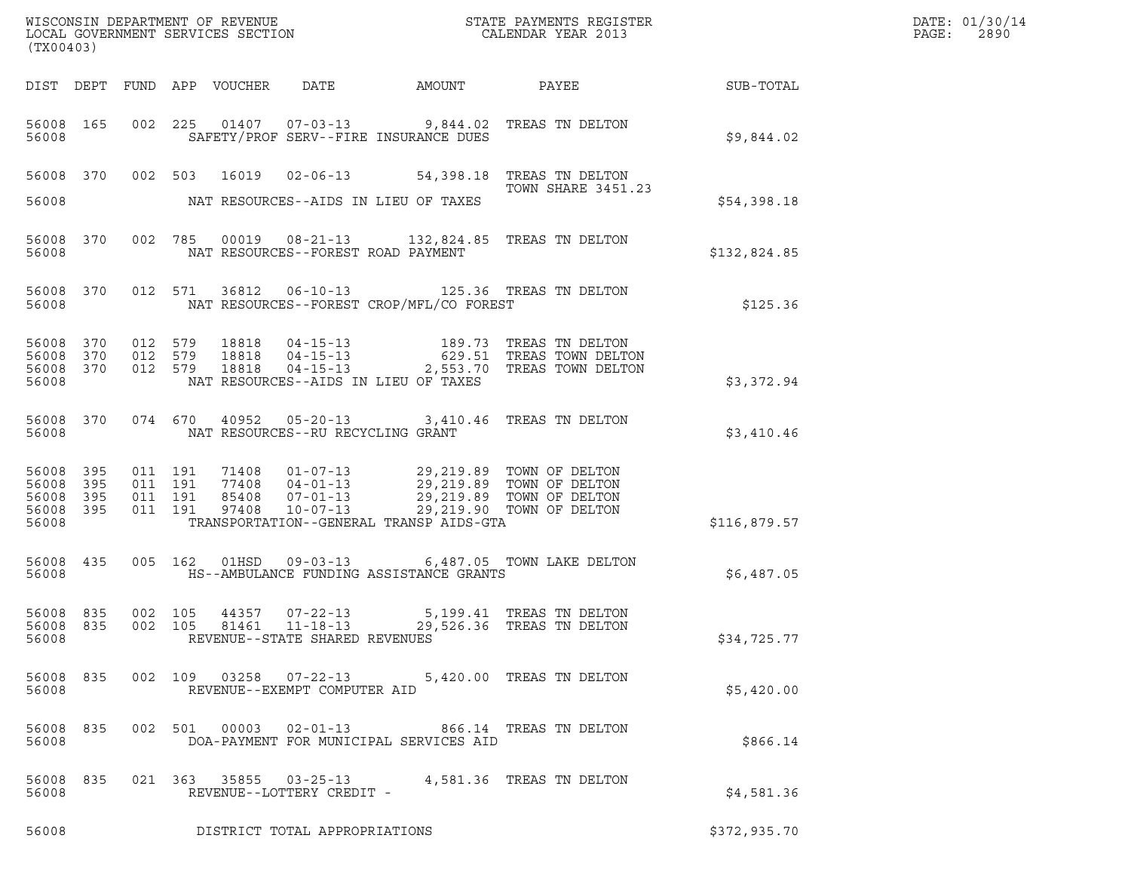| (TX00403)                                     |                   |                               |                            |                                                        |                                                                                                                                                                                                                            | ${\tt WISCO} {\tt NSM} {\tt NEMR} {\tt NEMR} {\tt NEMR} {\tt NEMR} {\tt NEMR} {\tt NEMR} {\tt NEMR} {\tt NEMR} {\tt NEMR} {\tt NEMR} {\tt NEMR} {\tt NEMR} {\tt NEMR} {\tt NEMR} {\tt NEMR} {\tt NEMR} {\tt NEMR} {\tt NEMR} {\tt NEMR} {\tt NEMR} {\tt NEMR} {\tt NEMR} {\tt NEMR} {\tt NEMR} {\tt NEMR} {\tt NEMR} {\tt NEMR} {\tt NEMR} {\tt NEMR} {\tt NEMR} {\tt NEMR} {\tt NEMR} {\tt NEMR} {\tt NEMR} {\tt NEMR}$ |                  | DATE: 01/30/14<br>PAGE:<br>2890 |
|-----------------------------------------------|-------------------|-------------------------------|----------------------------|--------------------------------------------------------|----------------------------------------------------------------------------------------------------------------------------------------------------------------------------------------------------------------------------|--------------------------------------------------------------------------------------------------------------------------------------------------------------------------------------------------------------------------------------------------------------------------------------------------------------------------------------------------------------------------------------------------------------------------|------------------|---------------------------------|
|                                               |                   |                               | DIST DEPT FUND APP VOUCHER | DATE                                                   | AMOUNT                                                                                                                                                                                                                     | PAYEE                                                                                                                                                                                                                                                                                                                                                                                                                    | <b>SUB-TOTAL</b> |                                 |
| 56008 165<br>56008                            |                   |                               |                            |                                                        | 002 225 01407 07-03-13 9,844.02 TREAS TN DELTON<br>SAFETY/PROF SERV--FIRE INSURANCE DUES                                                                                                                                   |                                                                                                                                                                                                                                                                                                                                                                                                                          | \$9,844.02       |                                 |
| 56008                                         |                   |                               |                            |                                                        | 56008 370 002 503 16019 02-06-13 54,398.18 TREAS TN DELTON<br>NAT RESOURCES--AIDS IN LIEU OF TAXES                                                                                                                         | <b>TOWN SHARE 3451.23</b>                                                                                                                                                                                                                                                                                                                                                                                                | \$54,398.18      |                                 |
| 56008                                         | 56008 370         |                               | 002 785                    | NAT RESOURCES--FOREST ROAD PAYMENT                     | 00019  08-21-13  132,824.85  TREAS TN DELTON                                                                                                                                                                               |                                                                                                                                                                                                                                                                                                                                                                                                                          | \$132,824.85     |                                 |
| 56008                                         | 56008 370         |                               | 012 571                    |                                                        | 36812   06-10-13   125.36   TREAS TN DELTON<br>NAT RESOURCES--FOREST CROP/MFL/CO FOREST                                                                                                                                    |                                                                                                                                                                                                                                                                                                                                                                                                                          | \$125.36         |                                 |
| 56008<br>56008<br>56008 370<br>56008          | 370<br>370        | 012 579<br>012 579<br>012 579 | 18818<br>18818<br>18818    | $04 - 15 - 13$                                         | NAT RESOURCES--AIDS IN LIEU OF TAXES                                                                                                                                                                                       | 2,553.70 TREAS TOWN DELTON                                                                                                                                                                                                                                                                                                                                                                                               | \$3,372.94       |                                 |
| 56008                                         | 56008 370         | 074 670                       |                            | NAT RESOURCES--RU RECYCLING GRANT                      | 40952  05-20-13  3,410.46  TREAS TN DELTON                                                                                                                                                                                 |                                                                                                                                                                                                                                                                                                                                                                                                                          | \$3,410.46       |                                 |
| 56008<br>56008<br>56008<br>56008 395<br>56008 | 395<br>395<br>395 | 011 191<br>011 191<br>011 191 | 011 191<br>97408           | $10 - 07 - 13$                                         | 71408  01-07-13  29,219.89  TOWN OF DELTON<br>77408  04-01-13  29,219.89  TOWN OF DELTON<br>77408 04-01-13 29,219.89 TOWN OF DELITON<br>85408 07-01-13 29,219.89 TOWN OF DELTON<br>TRANSPORTATION--GENERAL TRANSP AIDS-GTA | 29,219.90 TOWN OF DELTON                                                                                                                                                                                                                                                                                                                                                                                                 | \$116,879.57     |                                 |
| 56008 435<br>56008                            |                   |                               | 005 162<br>01HSD           |                                                        | HS--AMBULANCE FUNDING ASSISTANCE GRANTS                                                                                                                                                                                    | 09-03-13 6,487.05 TOWN LAKE DELTON                                                                                                                                                                                                                                                                                                                                                                                       | \$6,487.05       |                                 |
| 56008 835<br>56008                            | 56008 835         |                               | 002 105                    | 44357 07-22-13<br>REVENUE--STATE SHARED REVENUES       | 002 105 81461 11-18-13 29,526.36 TREAS TN DELTON                                                                                                                                                                           | 5,199.41 TREAS TN DELTON                                                                                                                                                                                                                                                                                                                                                                                                 | \$34,725.77      |                                 |
| 56008 835<br>56008                            |                   |                               |                            | 002 109 03258 07-22-13<br>REVENUE--EXEMPT COMPUTER AID |                                                                                                                                                                                                                            | 5,420.00 TREAS TN DELTON                                                                                                                                                                                                                                                                                                                                                                                                 | \$5,420.00       |                                 |
| 56008 835<br>56008                            |                   |                               |                            |                                                        | 002 501 00003 02-01-13 866.14 TREAS TN DELTON<br>DOA-PAYMENT FOR MUNICIPAL SERVICES AID                                                                                                                                    |                                                                                                                                                                                                                                                                                                                                                                                                                          | \$866.14         |                                 |
| 56008 835<br>56008                            |                   |                               |                            | REVENUE--LOTTERY CREDIT -                              | 021  363  35855  03-25-13  4,581.36  TREAS TN DELTON                                                                                                                                                                       |                                                                                                                                                                                                                                                                                                                                                                                                                          | \$4,581.36       |                                 |
| 56008                                         |                   |                               |                            | DISTRICT TOTAL APPROPRIATIONS                          |                                                                                                                                                                                                                            |                                                                                                                                                                                                                                                                                                                                                                                                                          | \$372,935.70     |                                 |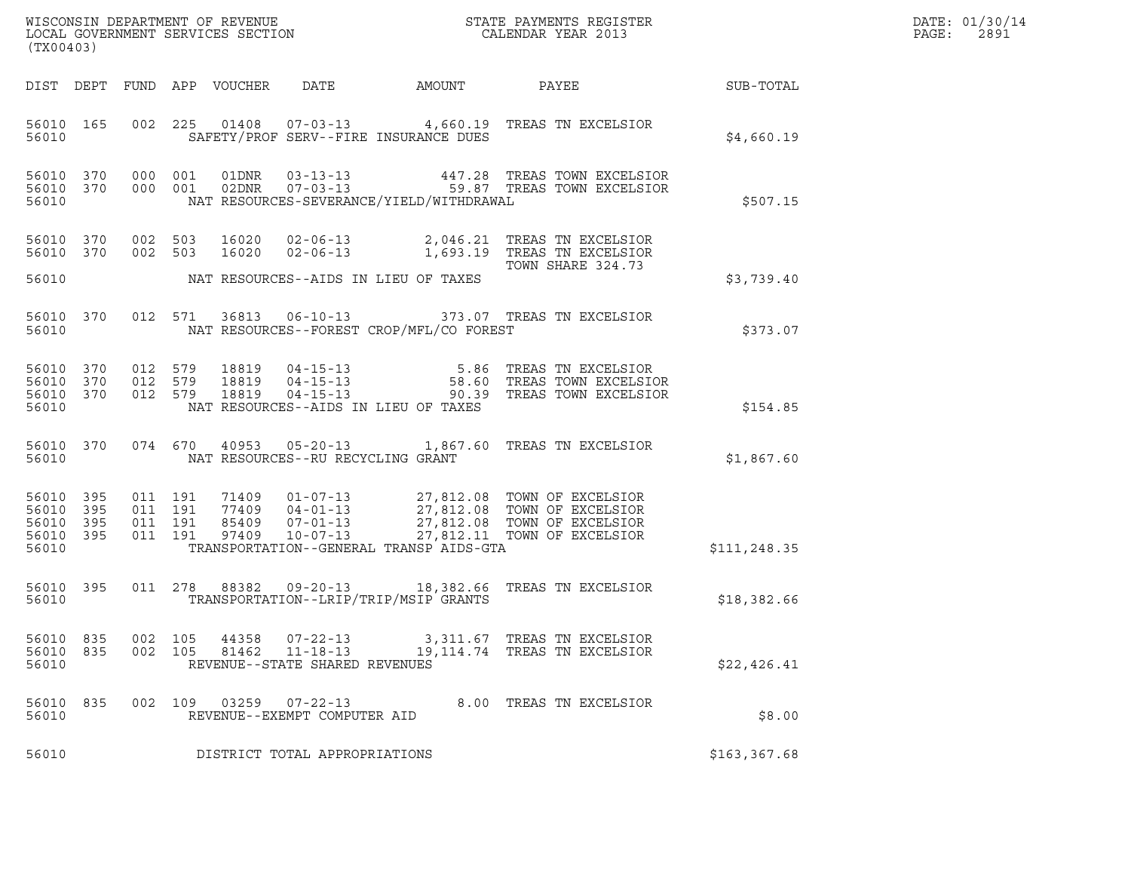| WISCONSIN DEPARTMENT OF REVENUE<br>LOCAL GOVERNMENT SERVICES SECTION<br>(TX00403) | STATE PAYMENTS REGISTER<br>CALENDAR YEAR 2013 | DATE: 01/30/14<br>PAGE:<br>2891 |
|-----------------------------------------------------------------------------------|-----------------------------------------------|---------------------------------|

| (TX00403)                                 |                          |                          |                          |                                  |                                                                      |                                                                                             |                                                                                  |              |
|-------------------------------------------|--------------------------|--------------------------|--------------------------|----------------------------------|----------------------------------------------------------------------|---------------------------------------------------------------------------------------------|----------------------------------------------------------------------------------|--------------|
| DIST                                      | DEPT                     | FUND                     | APP                      | VOUCHER                          | DATE                                                                 | AMOUNT                                                                                      | PAYEE                                                                            | SUB-TOTAL    |
| 56010<br>56010                            | 165                      | 002                      | 225                      | 01408                            | $07 - 03 - 13$                                                       | 4,660.19<br>SAFETY/PROF SERV--FIRE INSURANCE DUES                                           | TREAS TN EXCELSIOR                                                               | \$4,660.19   |
| 56010<br>56010<br>56010                   | 370<br>370               | 000<br>000               | 001<br>001               | 01DNR<br>02DNR                   | $03 - 13 - 13$<br>$07 - 03 - 13$                                     | 447.28<br>59.87<br>NAT RESOURCES-SEVERANCE/YIELD/WITHDRAWAL                                 | TREAS TOWN EXCELSIOR<br>TREAS TOWN EXCELSIOR                                     | \$507.15     |
| 56010<br>56010                            | 370<br>370               | 002<br>002               | 503<br>503               | 16020<br>16020                   | $02 - 06 - 13$<br>$02 - 06 - 13$                                     | 2,046.21<br>1,693.19                                                                        | TREAS TN EXCELSIOR<br>TREAS TN EXCELSIOR<br>TOWN SHARE 324.73                    |              |
| 56010                                     |                          |                          |                          |                                  |                                                                      | NAT RESOURCES--AIDS IN LIEU OF TAXES                                                        |                                                                                  | \$3,739.40   |
| 56010<br>56010                            | 370                      | 012                      | 571                      | 36813                            | $06 - 10 - 13$                                                       | NAT RESOURCES--FOREST CROP/MFL/CO FOREST                                                    | 373.07 TREAS TN EXCELSIOR                                                        | \$373.07     |
| 56010<br>56010<br>56010<br>56010          | 370<br>370<br>370        | 012<br>012<br>012        | 579<br>579<br>579        | 18819<br>18819<br>18819          | $04 - 15 - 13$<br>$04 - 15 - 13$<br>$04 - 15 - 13$                   | 5.86<br>58.60<br>90.39<br>NAT RESOURCES--AIDS IN LIEU OF TAXES                              | TREAS TN EXCELSIOR<br>TREAS TOWN EXCELSIOR<br>TREAS TOWN EXCELSIOR               | \$154.85     |
| 56010<br>56010                            | 370                      | 074                      | 670                      | 40953                            | $05 - 20 - 13$<br>NAT RESOURCES--RU RECYCLING GRANT                  | 1,867.60                                                                                    | TREAS TN EXCELSIOR                                                               | \$1,867.60   |
| 56010<br>56010<br>56010<br>56010<br>56010 | 395<br>395<br>395<br>395 | 011<br>011<br>011<br>011 | 191<br>191<br>191<br>191 | 71409<br>77409<br>85409<br>97409 | $01 - 07 - 13$<br>$04 - 01 - 13$<br>$07 - 01 - 13$<br>$10 - 07 - 13$ | 27,812.08<br>27,812.08<br>27,812.08<br>27,812.11<br>TRANSPORTATION--GENERAL TRANSP AIDS-GTA | TOWN OF EXCELSIOR<br>TOWN OF EXCELSIOR<br>TOWN OF EXCELSIOR<br>TOWN OF EXCELSIOR | \$111,248.35 |
| 56010<br>56010                            | 395                      | 011                      | 278                      | 88382                            | $09 - 20 - 13$                                                       | 18,382.66<br>TRANSPORTATION--LRIP/TRIP/MSIP GRANTS                                          | TREAS TN EXCELSIOR                                                               | \$18,382.66  |
| 56010<br>56010<br>56010                   | 835<br>835               | 002<br>002               | 105<br>105               | 44358<br>81462                   | $07 - 22 - 13$<br>$11 - 18 - 13$<br>REVENUE--STATE SHARED REVENUES   | 3,311.67<br>19, 114.74                                                                      | TREAS TN EXCELSIOR<br>TREAS TN EXCELSIOR                                         | \$22,426.41  |
| 56010<br>56010                            | 835                      | 002                      | 109                      | 03259                            | $07 - 22 - 13$<br>REVENUE--EXEMPT COMPUTER AID                       | 8.00                                                                                        | TREAS TN EXCELSIOR                                                               | \$8.00       |
| 56010                                     |                          |                          |                          |                                  | DISTRICT TOTAL APPROPRIATIONS                                        |                                                                                             |                                                                                  | \$163,367.68 |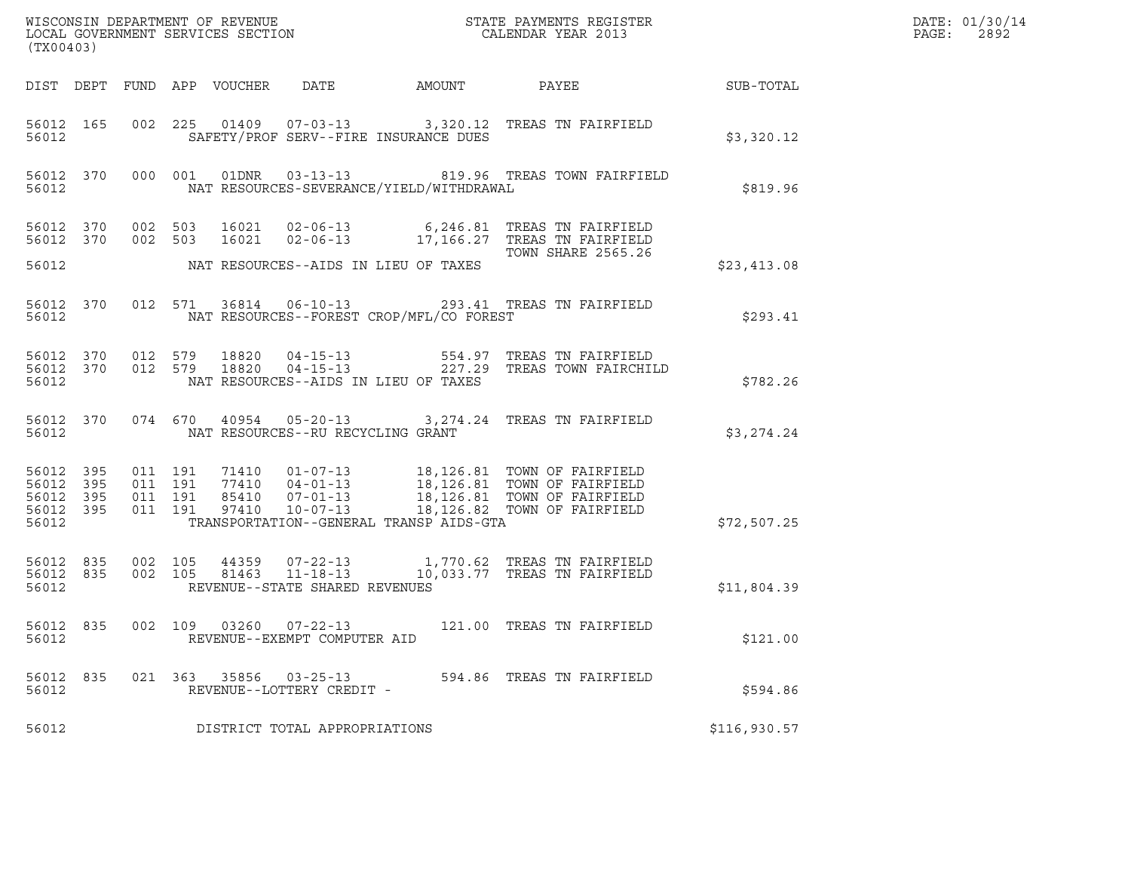| (TX00403)                                             |     |                               |                         |       |                                                        |                                          |                                                                                                                                                                                                  |                 | DATE: 01/30/14<br>PAGE:<br>2892 |
|-------------------------------------------------------|-----|-------------------------------|-------------------------|-------|--------------------------------------------------------|------------------------------------------|--------------------------------------------------------------------------------------------------------------------------------------------------------------------------------------------------|-----------------|---------------------------------|
|                                                       |     |                               |                         |       |                                                        | DIST DEPT FUND APP VOUCHER DATE AMOUNT   |                                                                                                                                                                                                  | PAYEE SUB-TOTAL |                                 |
| 56012 165<br>56012                                    |     |                               |                         |       |                                                        | SAFETY/PROF SERV--FIRE INSURANCE DUES    | 002 225 01409 07-03-13 3,320.12 TREAS TN FAIRFIELD                                                                                                                                               | \$3,320.12      |                                 |
| 56012                                                 |     |                               |                         |       |                                                        | NAT RESOURCES-SEVERANCE/YIELD/WITHDRAWAL | 56012 370 000 001 01DNR 03-13-13 819.96 TREAS TOWN FAIRFIELD                                                                                                                                     | \$819.96        |                                 |
| 56012 370 002 503<br>56012 370                        |     | 002 503                       |                         |       |                                                        |                                          | 16021  02-06-13  6,246.81 TREAS TN FAIRFIELD<br>16021  02-06-13   17,166.27   TREAS TN FAIRFIELD                                                                                                 |                 |                                 |
| 56012                                                 |     |                               |                         |       |                                                        | NAT RESOURCES--AIDS IN LIEU OF TAXES     | TOWN SHARE 2565.26                                                                                                                                                                               | \$23,413.08     |                                 |
| 56012                                                 |     |                               |                         |       |                                                        | NAT RESOURCES--FOREST CROP/MFL/CO FOREST | 56012 370 012 571 36814 06-10-13 293.41 TREAS TN FAIRFIELD                                                                                                                                       | \$293.41        |                                 |
| 56012 370<br>56012                                    |     | 012 579                       | 56012 370 012 579 18820 | 18820 |                                                        | NAT RESOURCES--AIDS IN LIEU OF TAXES     |                                                                                                                                                                                                  | \$782.26        |                                 |
| 56012 370<br>56012                                    |     |                               |                         |       | NAT RESOURCES--RU RECYCLING GRANT                      |                                          | 074 670 40954 05-20-13 3,274.24 TREAS TN FAIRFIELD                                                                                                                                               | \$3,274.24      |                                 |
| 56012 395<br>56012 395<br>56012<br>56012 395<br>56012 | 395 | 011 191<br>011 191<br>011 191 | 011 191                 |       |                                                        | TRANSPORTATION--GENERAL TRANSP AIDS-GTA  | 71410  01-07-13  18,126.81  TOWN OF FAIRFIELD<br>77410  04-01-13  18,126.81  TOWN OF FAIRFIELD<br>85410  07-01-13  18,126.81  TOWN OF FAIRFIELD<br>97410  10-07-13  18,126.82  TOWN OF FAIRFIELD | \$72,507.25     |                                 |
| 56012 835<br>56012 835<br>56012                       |     | 002 105<br>002 105            |                         |       | REVENUE--STATE SHARED REVENUES                         |                                          | 44359  07-22-13  1,770.62  TREAS TN FAIRFIELD<br>81463  11-18-13  10,033.77  TREAS TN FAIRFIELD                                                                                                  | \$11,804.39     |                                 |
| 56012 835<br>56012                                    |     |                               |                         |       | 002 109 03260 07-22-13<br>REVENUE--EXEMPT COMPUTER AID |                                          | 121.00 TREAS TN FAIRFIELD                                                                                                                                                                        | \$121.00        |                                 |
| 56012 835<br>56012                                    |     |                               |                         |       | 021 363 35856 03-25-13<br>REVENUE--LOTTERY CREDIT -    |                                          | 594.86 TREAS TN FAIRFIELD                                                                                                                                                                        | \$594.86        |                                 |
| 56012                                                 |     |                               |                         |       | DISTRICT TOTAL APPROPRIATIONS                          |                                          |                                                                                                                                                                                                  | \$116,930.57    |                                 |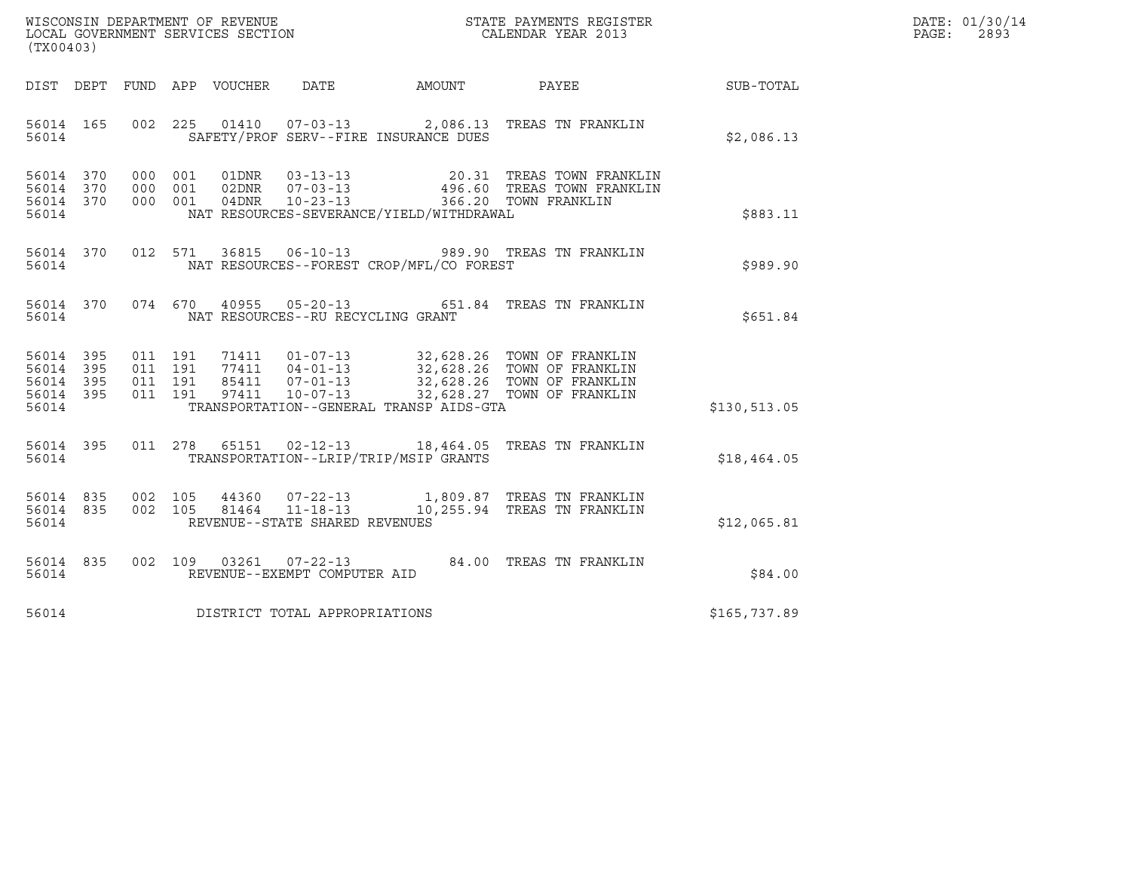| WISCONSIN DEPARTMENT OF REVENUE<br>LOCAL GOVERNMENT SERVICES SECTION | STATE PAYMENTS REGISTER<br>CALENDAR YEAR 2013 | DATE: 01/30/14<br>2893<br>PAGE: |
|----------------------------------------------------------------------|-----------------------------------------------|---------------------------------|

| (TX00403)                                                       |                              |                                       |                                                                            |                                                      |                                                                                                            |              |
|-----------------------------------------------------------------|------------------------------|---------------------------------------|----------------------------------------------------------------------------|------------------------------------------------------|------------------------------------------------------------------------------------------------------------|--------------|
| DIST<br>DEPT                                                    | FUND                         | APP VOUCHER DATE                      |                                                                            | AMOUNT                                               | PAYEE                                                                                                      | SUB-TOTAL    |
| 56014<br>165<br>56014                                           | 002                          |                                       |                                                                            | SAFETY/PROF SERV--FIRE INSURANCE DUES                | 225  01410  07-03-13  2,086.13  TREAS TN FRANKLIN                                                          | \$2,086.13   |
| 370<br>56014<br>370<br>56014<br>56014 370<br>56014              | 000<br>000<br>000 001        | 001<br>01DNR<br>001<br>02DNR<br>04DNR | $03 - 13 - 13$<br>$07 - 03 - 13$<br>$10 - 23 - 13$                         | 20.31<br>NAT RESOURCES-SEVERANCE/YIELD/WITHDRAWAL    | TREAS TOWN FRANKLIN<br>496.60 TREAS TOWN FRANKLIN<br>366.20 TOWN FRANKLIN                                  | \$883.11     |
| 56014<br>370<br>56014                                           | 012 571                      | 36815                                 | $06 - 10 - 13$                                                             | NAT RESOURCES--FOREST CROP/MFL/CO FOREST             | 989.90 TREAS TN FRANKLIN                                                                                   | \$989.90     |
| 56014 370<br>56014                                              | 074 670                      |                                       | NAT RESOURCES--RU RECYCLING GRANT                                          | 40955 05-20-13 651.84                                | TREAS TN FRANKLIN                                                                                          | \$651.84     |
| 56014 395<br>395<br>56014<br>56014 395<br>56014<br>395<br>56014 | 011 191<br>011<br>011<br>011 | 71411<br>191<br>191<br>191<br>97411   | $01 - 07 - 13$<br>$77411 04 - 01 - 13$<br>85411 07-01-13<br>$10 - 07 - 13$ | 32,628.27<br>TRANSPORTATION--GENERAL TRANSP AIDS-GTA | 32,628.26 TOWN OF FRANKLIN<br>32,628.26 TOWN OF FRANKLIN<br>32,628.26 TOWN OF FRANKLIN<br>TOWN OF FRANKLIN | \$130,513.05 |
| 56014 395<br>56014                                              | 011                          | 278<br>65151                          | $02 - 12 - 13$                                                             | 18,464.05<br>TRANSPORTATION--LRIP/TRIP/MSIP GRANTS   | TREAS TN FRANKLIN                                                                                          | \$18,464.05  |
| 835<br>56014<br>835<br>56014<br>56014                           | 002<br>002                   | 44360<br>105<br>105<br>81464          | $11 - 18 - 13$<br>REVENUE--STATE SHARED REVENUES                           | 10, 255.94                                           | 07-22-13 1,809.87 TREAS TN FRANKLIN<br>TREAS TN FRANKLIN                                                   | \$12,065.81  |
| 56014 835<br>56014                                              | 002                          | 109<br>03261                          | $07 - 22 - 13$<br>REVENUE--EXEMPT COMPUTER AID                             | 84.00                                                | TREAS TN FRANKLIN                                                                                          | \$84.00      |
| 56014                                                           |                              |                                       | DISTRICT TOTAL APPROPRIATIONS                                              |                                                      |                                                                                                            | \$165,737.89 |

(TX00403)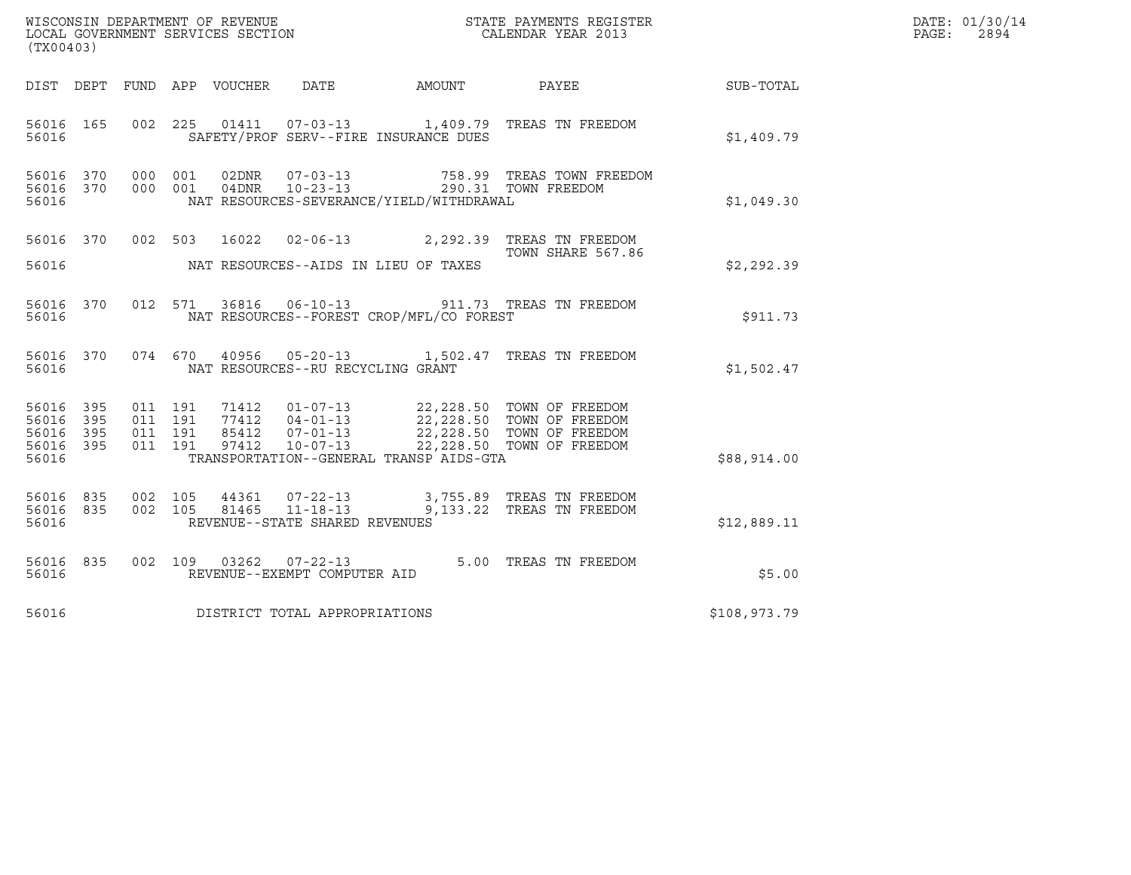| (TX00403)                                                 |                                          |         |                                 |                                                                    |                                          |                                                                                                                                                                                          |              | DATE: 01/30/14<br>PAGE:<br>2894 |
|-----------------------------------------------------------|------------------------------------------|---------|---------------------------------|--------------------------------------------------------------------|------------------------------------------|------------------------------------------------------------------------------------------------------------------------------------------------------------------------------------------|--------------|---------------------------------|
|                                                           |                                          |         | DIST DEPT FUND APP VOUCHER DATE |                                                                    | AMOUNT                                   | PAYEE                                                                                                                                                                                    | SUB-TOTAL    |                                 |
| 56016 165<br>56016                                        | 002 225                                  |         |                                 |                                                                    | SAFETY/PROF SERV--FIRE INSURANCE DUES    | 01411  07-03-13  1,409.79  TREAS TN FREEDOM                                                                                                                                              | \$1,409.79   |                                 |
| 56016 370<br>56016 370<br>56016                           | 000 001<br>000 001                       |         | 02DNR<br>04DNR                  | $07 - 03 - 13$<br>$10 - 23 - 13$                                   | NAT RESOURCES-SEVERANCE/YIELD/WITHDRAWAL | 758.99 TREAS TOWN FREEDOM<br>290.31 TOWN FREEDOM                                                                                                                                         | \$1,049.30   |                                 |
| 56016 370<br>56016                                        |                                          |         |                                 |                                                                    | NAT RESOURCES--AIDS IN LIEU OF TAXES     | 002 503 16022 02-06-13 2,292.39 TREAS TN FREEDOM<br>TOWN SHARE 567.86                                                                                                                    | \$2,292.39   |                                 |
| 56016 370<br>56016                                        |                                          | 012 571 |                                 |                                                                    | NAT RESOURCES--FOREST CROP/MFL/CO FOREST | 36816  06-10-13  911.73  TREAS TN FREEDOM                                                                                                                                                | \$911.73     |                                 |
| 56016 370<br>56016                                        |                                          |         |                                 | NAT RESOURCES--RU RECYCLING GRANT                                  |                                          | 074 670 40956 05-20-13 1,502.47 TREAS TN FREEDOM                                                                                                                                         | \$1,502.47   |                                 |
| 56016 395<br>56016 395<br>56016 395<br>56016 395<br>56016 | 011 191<br>011 191<br>011 191<br>011 191 |         |                                 |                                                                    | TRANSPORTATION--GENERAL TRANSP AIDS-GTA  | 71412  01-07-13  22,228.50  TOWN OF FREEDOM<br>77412  04-01-13  22,228.50  TOWN OF FREEDOM<br>85412  07-01-13  22,228.50  TOWN OF FREEDOM<br>97412  10-07-13  22,228.50  TOWN OF FREEDOM | \$88,914.00  |                                 |
| 56016 835<br>56016 835<br>56016                           | 002 105<br>002 105                       |         | 81465                           | 44361 07-22-13<br>$11 - 18 - 13$<br>REVENUE--STATE SHARED REVENUES |                                          | 3,755.89 TREAS TN FREEDOM<br>9,133.22 TREAS TN FREEDOM                                                                                                                                   | \$12,889.11  |                                 |
| 56016 835<br>56016                                        |                                          |         | 002 109 03262                   | $07 - 22 - 13$<br>REVENUE--EXEMPT COMPUTER AID                     |                                          | 5.00 TREAS TN FREEDOM                                                                                                                                                                    | \$5.00       |                                 |
| 56016                                                     |                                          |         |                                 | DISTRICT TOTAL APPROPRIATIONS                                      |                                          |                                                                                                                                                                                          | \$108,973.79 |                                 |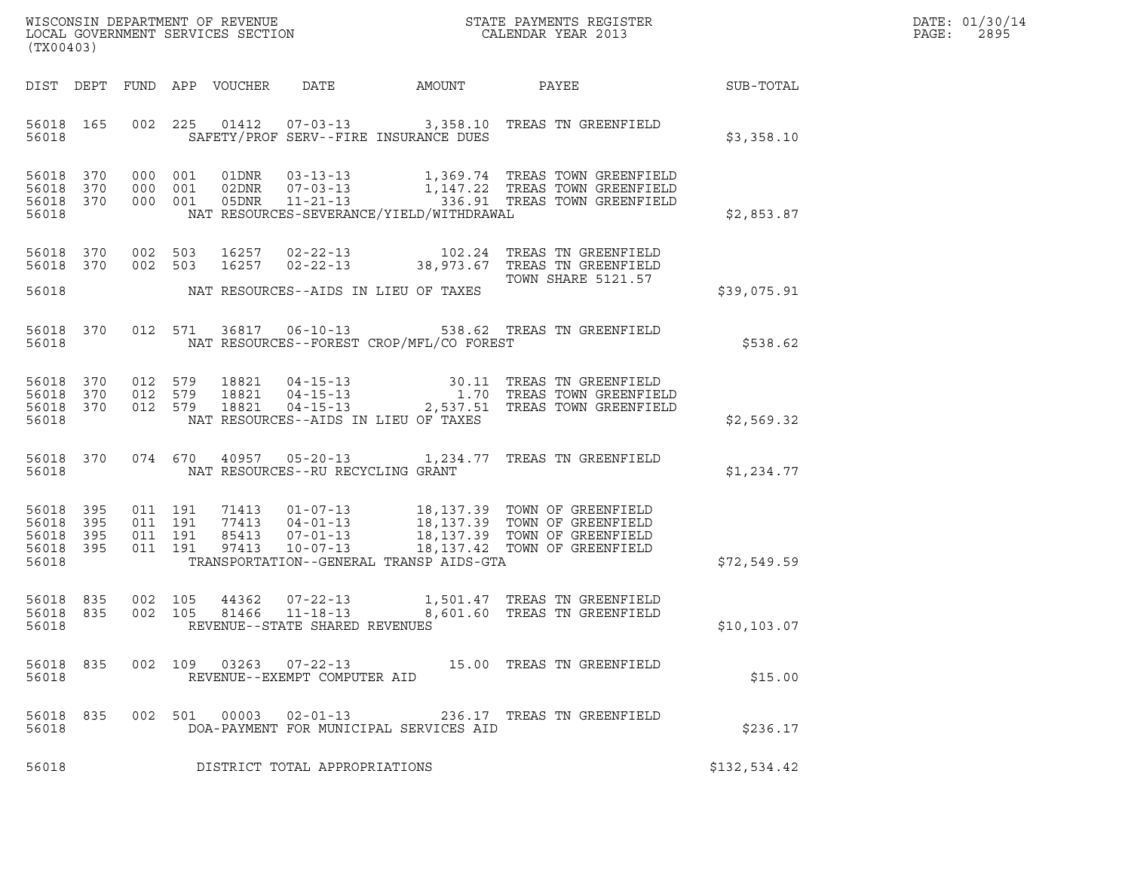|       | DATE: 01/30/14 |
|-------|----------------|
| PAGE: | 2895           |

| (TX00403)                                 |                          |                                          |                                 |                                                                  |              | ${\tt WISCOONSIM\ DEPARTMENT\ OF\ REVENUE}\ {\tt LOCALENDAR\ VERA}$ LOCAL GOVERNMENT SERVICES SECTION ${\tt LOCALENDAR\ VERAR\ 2013}$ |                  | DATE: 01/30/14<br>PAGE:<br>2895 |
|-------------------------------------------|--------------------------|------------------------------------------|---------------------------------|------------------------------------------------------------------|--------------|---------------------------------------------------------------------------------------------------------------------------------------|------------------|---------------------------------|
|                                           |                          |                                          | DIST DEPT FUND APP VOUCHER      | DATE                                                             | AMOUNT PAYEE |                                                                                                                                       | <b>SUB-TOTAL</b> |                                 |
| 56018 165<br>56018                        |                          |                                          |                                 | SAFETY/PROF SERV--FIRE INSURANCE DUES                            |              | 002 225 01412 07-03-13 3,358.10 TREAS TN GREENFIELD                                                                                   | \$3,358.10       |                                 |
| 56018<br>56018<br>56018<br>56018          | 370<br>370<br>370        | 000 001<br>000 001<br>000 001            |                                 | NAT RESOURCES-SEVERANCE/YIELD/WITHDRAWAL                         |              | 01DNR  03-13-13  1,369.74 TREAS TOWN GREENFIELD                                                                                       | \$2,853.87       |                                 |
| 56018 370<br>56018 370<br>56018           |                          | 002 503<br>002 503                       |                                 | NAT RESOURCES--AIDS IN LIEU OF TAXES                             |              | <b>TOWN SHARE 5121.57</b>                                                                                                             | \$39,075.91      |                                 |
| 56018                                     | 56018 370                |                                          |                                 | NAT RESOURCES--FOREST CROP/MFL/CO FOREST                         |              | 012 571 36817 06-10-13 538.62 TREAS TN GREENFIELD                                                                                     | \$538.62         |                                 |
| 56018<br>56018<br>56018<br>56018          | 370<br>370<br>370        | 012 579<br>012 579                       | 18821<br>18821<br>012 579 18821 | NAT RESOURCES--AIDS IN LIEU OF TAXES                             |              | 04-15-13 30.11 TREAS TN GREENFIELD<br>04-15-13 1.70 TREAS TOWN GREENFIELD<br>04-15-13 2,537.51 TREAS TOWN GREENFIELD                  | \$2,569.32       |                                 |
| 56018                                     | 56018 370                |                                          |                                 | NAT RESOURCES--RU RECYCLING GRANT                                |              | 074  670  40957  05-20-13   1,234.77  TREAS TN GREENFIELD                                                                             | \$1,234.77       |                                 |
| 56018<br>56018<br>56018<br>56018<br>56018 | 395<br>395<br>395<br>395 | 011 191<br>011 191<br>011 191<br>011 191 |                                 | TRANSPORTATION--GENERAL TRANSP AIDS-GTA                          |              |                                                                                                                                       | \$72,549.59      |                                 |
| 56018<br>56018 835<br>56018               | 835                      | 002 105<br>002 105                       | 44362<br>81466                  | $07 - 22 - 13$<br>11-18-13<br>REVENUE--STATE SHARED REVENUES     |              | 1,501.47 TREAS TN GREENFIELD<br>8,601.60 TREAS TN GREENFIELD                                                                          | \$10,103.07      |                                 |
| 56018 835<br>56018                        |                          |                                          |                                 | REVENUE--EXEMPT COMPUTER AID                                     |              | 002 109 03263 07-22-13 15.00 TREAS TN GREENFIELD                                                                                      | \$15.00          |                                 |
| 56018 835<br>56018                        |                          |                                          |                                 | 002 501 00003 02-01-13<br>DOA-PAYMENT FOR MUNICIPAL SERVICES AID |              | 236.17 TREAS TN GREENFIELD                                                                                                            | \$236.17         |                                 |
| 56018                                     |                          |                                          |                                 | DISTRICT TOTAL APPROPRIATIONS                                    |              |                                                                                                                                       | \$132,534.42     |                                 |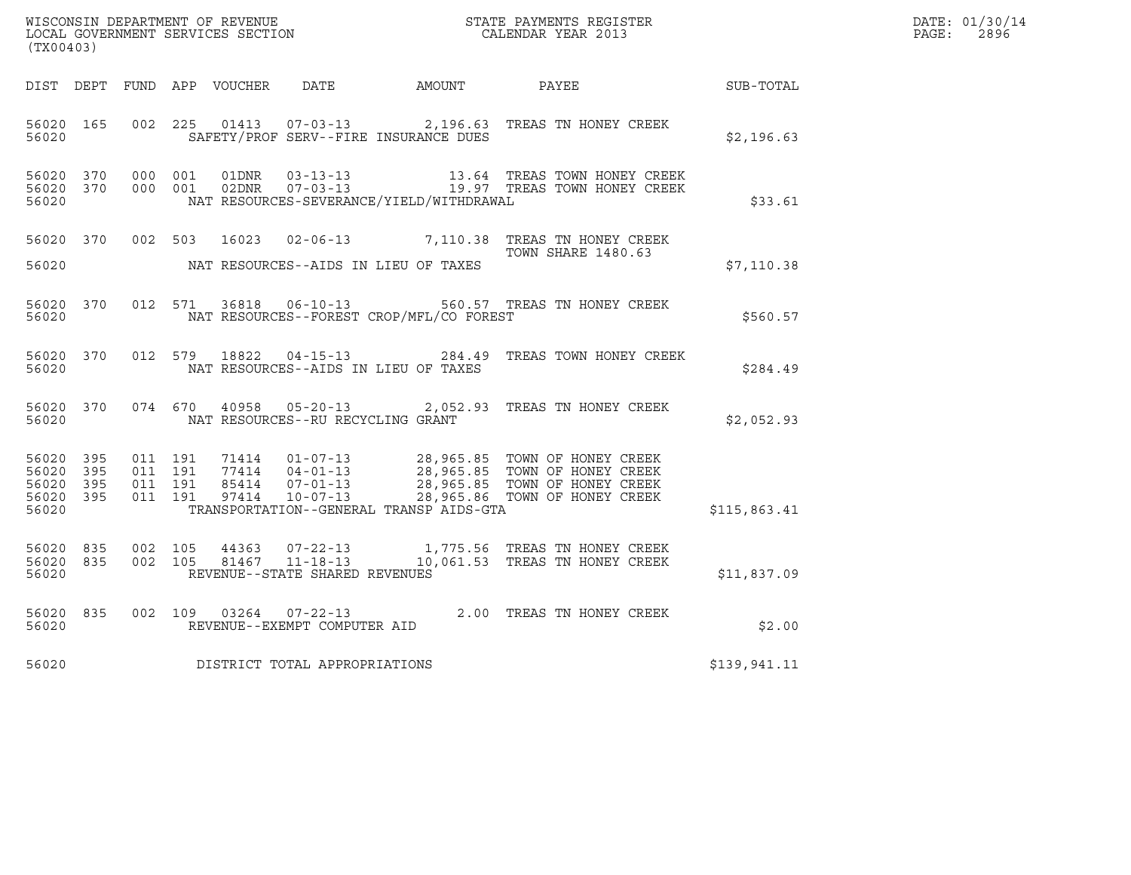| (TX00403)                                                 |           |                                          |       |                                   |                                              | WISCONSIN DEPARTMENT OF REVENUE<br>LOCAL GOVERNMENT SERVICES SECTION<br>CALENDAR YEAR 2013                                                                                                                                                |                  | DATE: 01/30/14<br>$\mathtt{PAGE:}$<br>2896 |
|-----------------------------------------------------------|-----------|------------------------------------------|-------|-----------------------------------|----------------------------------------------|-------------------------------------------------------------------------------------------------------------------------------------------------------------------------------------------------------------------------------------------|------------------|--------------------------------------------|
|                                                           |           |                                          |       |                                   | DIST DEPT FUND APP VOUCHER DATE AMOUNT PAYEE |                                                                                                                                                                                                                                           | <b>SUB-TOTAL</b> |                                            |
| 56020 165<br>56020                                        |           | 002 225                                  |       |                                   | SAFETY/PROF SERV--FIRE INSURANCE DUES        | 01413  07-03-13  2,196.63  TREAS TN HONEY CREEK                                                                                                                                                                                           | \$2,196.63       |                                            |
| 56020                                                     | 56020 370 | 56020 370 000 001<br>000 001             |       |                                   | NAT RESOURCES-SEVERANCE/YIELD/WITHDRAWAL     | $\begin{array}{ccccccccc}\n01\text{DNR} & 03-13-13 & & & 13.64 & \text{TREAS} & \text{TOWN} & \text{HONEY} & \text{CREEK} \\ 02\text{DNR} & 07-03-13 & & & 19.97 & \text{TREAS} & \text{TOWN} & \text{HONEY} & \text{CREEK}\n\end{array}$ | \$33.61          |                                            |
| 56020                                                     |           |                                          |       |                                   | NAT RESOURCES--AIDS IN LIEU OF TAXES         | 56020 370 002 503 16023 02-06-13 7,110.38 TREAS TN HONEY CREEK<br><b>TOWN SHARE 1480.63</b>                                                                                                                                               | \$7,110.38       |                                            |
| 56020                                                     | 56020 370 |                                          |       |                                   | NAT RESOURCES--FOREST CROP/MFL/CO FOREST     | 012 571 36818 06-10-13 560.57 TREAS TN HONEY CREEK                                                                                                                                                                                        | \$560.57         |                                            |
| 56020                                                     |           |                                          |       |                                   | NAT RESOURCES--AIDS IN LIEU OF TAXES         | 56020 370 012 579 18822 04-15-13 284.49 TREAS TOWN HONEY CREEK                                                                                                                                                                            | \$284.49         |                                            |
| 56020                                                     | 56020 370 |                                          |       | NAT RESOURCES--RU RECYCLING GRANT |                                              | 074 670 40958 05-20-13 2,052.93 TREAS TN HONEY CREEK                                                                                                                                                                                      | \$2,052.93       |                                            |
| 56020 395<br>56020 395<br>56020 395<br>56020 395<br>56020 |           | 011 191<br>011 191<br>011 191<br>011 191 |       |                                   | TRANSPORTATION--GENERAL TRANSP AIDS-GTA      | 71414  01-07-13  28,965.85  TOWN OF HONEY CREEK<br>77414  04-01-13  28,965.85  TOWN OF HONEY CREEK<br>85414  07-01-13  28,965.85  TOWN OF HONEY CREEK<br>97414  10-07-13  28,965.86  TOWN OF HONEY CREEK                                  | \$115,863.41     |                                            |
| 56020 835<br>56020 835<br>56020                           |           | 002 105<br>002 105                       | 44363 | REVENUE--STATE SHARED REVENUES    |                                              | 07-22-13 1,775.56 TREAS TN HONEY CREEK<br>81467  11-18-13  10,061.53  TREAS TN HONEY CREEK                                                                                                                                                | \$11,837.09      |                                            |
| 56020 835<br>56020                                        |           |                                          |       | REVENUE--EXEMPT COMPUTER AID      |                                              | 002 109 03264 07-22-13 2.00 TREAS TN HONEY CREEK                                                                                                                                                                                          | \$2.00           |                                            |
| 56020                                                     |           |                                          |       | DISTRICT TOTAL APPROPRIATIONS     |                                              |                                                                                                                                                                                                                                           | \$139,941.11     |                                            |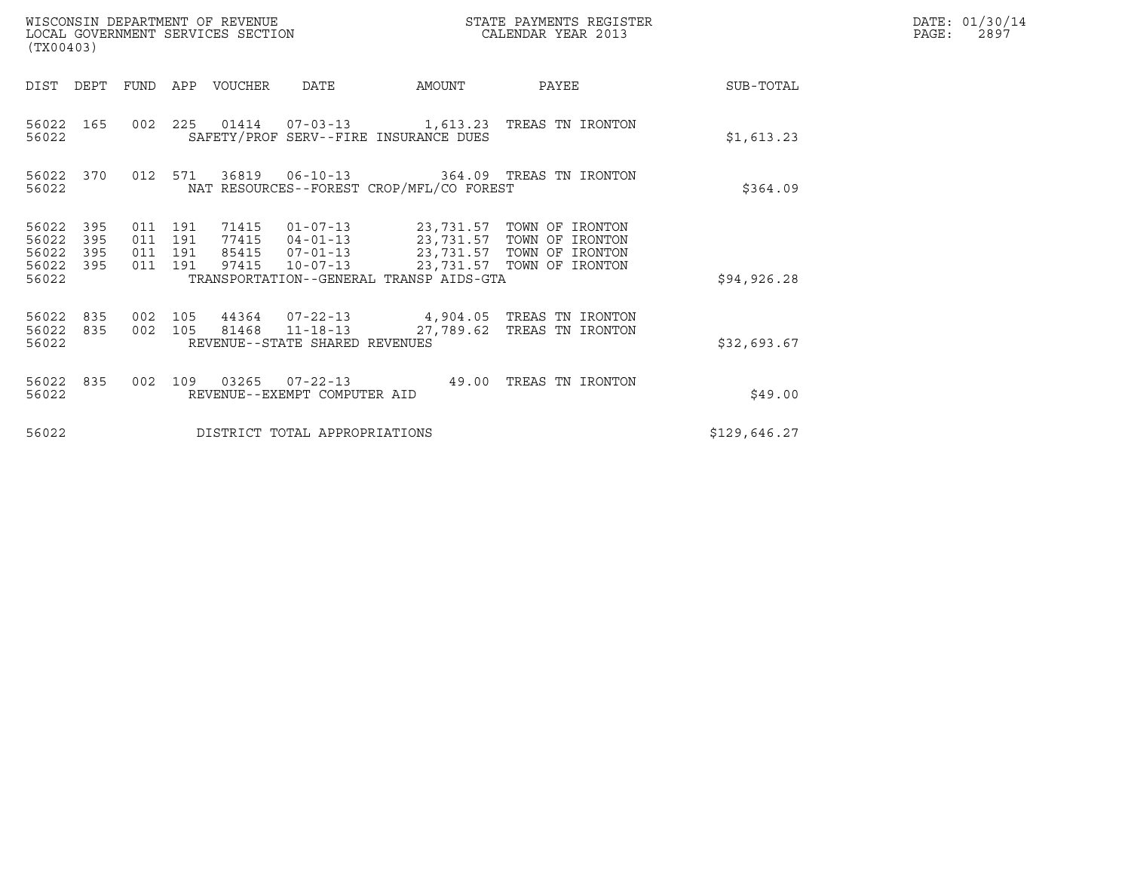| (TX00403)                                     |                   |                                          |     | WISCONSIN DEPARTMENT OF REVENUE<br>LOCAL GOVERNMENT SERVICES SECTION |                                                  |                                          | STATE PAYMENTS REGISTER<br>CALENDAR YEAR 2013                                                                                                                          |              | DATE: 01/30/14<br>PAGE:<br>2897 |
|-----------------------------------------------|-------------------|------------------------------------------|-----|----------------------------------------------------------------------|--------------------------------------------------|------------------------------------------|------------------------------------------------------------------------------------------------------------------------------------------------------------------------|--------------|---------------------------------|
| DIST                                          | DEPT              |                                          |     | FUND APP VOUCHER                                                     | DATE                                             | AMOUNT                                   | PAYEE                                                                                                                                                                  | SUB-TOTAL    |                                 |
| 56022                                         | 56022 165         |                                          |     |                                                                      |                                                  | SAFETY/PROF SERV--FIRE INSURANCE DUES    | 002 225 01414 07-03-13 1,613.23 TREAS TN IRONTON                                                                                                                       | \$1,613.23   |                                 |
| 56022                                         | 56022 370         | 012 571                                  |     |                                                                      |                                                  | NAT RESOURCES--FOREST CROP/MFL/CO FOREST | 36819  06-10-13  364.09  TREAS TN IRONTON                                                                                                                              | \$364.09     |                                 |
| 56022<br>56022<br>56022<br>56022 395<br>56022 | 395<br>395<br>395 | 011 191<br>011 191<br>011 191<br>011 191 |     | 97415                                                                | $10 - 07 - 13$                                   | TRANSPORTATION--GENERAL TRANSP AIDS-GTA  | 71415  01-07-13  23,731.57  TOWN OF IRONTON<br>77415  04-01-13  23,731.57  TOWN OF IRONTON<br>85415  07-01-13  23,731.57  TOWN OF IRONTON<br>23,731.57 TOWN OF IRONTON | \$94, 926.28 |                                 |
| 56022 835<br>56022<br>56022                   | 835               | 002 105<br>002 105                       |     |                                                                      | 81468 11-18-13<br>REVENUE--STATE SHARED REVENUES |                                          | 44364  07-22-13  4,904.05  TREAS TN IRONTON<br>27,789.62 TREAS TN IRONTON                                                                                              | \$32,693.67  |                                 |
| 56022 835<br>56022                            |                   | 002                                      | 109 |                                                                      | REVENUE--EXEMPT COMPUTER AID                     |                                          | TREAS TN IRONTON                                                                                                                                                       | \$49.00      |                                 |
| 56022                                         |                   |                                          |     |                                                                      | DISTRICT TOTAL APPROPRIATIONS                    |                                          |                                                                                                                                                                        | \$129,646.27 |                                 |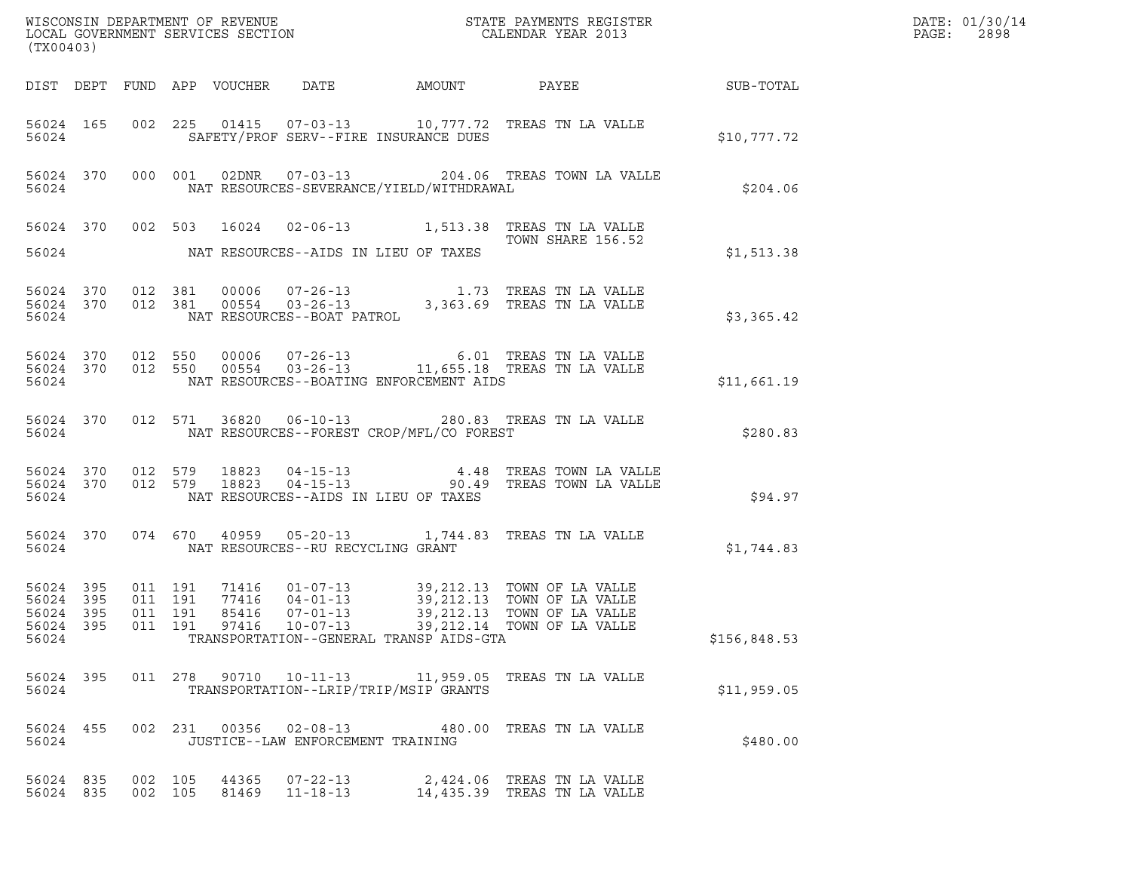| (TX00403)                       |           |                               |       |                                       |                                            |                                                                                                                                                                                           |              | DATE: 01/30/14<br>PAGE:<br>2898 |
|---------------------------------|-----------|-------------------------------|-------|---------------------------------------|--------------------------------------------|-------------------------------------------------------------------------------------------------------------------------------------------------------------------------------------------|--------------|---------------------------------|
|                                 |           |                               |       |                                       |                                            |                                                                                                                                                                                           |              |                                 |
|                                 | 56024     |                               |       | SAFETY/PROF SERV--FIRE INSURANCE DUES |                                            | 56024 165 002 225 01415 07-03-13 10,777.72 TREAS TN LA VALLE                                                                                                                              | \$10,777.72  |                                 |
| 56024                           |           |                               |       |                                       | NAT RESOURCES-SEVERANCE/YIELD/WITHDRAWAL   | 56024 370 000 001 02DNR 07-03-13 204.06 TREAS TOWN LA VALLE                                                                                                                               | \$204.06     |                                 |
|                                 |           |                               |       |                                       |                                            | 56024 370 002 503 16024 02-06-13 1,513.38 TREAS TN LA VALLE<br>TOWN SHARE 156.52                                                                                                          |              |                                 |
|                                 |           |                               |       |                                       | 56024 NAT RESOURCES--AIDS IN LIEU OF TAXES |                                                                                                                                                                                           | \$1,513.38   |                                 |
|                                 |           |                               |       |                                       |                                            |                                                                                                                                                                                           | \$3,365.42   |                                 |
| 56024                           |           |                               |       |                                       | NAT RESOURCES--BOATING ENFORCEMENT AIDS    | 56024 370 012 550 00006 07-26-13 6.01 TREAS TN LA VALLE 56024 370 012 550 00554 03-26-13 11,655.18 TREAS TN LA VALLE                                                                      | \$11,661.19  |                                 |
| 56024                           |           |                               |       |                                       | NAT RESOURCES--FOREST CROP/MFL/CO FOREST   | 56024 370 012 571 36820 06-10-13 280.83 TREAS TN LA VALLE                                                                                                                                 | \$280.83     |                                 |
| 56024                           |           |                               |       | NAT RESOURCES--AIDS IN LIEU OF TAXES  |                                            | 56024 370 012 579 18823 04-15-13 4.48 TREAS TOWN LA VALLE 56024 370 012 579 18823 04-15-13 90.49 TREAS TOWN LA VALLE                                                                      | \$94.97      |                                 |
|                                 | 56024     |                               |       | NAT RESOURCES--RU RECYCLING GRANT     |                                            | 56024 370 074 670 40959 05-20-13 1,744.83 TREAS TN LA VALLE                                                                                                                               | \$1,744.83   |                                 |
| 56024 395<br>56024 395<br>56024 | 56024 395 | 011 191<br>011 191<br>011 191 | 85416 | $07 - 01 - 13$                        | TRANSPORTATION--GENERAL TRANSP AIDS-GTA    | 71416  01-07-13  39,212.13  TOWN OF LA VALLE<br>77416  04-01-13  39,212.13  TOWN OF LA VALLE<br>39,212.13 TOWN OF LA VALLE<br>56024 395 011 191 97416 10-07-13 39,212.14 TOWN OF LA VALLE | \$156,848.53 |                                 |
| 56024 395<br>56024              |           |                               |       | TRANSPORTATION--LRIP/TRIP/MSIP GRANTS |                                            | 011  278  90710  10-11-13  11,959.05  TREAS TN LA VALLE                                                                                                                                   | \$11,959.05  |                                 |
| 56024 455<br>56024              |           |                               |       | JUSTICE--LAW ENFORCEMENT TRAINING     |                                            | 002 231 00356 02-08-13 480.00 TREAS TN LA VALLE                                                                                                                                           | \$480.00     |                                 |
| 56024 835<br>56024 835          |           | 002 105<br>002 105            |       | 81469 11-18-13                        |                                            | 44365 07-22-13 2,424.06 TREAS TN LA VALLE<br>14,435.39 TREAS TN LA VALLE                                                                                                                  |              |                                 |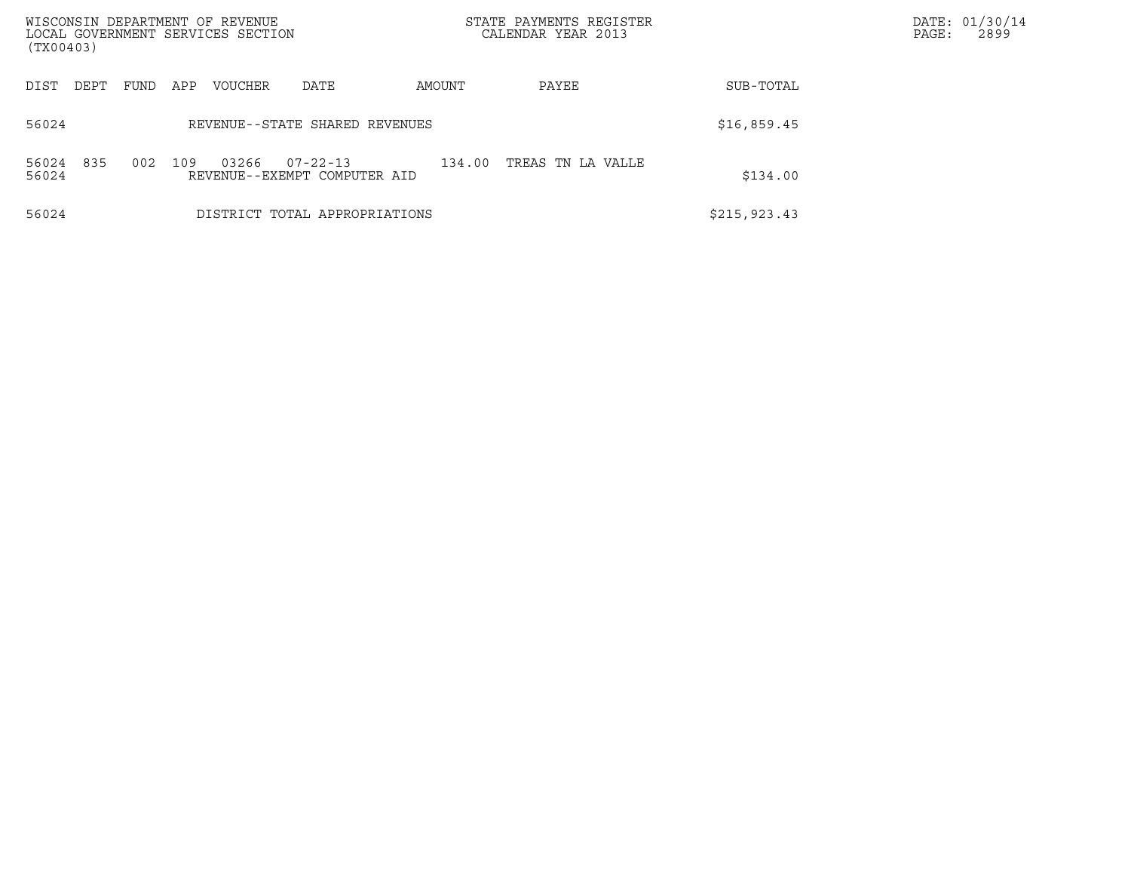| WISCONSIN DEPARTMENT OF REVENUE<br>LOCAL GOVERNMENT SERVICES SECTION<br>(TX00403) |                    |         |                                                |        | STATE PAYMENTS REGISTER<br>CALENDAR YEAR 2013 |               | DATE: 01/30/14<br>2899<br>PAGE: |
|-----------------------------------------------------------------------------------|--------------------|---------|------------------------------------------------|--------|-----------------------------------------------|---------------|---------------------------------|
| DIST<br>DEPT                                                                      | <b>FUND</b><br>APP | VOUCHER | DATE                                           | AMOUNT | PAYEE                                         | SUB-TOTAL     |                                 |
| 56024                                                                             |                    |         | REVENUE--STATE SHARED REVENUES                 |        |                                               | \$16,859.45   |                                 |
| 835<br>56024<br>56024                                                             | 002<br>109         | 03266   | $07 - 22 - 13$<br>REVENUE--EXEMPT COMPUTER AID | 134.00 | TREAS TN LA VALLE                             | \$134.00      |                                 |
| 56024                                                                             |                    |         | DISTRICT TOTAL APPROPRIATIONS                  |        |                                               | \$215, 923.43 |                                 |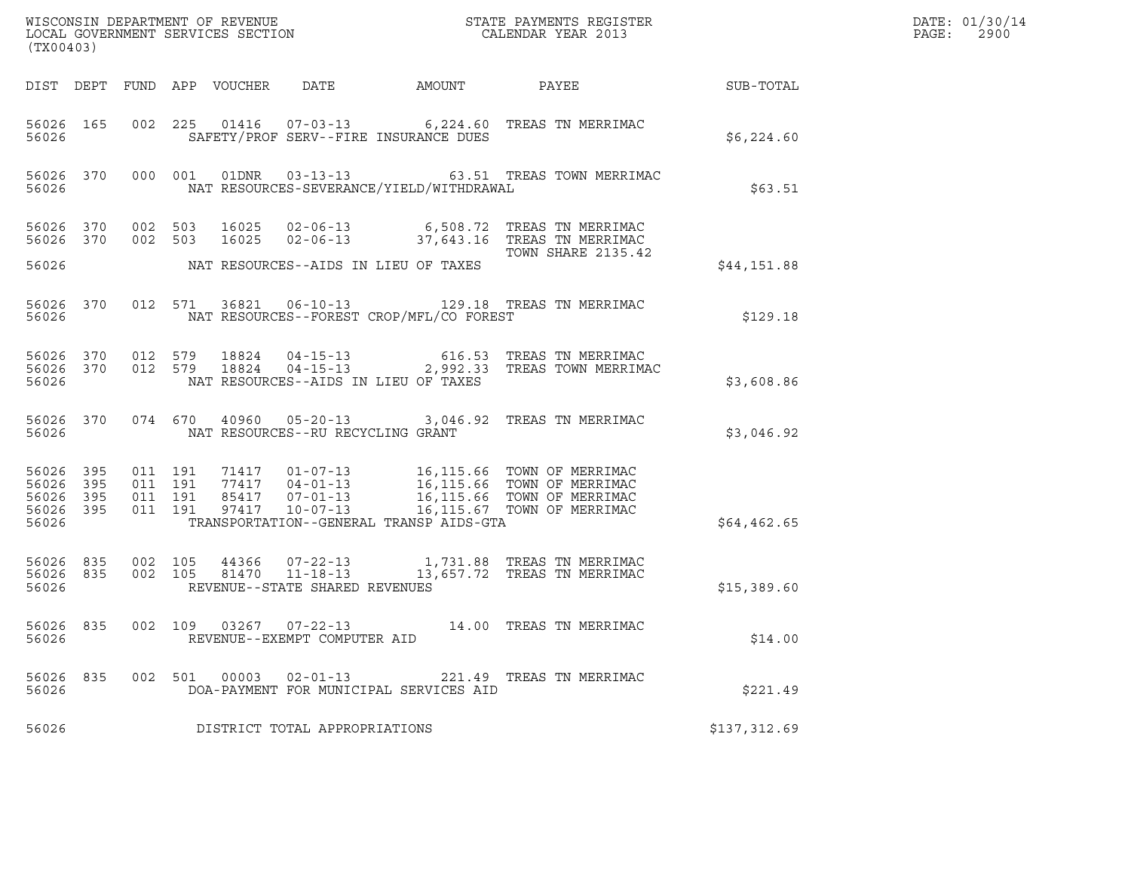| (TX00403)                                    |           |                                          |         |                                                        |                                          |                                                                                                                                                                                          |              | DATE: 01/30/14<br>PAGE:<br>2900 |
|----------------------------------------------|-----------|------------------------------------------|---------|--------------------------------------------------------|------------------------------------------|------------------------------------------------------------------------------------------------------------------------------------------------------------------------------------------|--------------|---------------------------------|
|                                              |           |                                          |         |                                                        | DIST DEPT FUND APP VOUCHER DATE AMOUNT   | PAYEE                                                                                                                                                                                    | SUB-TOTAL    |                                 |
| 56026                                        | 56026 165 |                                          |         |                                                        | SAFETY/PROF SERV--FIRE INSURANCE DUES    | 002 225 01416 07-03-13 6,224.60 TREAS TN MERRIMAC                                                                                                                                        | \$6,224.60   |                                 |
| 56026                                        |           | 56026 370 000 001                        |         |                                                        | NAT RESOURCES-SEVERANCE/YIELD/WITHDRAWAL | 01DNR  03-13-13  63.51 TREAS TOWN MERRIMAC                                                                                                                                               | \$63.51      |                                 |
|                                              | 56026 370 | 002 503                                  |         |                                                        |                                          | 56026 370 002 503 16025 02-06-13 6,508.72 TREAS TN MERRIMAC<br>16025  02-06-13  37,643.16  TREAS TN MERRIMAC                                                                             |              |                                 |
| 56026                                        |           |                                          |         |                                                        | NAT RESOURCES--AIDS IN LIEU OF TAXES     | TOWN SHARE 2135.42                                                                                                                                                                       | \$44,151.88  |                                 |
| 56026                                        | 56026 370 |                                          |         |                                                        | NAT RESOURCES--FOREST CROP/MFL/CO FOREST | 012 571 36821 06-10-13 129.18 TREAS TN MERRIMAC                                                                                                                                          | \$129.18     |                                 |
| 56026                                        |           |                                          |         |                                                        | NAT RESOURCES--AIDS IN LIEU OF TAXES     | 56026 370 012 579 18824 04-15-13 616.53 TREAS TN MERRIMAC<br>56026 370 012 579 18824 04-15-13 2,992.33 TREAS TOWN MERRIMAC                                                               | \$3,608.86   |                                 |
| 56026                                        | 56026 370 |                                          |         | NAT RESOURCES--RU RECYCLING GRANT                      |                                          | 074 670 40960 05-20-13 3,046.92 TREAS TN MERRIMAC                                                                                                                                        | \$3,046.92   |                                 |
| 56026 395<br>56026 395<br>56026 395<br>56026 | 56026 395 | 011 191<br>011 191<br>011 191<br>011 191 |         |                                                        | TRANSPORTATION--GENERAL TRANSP AIDS-GTA  | 71417  01-07-13  16,115.66 TOWN OF MERRIMAC<br>77417  04-01-13  16,115.66 TOWN OF MERRIMAC<br>85417  07-01-13  16,115.66 TOWN OF MERRIMAC<br>97417  10-07-13  16,115.67 TOWN OF MERRIMAC | \$64, 462.65 |                                 |
| 56026 835<br>56026 835<br>56026              |           | 002 105<br>002 105                       |         | 81470  11-18-13<br>REVENUE--STATE SHARED REVENUES      |                                          | 44366  07-22-13  1,731.88 TREAS TN MERRIMAC<br>13,657.72 TREAS TN MERRIMAC                                                                                                               | \$15,389.60  |                                 |
| 56026 835<br>56026                           |           |                                          |         | 002 109 03267 07-22-13<br>REVENUE--EXEMPT COMPUTER AID |                                          | 14.00 TREAS TN MERRIMAC                                                                                                                                                                  | \$14.00      |                                 |
| 56026 835<br>56026                           |           |                                          | 002 501 | 00003  02-01-13                                        | DOA-PAYMENT FOR MUNICIPAL SERVICES AID   | 221.49 TREAS TN MERRIMAC                                                                                                                                                                 | \$221.49     |                                 |
| 56026                                        |           |                                          |         | DISTRICT TOTAL APPROPRIATIONS                          |                                          |                                                                                                                                                                                          | \$137,312.69 |                                 |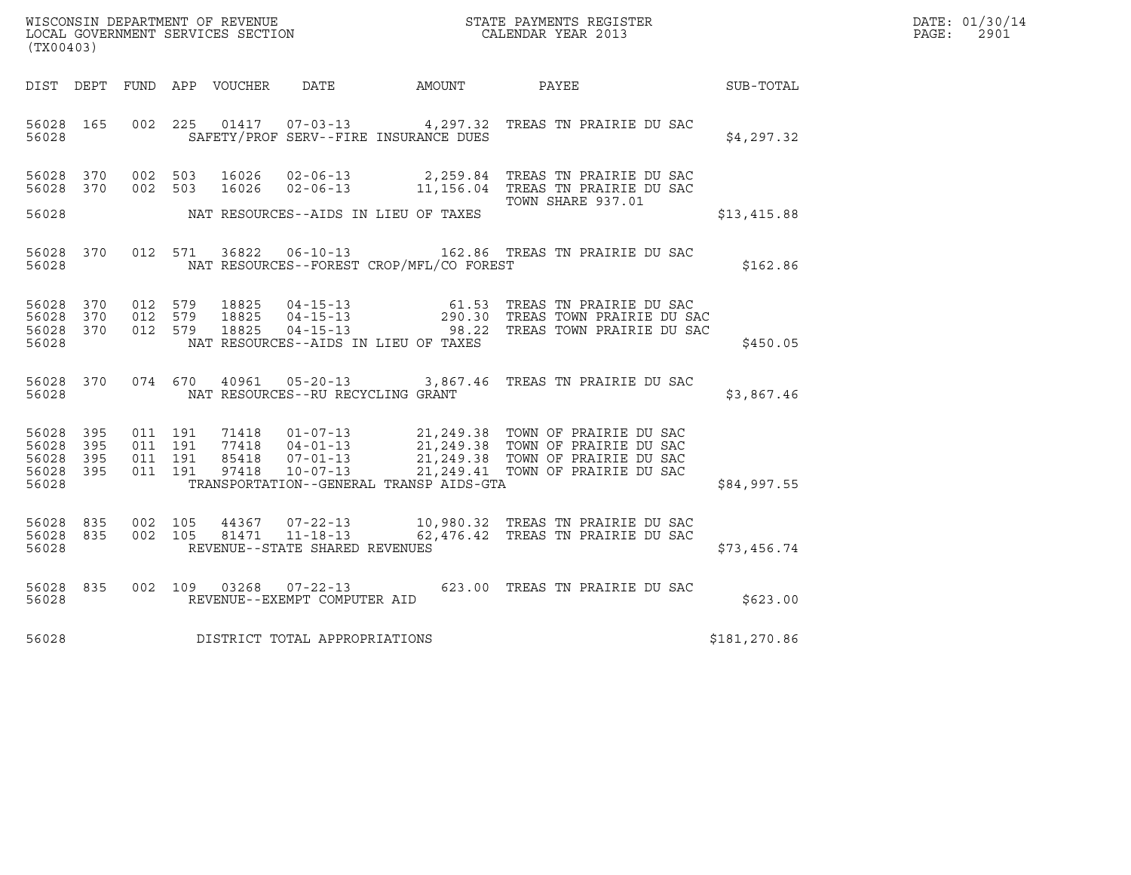| DATE: | 01/30/14 |
|-------|----------|
| PAGE: | 2901     |

| (TX00403)                                                 |  |  |                                     |                                                | WISCONSIN DEPARTMENT OF REVENUE<br>LOCAL GOVERNMENT SERVICES SECTION CALENDAR YEAR 2013                                                                                                                                                                                            | R            | DATE: 01/30/14<br>PAGE:<br>2901 |
|-----------------------------------------------------------|--|--|-------------------------------------|------------------------------------------------|------------------------------------------------------------------------------------------------------------------------------------------------------------------------------------------------------------------------------------------------------------------------------------|--------------|---------------------------------|
|                                                           |  |  |                                     |                                                | DIST DEPT FUND APP VOUCHER DATE AMOUNT PAYEE PAYES SUB-TOTAL                                                                                                                                                                                                                       |              |                                 |
| 56028                                                     |  |  |                                     | SAFETY/PROF SERV--FIRE INSURANCE DUES          | 56028 165 002 225 01417 07-03-13 4,297.32 TREAS TN PRAIRIE DU SAC                                                                                                                                                                                                                  | \$4,297.32   |                                 |
| 56028 370<br>56028 370                                    |  |  |                                     |                                                | 002 503 16026 02-06-13 2,259.84 TREAS TN PRAIRIE DU SAC<br>002 503 16026 02-06-13 11,156.04 TREAS TN PRAIRIE DU SAC<br>TOWN SHARE 937.01                                                                                                                                           |              |                                 |
|                                                           |  |  |                                     | 56028 MAT RESOURCES--AIDS IN LIEU OF TAXES     |                                                                                                                                                                                                                                                                                    | \$13,415.88  |                                 |
|                                                           |  |  |                                     | 56028 NAT RESOURCES--FOREST CROP/MFL/CO FOREST | 56028 370 012 571 36822 06-10-13 162.86 TREAS TN PRAIRIE DU SAC                                                                                                                                                                                                                    | \$162.86     |                                 |
| 56028 370<br>56028 370<br>56028 370<br>56028              |  |  |                                     | NAT RESOURCES--AIDS IN LIEU OF TAXES           | 012 579 18825 04-15-13 61.53 TREAS TN PRAIRIE DU SAC<br>012 579 18825 04-15-13 290.30 TREAS TOWN PRAIRIE DU SAC<br>012 579 18825 04-15-13 98.22 TREAS TOWN PRAIRIE DU SAC                                                                                                          | \$450.05     |                                 |
|                                                           |  |  |                                     | 56028 MAT RESOURCES--RU RECYCLING GRANT        | 56028 370 074 670 40961 05-20-13 3,867.46 TREAS TN PRAIRIE DU SAC                                                                                                                                                                                                                  | \$3,867.46   |                                 |
| 56028 395<br>56028 395<br>56028 395<br>56028 395<br>56028 |  |  |                                     |                                                | 011 191 71418 01-07-13 21,249.38 TOWN OF PRAIRIE DU SAC<br>011 191 77418 04-01-13 21,249.38 TOWN OF PRAIRIE DU SAC<br>011 191 85418 07-01-13 21,249.38 TOWN OF PRAIRIE DU SAC<br>011 191 97418 10-07-13 21,249.41 TOWN OF PRAIRIE DU SA<br>TRANSPORTATION--GENERAL TRANSP AIDS-GTA | \$84,997.55  |                                 |
| 56028 835<br>56028 835<br>56028                           |  |  | REVENUE--STATE SHARED REVENUES      |                                                | 002 105 44367 07-22-13 10,980.32 TREAS TN PRAIRIE DU SAC<br>002 105 81471 11-18-13 62,476.42 TREAS TN PRAIRIE DU SAC                                                                                                                                                               | \$73,456.74  |                                 |
| 56028 835<br>56028                                        |  |  | REVENUE--EXEMPT COMPUTER AID        |                                                | 002 109 03268 07-22-13 623.00 TREAS TN PRAIRIE DU SAC                                                                                                                                                                                                                              | \$623.00     |                                 |
|                                                           |  |  | 56028 DISTRICT TOTAL APPROPRIATIONS |                                                |                                                                                                                                                                                                                                                                                    | \$181,270.86 |                                 |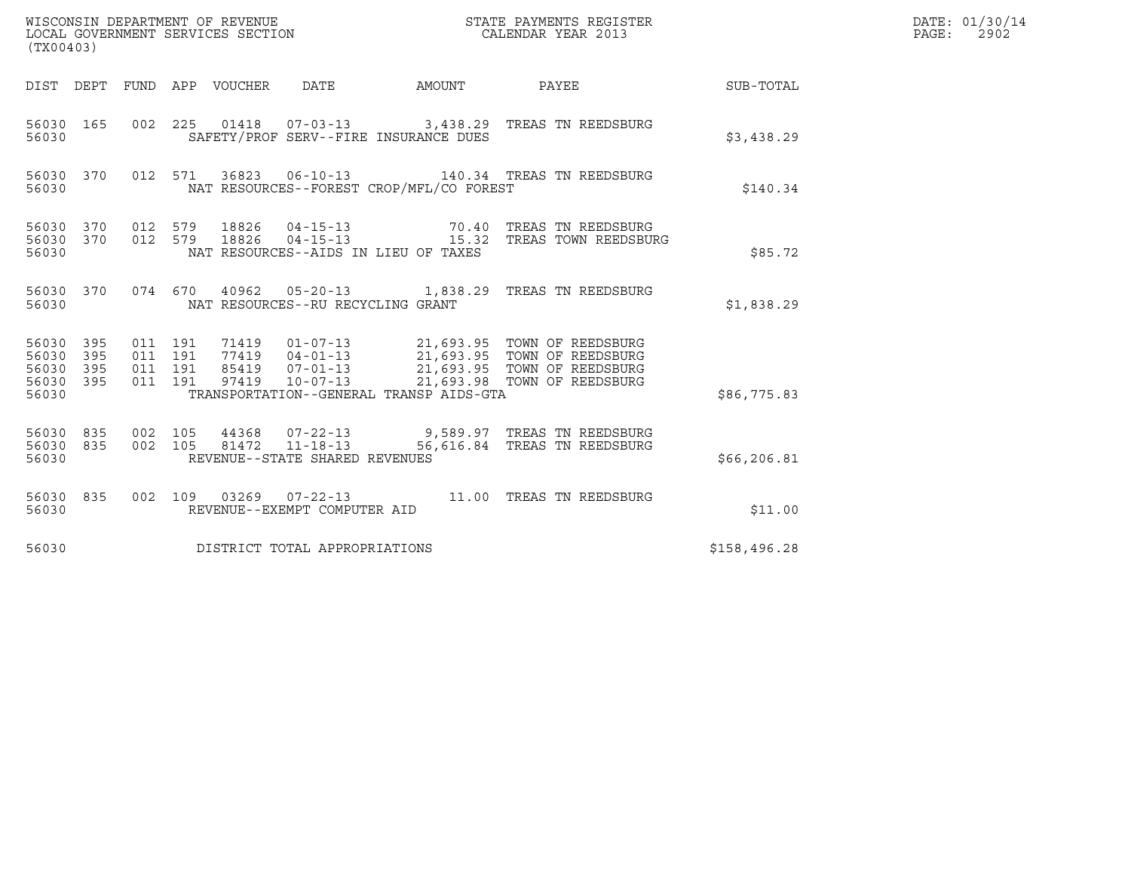| (TX00403)                                         |            |                                          |         |                                 | WISCONSIN DEPARTMENT OF REVENUE<br>LOCAL GOVERNMENT SERVICES SECTION |                                          | STATE PAYMENTS REGISTER<br>CALENDAR YEAR 2013                                                                                                                                  |                  | DATE: 01/30/14<br>$\mathtt{PAGE}$ :<br>2902 |
|---------------------------------------------------|------------|------------------------------------------|---------|---------------------------------|----------------------------------------------------------------------|------------------------------------------|--------------------------------------------------------------------------------------------------------------------------------------------------------------------------------|------------------|---------------------------------------------|
|                                                   |            |                                          |         | DIST DEPT FUND APP VOUCHER DATE |                                                                      | AMOUNT                                   | <b>PAYEE</b>                                                                                                                                                                   | <b>SUB-TOTAL</b> |                                             |
| 56030 165<br>56030                                |            |                                          |         |                                 |                                                                      | SAFETY/PROF SERV--FIRE INSURANCE DUES    | 002 225 01418 07-03-13 3,438.29 TREAS TN REEDSBURG                                                                                                                             | \$3,438.29       |                                             |
| 56030 370<br>56030                                |            |                                          | 012 571 |                                 |                                                                      | NAT RESOURCES--FOREST CROP/MFL/CO FOREST | 36823  06-10-13  140.34  TREAS TN REEDSBURG                                                                                                                                    | \$140.34         |                                             |
| 56030 370<br>56030 370<br>56030                   |            | 012 579<br>012 579                       |         | 18826<br>18826                  |                                                                      | NAT RESOURCES--AIDS IN LIEU OF TAXES     | 04-15-13 70.40 TREAS TN REEDSBURG<br>04-15-13 15.32 TREAS TOWN REEDSBURG                                                                                                       | \$85.72          |                                             |
| 56030 370<br>56030                                |            |                                          |         |                                 | NAT RESOURCES--RU RECYCLING GRANT                                    |                                          | 074 670 40962 05-20-13 1,838.29 TREAS TN REEDSBURG                                                                                                                             | \$1,838.29       |                                             |
| 56030 395<br>56030 395<br>56030<br>56030<br>56030 | 395<br>395 | 011 191<br>011 191<br>011 191<br>011 191 |         | 97419                           | $10 - 07 - 13$                                                       | TRANSPORTATION--GENERAL TRANSP AIDS-GTA  | 71419  01-07-13  21,693.95  TOWN OF REEDSBURG<br>77419  04-01-13  21,693.95  TOWN OF REEDSBURG<br>85419  07-01-13  21,693.95  TOWN OF REEDSBURG<br>21,693.98 TOWN OF REEDSBURG | \$86,775.83      |                                             |
| 56030 835<br>56030 835<br>56030                   |            | 002 105<br>002 105                       |         |                                 | 44368 07-22-13<br>81472 11-18-13<br>REVENUE--STATE SHARED REVENUES   |                                          | 9,589.97 TREAS TN REEDSBURG<br>56,616.84 TREAS TN REEDSBURG                                                                                                                    | \$66, 206.81     |                                             |
| 56030 835<br>56030                                |            |                                          |         |                                 | REVENUE--EXEMPT COMPUTER AID                                         |                                          | 002  109  03269  07-22-13  11.00  TREAS TN REEDSBURG                                                                                                                           | \$11.00          |                                             |
| 56030                                             |            |                                          |         |                                 | DISTRICT TOTAL APPROPRIATIONS                                        |                                          |                                                                                                                                                                                | \$158,496.28     |                                             |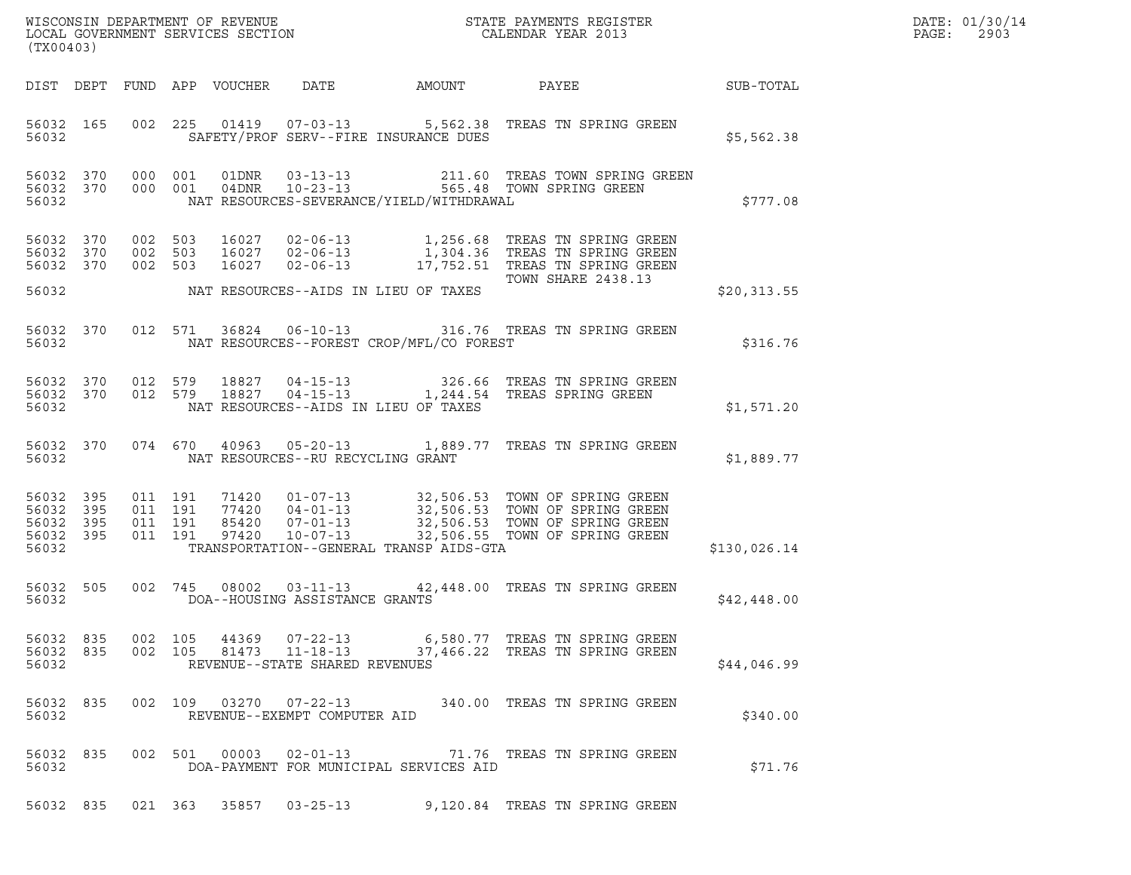| (TX00403)                                 |                          |                                          |                                                  |                                          | WISCONSIN DEPARTMENT OF REVENUE<br>LOCAL GOVERNMENT SERVICES SECTION<br>CALENDAR YEAR 2013                                                                                                                   |              | DATE: 01/30/14<br>PAGE:<br>2903 |
|-------------------------------------------|--------------------------|------------------------------------------|--------------------------------------------------|------------------------------------------|--------------------------------------------------------------------------------------------------------------------------------------------------------------------------------------------------------------|--------------|---------------------------------|
|                                           |                          | DIST DEPT FUND APP VOUCHER DATE          |                                                  | AMOUNT PAYEE                             |                                                                                                                                                                                                              | SUB-TOTAL    |                                 |
| 56032 165<br>56032                        |                          |                                          |                                                  | SAFETY/PROF SERV--FIRE INSURANCE DUES    | 002 225 01419 07-03-13 5,562.38 TREAS TN SPRING GREEN                                                                                                                                                        | \$5,562.38   |                                 |
| 56032 370<br>56032                        |                          | 56032 370 000 001                        |                                                  | NAT RESOURCES-SEVERANCE/YIELD/WITHDRAWAL | 000 001 01DNR 03-13-13 211.60 TREAS TOWN SPRING GREEN 000 001 04DNR 10-23-13 565.48 TOWN SPRING GREEN                                                                                                        | \$777.08     |                                 |
| 56032<br>56032 370<br>56032 370           | 370                      | 002 503<br>002 503<br>002 503            |                                                  |                                          | 16027 02-06-13 1,256.68 TREAS TN SPRING GREEN<br>16027 02-06-13 1,304.36 TREAS TN SPRING GREEN<br>16027 02-06-13 17,752.51 TREAS TN SPRING GREEN<br>TOWN SHARE 2438.13<br><b>TOWN SHARE 2438.13</b>          |              |                                 |
| 56032                                     |                          | NAT RESOURCES--AIDS IN LIEU OF TAXES     |                                                  |                                          |                                                                                                                                                                                                              | \$20,313.55  |                                 |
| 56032 370<br>56032                        |                          |                                          |                                                  | NAT RESOURCES--FOREST CROP/MFL/CO FOREST | 012 571 36824 06-10-13 316.76 TREAS TN SPRING GREEN                                                                                                                                                          | \$316.76     |                                 |
| 56032                                     |                          | NAT RESOURCES--AIDS IN LIEU OF TAXES     |                                                  |                                          | 56032 370 012 579 18827 04-15-13 326.66 TREAS TN SPRING GREEN<br>56032 370 012 579 18827 04-15-13 1,244.54 TREAS SPRING GREEN                                                                                | \$1,571.20   |                                 |
| 56032 370<br>56032                        |                          | NAT RESOURCES--RU RECYCLING GRANT        |                                                  |                                          | 074 670 40963 05-20-13 1,889.77 TREAS TN SPRING GREEN                                                                                                                                                        | \$1,889.77   |                                 |
| 56032<br>56032<br>56032<br>56032<br>56032 | 395<br>395<br>395<br>395 | 011 191<br>011 191<br>011 191<br>011 191 |                                                  | TRANSPORTATION--GENERAL TRANSP AIDS-GTA  | 71420  01-07-13  32,506.53  TOWN OF SPRING GREEN<br>77420  04-01-13  32,506.53  TOWN OF SPRING GREEN<br>85420  07-01-13  32,506.53  TOWN OF SPRING GREEN<br>97420  10-07-13  32,506.55  TOWN OF SPRING GREEN | \$130,026.14 |                                 |
| 56032 505<br>56032                        |                          |                                          | DOA--HOUSING ASSISTANCE GRANTS                   |                                          | 002 745 08002 03-11-13 42,448.00 TREAS TN SPRING GREEN                                                                                                                                                       | \$42,448.00  |                                 |
| 56032 835<br>56032 835<br>56032           |                          | 002 105<br>002 105                       | 44369 07-22-13<br>REVENUE--STATE SHARED REVENUES |                                          | 6,580.77   TREAS TN SPRING GREEN<br>81473  11-18-13  37,466.22  TREAS TN SPRING GREEN                                                                                                                        | \$44,046.99  |                                 |
| 56032 835<br>56032                        |                          |                                          | REVENUE--EXEMPT COMPUTER AID                     |                                          | 002 109 03270 07-22-13 340.00 TREAS TN SPRING GREEN                                                                                                                                                          | \$340.00     |                                 |
| 56032 835<br>56032                        |                          | 002 501 00003 02-01-13                   |                                                  | DOA-PAYMENT FOR MUNICIPAL SERVICES AID   | 71.76 TREAS TN SPRING GREEN                                                                                                                                                                                  | \$71.76      |                                 |
| 56032 835                                 |                          |                                          |                                                  |                                          |                                                                                                                                                                                                              |              |                                 |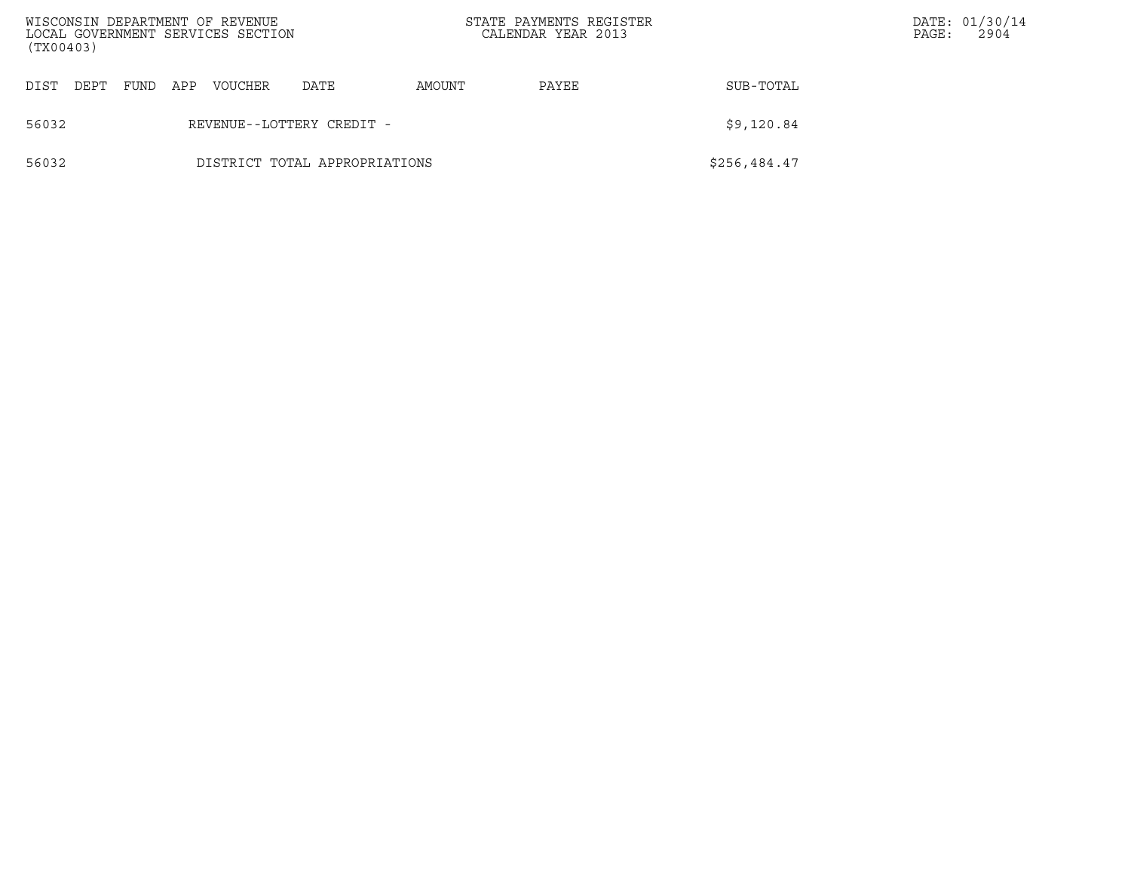| (TX00403) |      |      |     | WISCONSIN DEPARTMENT OF REVENUE<br>LOCAL GOVERNMENT SERVICES SECTION |                               |        | STATE PAYMENTS REGISTER<br>CALENDAR YEAR 2013 |              | PAGE: | DATE: 01/30/14<br>2904 |
|-----------|------|------|-----|----------------------------------------------------------------------|-------------------------------|--------|-----------------------------------------------|--------------|-------|------------------------|
| DIST      | DEPT | FUND | APP | <b>VOUCHER</b>                                                       | DATE                          | AMOUNT | PAYEE                                         | SUB-TOTAL    |       |                        |
| 56032     |      |      |     |                                                                      | REVENUE--LOTTERY CREDIT -     |        |                                               | \$9,120.84   |       |                        |
| 56032     |      |      |     |                                                                      | DISTRICT TOTAL APPROPRIATIONS |        |                                               | \$256,484.47 |       |                        |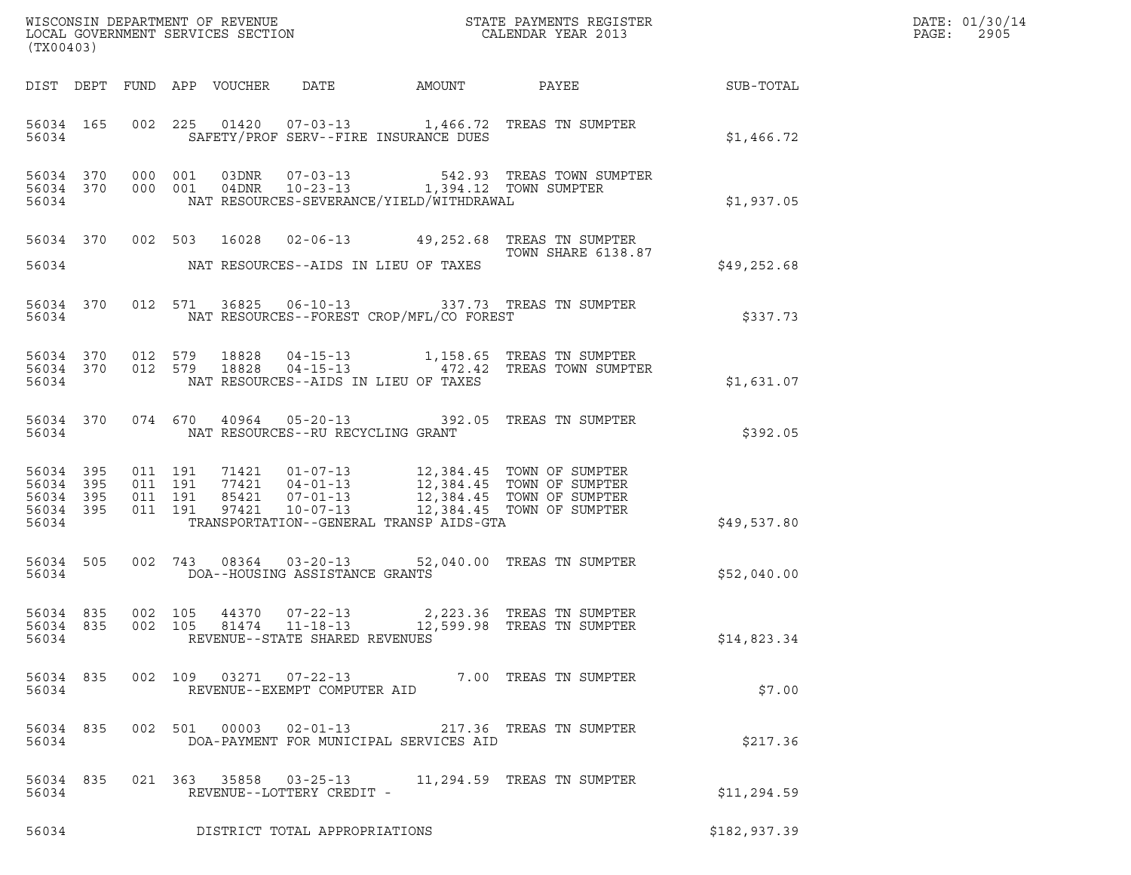| (TX00403)                                                 |                        |                               |                                                                  |                                   |                                          |                                                                                                                                                                                          |                 | DATE: 01/30/14<br>PAGE:<br>2905 |
|-----------------------------------------------------------|------------------------|-------------------------------|------------------------------------------------------------------|-----------------------------------|------------------------------------------|------------------------------------------------------------------------------------------------------------------------------------------------------------------------------------------|-----------------|---------------------------------|
|                                                           |                        |                               | DIST DEPT FUND APP VOUCHER DATE                                  |                                   | AMOUNT                                   |                                                                                                                                                                                          | PAYEE SUB-TOTAL |                                 |
| 56034                                                     |                        |                               |                                                                  |                                   | SAFETY/PROF SERV--FIRE INSURANCE DUES    | 56034 165 002 225 01420 07-03-13 1,466.72 TREAS TN SUMPTER                                                                                                                               | \$1,466.72      |                                 |
| 56034                                                     | 56034 370<br>56034 370 |                               |                                                                  |                                   | NAT RESOURCES-SEVERANCE/YIELD/WITHDRAWAL | 000 001 03DNR 07-03-13 542.93 TREAS TOWN SUMPTER<br>000 001 04DNR 10-23-13 1,394.12 TOWN SUMPTER                                                                                         | \$1,937.05      |                                 |
|                                                           | 56034 370              |                               |                                                                  |                                   |                                          | 002 503 16028 02-06-13 49,252.68 TREAS TN SUMPTER<br>TOWN SHARE 6138.87                                                                                                                  |                 |                                 |
| 56034                                                     |                        |                               |                                                                  |                                   | NAT RESOURCES--AIDS IN LIEU OF TAXES     |                                                                                                                                                                                          | \$49,252.68     |                                 |
| 56034                                                     |                        |                               |                                                                  |                                   | NAT RESOURCES--FOREST CROP/MFL/CO FOREST | 56034 370 012 571 36825 06-10-13 337.73 TREAS TN SUMPTER                                                                                                                                 | \$337.73        |                                 |
| 56034                                                     | 56034 370              |                               | 56034 370 012 579 18828<br>012 579<br>18828                      |                                   | NAT RESOURCES--AIDS IN LIEU OF TAXES     | 04-15-13 1,158.65 TREAS TN SUMPTER<br>04-15-13 172.42 TREAS TOWN SUMPTER                                                                                                                 | \$1,631.07      |                                 |
| 56034                                                     | 56034 370              |                               |                                                                  | NAT RESOURCES--RU RECYCLING GRANT |                                          | 074 670 40964 05-20-13 392.05 TREAS TN SUMPTER                                                                                                                                           | \$392.05        |                                 |
| 56034 395<br>56034 395<br>56034 395<br>56034 395<br>56034 |                        | 011 191<br>011 191<br>011 191 | 011 191                                                          |                                   | TRANSPORTATION--GENERAL TRANSP AIDS-GTA  | 71421  01-07-13  12,384.45  TOWN OF SUMPTER<br>77421  04-01-13  12,384.45  TOWN OF SUMPTER<br>85421  07-01-13  12,384.45  TOWN OF SUMPTER<br>97421  10-07-13  12,384.45  TOWN OF SUMPTER | \$49,537.80     |                                 |
| 56034                                                     | 56034 505              |                               | DOA--HOUSING ASSISTANCE GRANTS                                   |                                   |                                          | 002 743 08364 03-20-13 52,040.00 TREAS TN SUMPTER                                                                                                                                        | \$52,040.00     |                                 |
| 56034                                                     |                        |                               |                                                                  | REVENUE--STATE SHARED REVENUES    |                                          | 56034 835 002 105 44370 07-22-13 2,223.36 TREAS TN SUMPTER<br>56034 835 002 105 81474 11-18-13 12,599.98 TREAS TN SUMPTER                                                                | \$14,823.34     |                                 |
| 56034                                                     |                        |                               | 56034 835 002 109 03271 07-22-13<br>REVENUE--EXEMPT COMPUTER AID |                                   |                                          | 7.00 TREAS TN SUMPTER                                                                                                                                                                    | \$7.00          |                                 |
| 56034                                                     |                        |                               |                                                                  |                                   | DOA-PAYMENT FOR MUNICIPAL SERVICES AID   | 56034 835 002 501 00003 02-01-13 217.36 TREAS TN SUMPTER                                                                                                                                 | \$217.36        |                                 |
| 56034                                                     | 56034 835              |                               |                                                                  | REVENUE--LOTTERY CREDIT -         |                                          | 021 363 35858 03-25-13 11,294.59 TREAS TN SUMPTER                                                                                                                                        | \$11,294.59     |                                 |
| 56034                                                     |                        |                               |                                                                  | DISTRICT TOTAL APPROPRIATIONS     |                                          |                                                                                                                                                                                          | \$182,937.39    |                                 |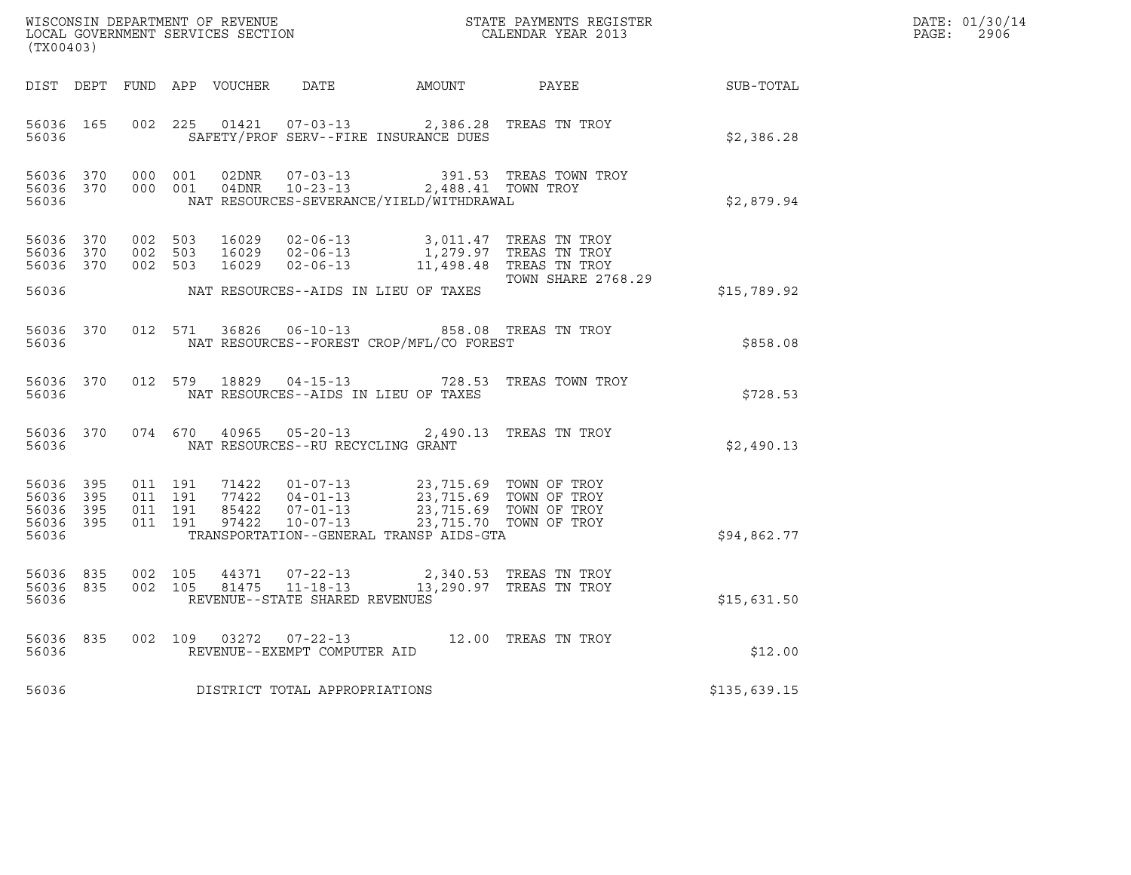| (TX00403)                            |                                |                               |         |                                   |                                                                                                                                                                                                                         | $\tt WISCONSIM DEPARTMENT OF REVENUE$ $\tt WISCONMIN SERS THE RAYMENT S REGISTERLOCAL GOVERNMENT SERVICES SECTION CALENDAR YEAR 2013$ |              | DATE: 01/30/14<br>$\mathtt{PAGE:}$<br>2906 |
|--------------------------------------|--------------------------------|-------------------------------|---------|-----------------------------------|-------------------------------------------------------------------------------------------------------------------------------------------------------------------------------------------------------------------------|---------------------------------------------------------------------------------------------------------------------------------------|--------------|--------------------------------------------|
|                                      |                                |                               |         |                                   |                                                                                                                                                                                                                         | DIST DEPT FUND APP VOUCHER DATE AMOUNT PAYEE PATE SUB-TOTAL                                                                           |              |                                            |
| 56036                                |                                |                               |         |                                   | 56036 165 002 225 01421 07-03-13 2,386.28 TREAS TN TROY<br>SAFETY/PROF SERV--FIRE INSURANCE DUES                                                                                                                        |                                                                                                                                       | \$2,386.28   |                                            |
| 56036                                | 56036 370 000 001<br>56036 370 |                               | 000 001 |                                   | NAT RESOURCES-SEVERANCE/YIELD/WITHDRAWAL                                                                                                                                                                                | $02DNR$ $07-03-13$ $04DNR$ $10-23-13$ $2,488.41$ TOWN TROY                                                                            | \$2,879.94   |                                            |
| 56036 370<br>56036 370               | 56036 370 002 503              | 002 503<br>002 503            |         |                                   | 16029  02-06-13  3,011.47  TREAS TN TROY<br>16029  02-06-13  1,279.97  TREAS TN TROY<br>16029  02-06-13  11,498.48  TREAS TN TROY                                                                                       | <b>TOWN SHARE 2768.29</b>                                                                                                             |              |                                            |
| 56036                                |                                |                               |         |                                   | NAT RESOURCES--AIDS IN LIEU OF TAXES                                                                                                                                                                                    |                                                                                                                                       | \$15,789.92  |                                            |
| 56036                                |                                |                               |         |                                   | 56036 370 012 571 36826 06-10-13 858.08 TREAS TN TROY<br>NAT RESOURCES--FOREST CROP/MFL/CO FOREST                                                                                                                       |                                                                                                                                       | \$858.08     |                                            |
| 56036                                | 56036 370                      |                               |         |                                   | NAT RESOURCES--AIDS IN LIEU OF TAXES                                                                                                                                                                                    | 012 579 18829 04-15-13 728.53 TREAS TOWN TROY                                                                                         | \$728.53     |                                            |
| 56036                                |                                |                               |         | NAT RESOURCES--RU RECYCLING GRANT | 56036 370 074 670 40965 05-20-13 2,490.13 TREAS TN TROY                                                                                                                                                                 |                                                                                                                                       | \$2,490.13   |                                            |
| 56036 395<br>56036<br>56036<br>56036 | 395<br>395<br>56036 395        | 011 191<br>011 191<br>011 191 | 011 191 |                                   | 71422  01-07-13  23,715.69  TOWN OF TROY<br>77422  04-01-13  23,715.69  TOWN OF TROY<br>85422  07-01-13  23,715.69  TOWN OF TROY<br>97422  10-07-13  23,715.70  TOWN OF TROY<br>TRANSPORTATION--GENERAL TRANSP AIDS-GTA |                                                                                                                                       | \$94,862.77  |                                            |
| 56036 835<br>56036                   | 56036 835                      | 002 105<br>002 105            |         | REVENUE--STATE SHARED REVENUES    | $\begin{array}{cccc} 44371 & 07\texttt{-}22\texttt{-}13 & 2,340.53 & \texttt{TREAS TN TROY} \\ 81475 & 11\texttt{-}18\texttt{-}13 & 13,290.97 & \texttt{TREAS TN TROY} \end{array}$                                     |                                                                                                                                       | \$15,631.50  |                                            |
| 56036                                | 56036 835                      |                               |         | REVENUE--EXEMPT COMPUTER AID      | 002 109 03272 07-22-13 12.00 TREAS TN TROY                                                                                                                                                                              |                                                                                                                                       | \$12.00      |                                            |
| 56036                                |                                |                               |         | DISTRICT TOTAL APPROPRIATIONS     |                                                                                                                                                                                                                         |                                                                                                                                       | \$135,639.15 |                                            |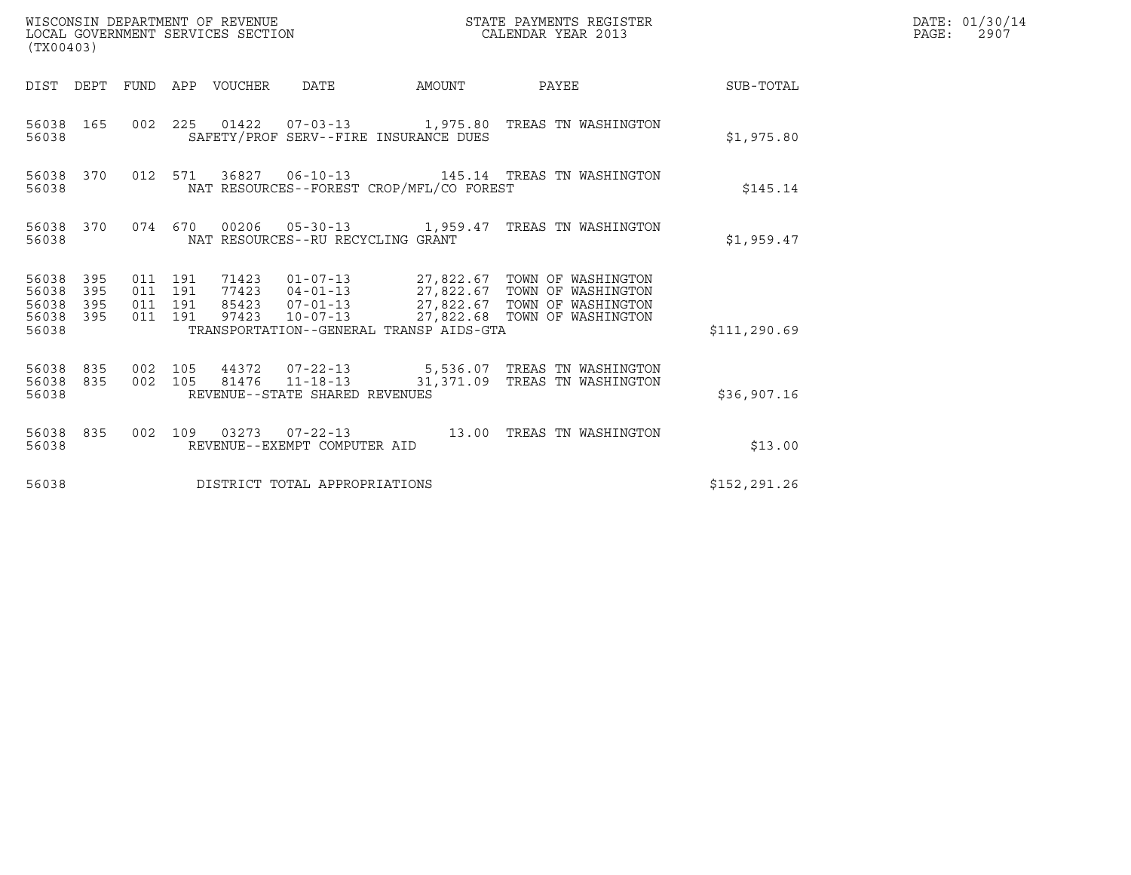| (TX00403)                                                             |                                          | WISCONSIN DEPARTMENT OF REVENUE<br>LOCAL GOVERNMENT SERVICES SECTION |                                                   |        | STATE PAYMENTS REGISTER<br>CALENDAR YEAR 2013                                                                                                                                                        |                  | DATE: 01/30/14<br>$\mathtt{PAGE:}$<br>2907 |
|-----------------------------------------------------------------------|------------------------------------------|----------------------------------------------------------------------|---------------------------------------------------|--------|------------------------------------------------------------------------------------------------------------------------------------------------------------------------------------------------------|------------------|--------------------------------------------|
|                                                                       |                                          | DIST DEPT FUND APP VOUCHER DATE                                      |                                                   | AMOUNT | PAYEE                                                                                                                                                                                                | <b>SUB-TOTAL</b> |                                            |
| 56038 165<br>56038                                                    |                                          |                                                                      | SAFETY/PROF SERV--FIRE INSURANCE DUES             |        | 002 225 01422 07-03-13 1,975.80 TREAS TN WASHINGTON                                                                                                                                                  | \$1,975.80       |                                            |
| 56038 370<br>56038                                                    |                                          |                                                                      | NAT RESOURCES--FOREST CROP/MFL/CO FOREST          |        | 012 571 36827 06-10-13 145.14 TREAS TN WASHINGTON                                                                                                                                                    | \$145.14         |                                            |
| 56038 370<br>56038                                                    |                                          |                                                                      | NAT RESOURCES--RU RECYCLING GRANT                 |        | 074 670 00206 05-30-13 1,959.47 TREAS TN WASHINGTON                                                                                                                                                  | \$1,959.47       |                                            |
| 395<br>56038<br>56038<br>395<br>56038<br>395<br>56038<br>395<br>56038 | 011 191<br>011 191<br>011 191<br>011 191 | 97423                                                                | TRANSPORTATION--GENERAL TRANSP AIDS-GTA           |        | 71423   01-07-13   27,822.67   TOWN OF WASHINGTON<br>77423   04-01-13   27,822.67   TOWN OF WASHINGTON<br>85423   07-01-13   27,822.67   TOWN OF WASHINGTON<br>10-07-13 27,822.68 TOWN OF WASHINGTON | \$111, 290.69    |                                            |
| 56038 835<br>56038 835<br>56038                                       | 002 105<br>002 105                       |                                                                      | 81476  11-18-13<br>REVENUE--STATE SHARED REVENUES |        | 44372  07-22-13  5,536.07  TREAS TN WASHINGTON<br>31,371.09 TREAS TN WASHINGTON                                                                                                                      | \$36,907.16      |                                            |
| 56038 835<br>56038                                                    |                                          |                                                                      | REVENUE--EXEMPT COMPUTER AID                      |        | 002 109 03273 07-22-13 13.00 TREAS TN WASHINGTON                                                                                                                                                     | \$13.00          |                                            |
| 56038                                                                 |                                          | DISTRICT TOTAL APPROPRIATIONS                                        |                                                   |        |                                                                                                                                                                                                      | \$152,291.26     |                                            |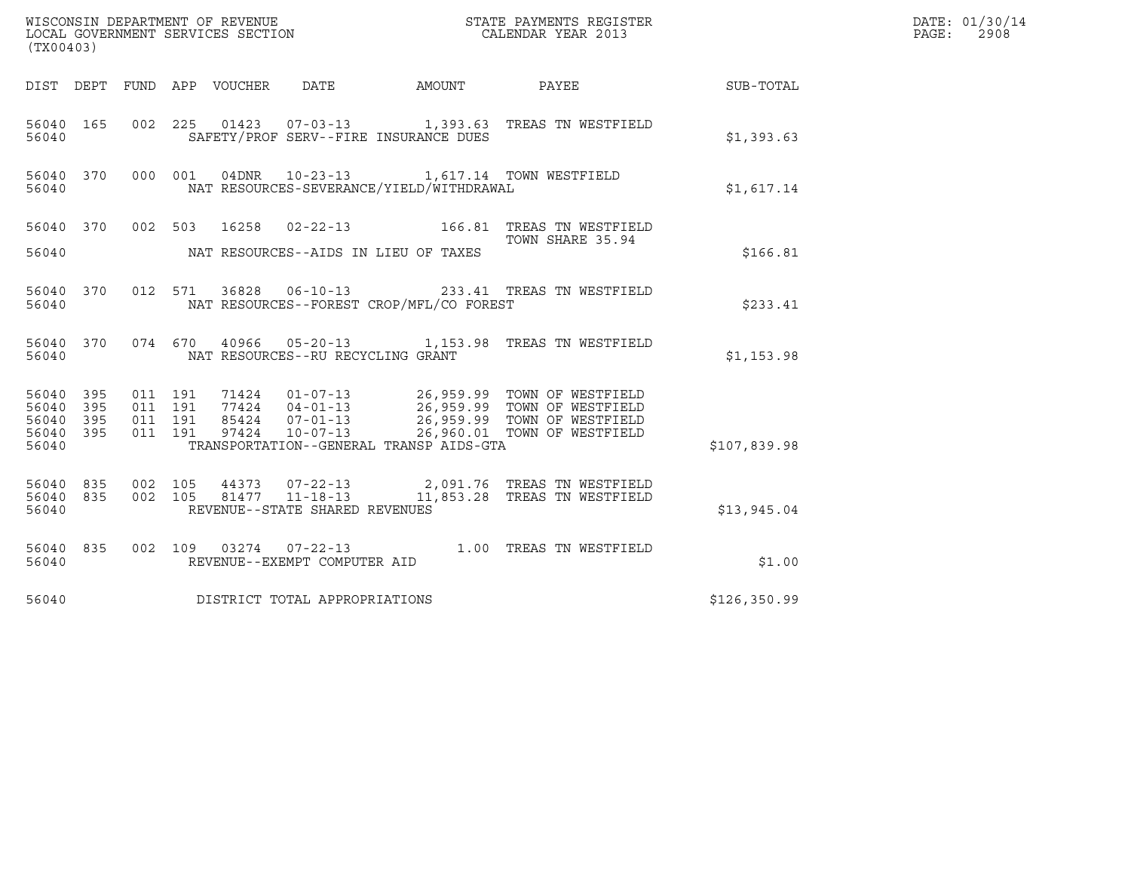| (TX00403)                                                                                                |                                                                                                                                                                                                                                                         |                  |               | DATE: 01/30/14<br>PAGE:<br>2908 |
|----------------------------------------------------------------------------------------------------------|---------------------------------------------------------------------------------------------------------------------------------------------------------------------------------------------------------------------------------------------------------|------------------|---------------|---------------------------------|
| DIST DEPT FUND APP VOUCHER DATE                                                                          |                                                                                                                                                                                                                                                         | AMOUNT PAYEE     | SUB-TOTAL     |                                 |
| 56040 165<br>56040                                                                                       | 002 225 01423 07-03-13 1,393.63 TREAS TN WESTFIELD<br>SAFETY/PROF SERV--FIRE INSURANCE DUES                                                                                                                                                             |                  | \$1,393.63    |                                 |
| 56040 370 000 001<br>56040                                                                               | 04DNR  10-23-13   1,617.14   TOWN WESTFIELD<br>NAT RESOURCES-SEVERANCE/YIELD/WITHDRAWAL                                                                                                                                                                 |                  | \$1,617.14    |                                 |
| 56040 370 002 503 16258 02-22-13 166.81 TREAS TN WESTFIELD                                               |                                                                                                                                                                                                                                                         | TOWN SHARE 35.94 |               |                                 |
| 56040                                                                                                    | NAT RESOURCES--AIDS IN LIEU OF TAXES                                                                                                                                                                                                                    |                  | \$166.81      |                                 |
| 56040 370 012 571 36828 06-10-13 233.41 TREAS TN WESTFIELD<br>56040                                      | NAT RESOURCES--FOREST CROP/MFL/CO FOREST                                                                                                                                                                                                                |                  | \$233.41      |                                 |
| 56040 370 074 670 40966 05-20-13 1,153.98 TREAS TN WESTFIELD<br>56040                                    | NAT RESOURCES--RU RECYCLING GRANT                                                                                                                                                                                                                       |                  | \$1,153.98    |                                 |
| 56040 395<br>011 191<br>395<br>011 191<br>56040<br>011 191<br>56040 395<br>011 191<br>56040 395<br>56040 | 71424   01-07-13   26,959.99   TOWN OF WESTFIELD<br>77424   04-01-13   26,959.99   TOWN OF WESTFIELD<br>85424   07-01-13   26,959.99   TOWN OF WESTFIELD<br>97424   10-07-13   26,960.01   TOWN OF WESTFIELD<br>TRANSPORTATION--GENERAL TRANSP AIDS-GTA |                  | \$107,839.98  |                                 |
| 56040 835<br>56040 835<br>56040                                                                          | 002 105  44373  07-22-13  2,091.76 TREAS TN WESTFIELD<br>002  105  81477  11-18-13  11,853.28 TREAS TN WESTFIELD<br>REVENUE--STATE SHARED REVENUES                                                                                                      |                  | \$13,945.04   |                                 |
| 56040 835<br>56040                                                                                       | 002 109 03274 07-22-13 1.00 TREAS TN WESTFIELD<br>REVENUE--EXEMPT COMPUTER AID                                                                                                                                                                          |                  | \$1.00        |                                 |
| DISTRICT TOTAL APPROPRIATIONS<br>56040                                                                   |                                                                                                                                                                                                                                                         |                  | \$126, 350.99 |                                 |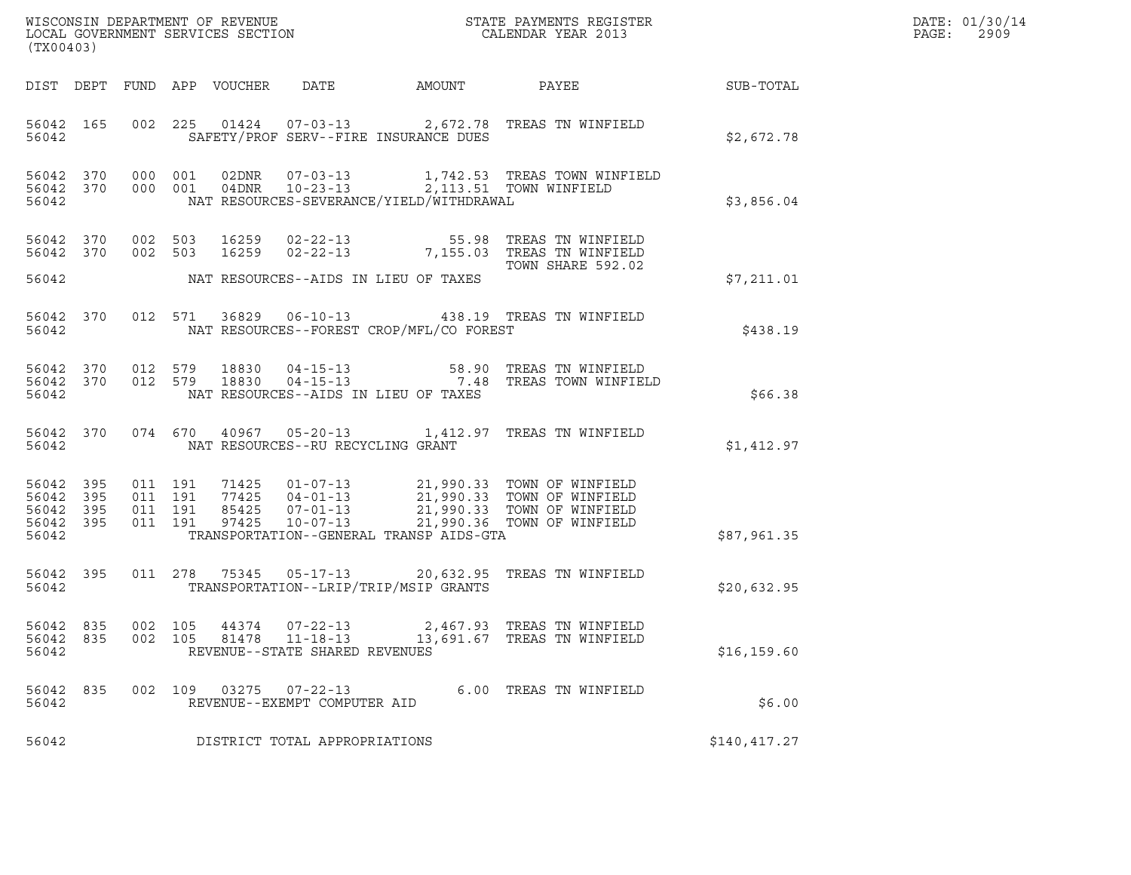| DATE: | 01/30/14 |
|-------|----------|
| PAGE: | 2909     |

| (TX00403)                                             |     |                    |  |                |                                                                    |                                            |                                                                                                                                                                                                                  | DATE: 01/30/14<br>PAGE:<br>2909 |  |
|-------------------------------------------------------|-----|--------------------|--|----------------|--------------------------------------------------------------------|--------------------------------------------|------------------------------------------------------------------------------------------------------------------------------------------------------------------------------------------------------------------|---------------------------------|--|
|                                                       |     |                    |  |                |                                                                    |                                            |                                                                                                                                                                                                                  |                                 |  |
| 56042                                                 |     |                    |  |                |                                                                    | SAFETY/PROF SERV--FIRE INSURANCE DUES      | 56042 165 002 225 01424 07-03-13 2,672.78 TREAS TN WINFIELD                                                                                                                                                      | \$2,672.78                      |  |
| 56042                                                 |     |                    |  |                |                                                                    | NAT RESOURCES-SEVERANCE/YIELD/WITHDRAWAL   | 56042 370 000 001 02DNR 07-03-13 1,742.53 TREAS TOWN WINFIELD<br>56042 370 000 001 04DNR 10-23-13 2,113.51 TOWN WINFIELD                                                                                         | \$3,856.04                      |  |
| 56042 370<br>56042 370                                |     |                    |  |                |                                                                    |                                            | 002 503 16259 02-22-13 55.98 TREAS TN WINFIELD<br>002 503 16259 02-22-13 7,155.03 TREAS TN WINFIELD<br>TOWN SHARE 592.02                                                                                         |                                 |  |
|                                                       |     |                    |  |                |                                                                    | 56042 MAT RESOURCES--AIDS IN LIEU OF TAXES |                                                                                                                                                                                                                  | \$7,211.01                      |  |
| 56042                                                 |     |                    |  |                |                                                                    | NAT RESOURCES--FOREST CROP/MFL/CO FOREST   | 56042 370 012 571 36829 06-10-13 438.19 TREAS TN WINFIELD                                                                                                                                                        | \$438.19                        |  |
| 56042                                                 |     |                    |  |                |                                                                    | NAT RESOURCES--AIDS IN LIEU OF TAXES       | 56042 370 012 579 18830 04-15-13 58.90 TREAS TN WINFIELD<br>56042 370 012 579 18830 04-15-13 7.48 TREAS TOWN WINFIELD                                                                                            | \$66.38                         |  |
| 56042                                                 |     |                    |  |                | NAT RESOURCES--RU RECYCLING GRANT                                  |                                            | 56042 370 074 670 40967 05-20-13 1,412.97 TREAS TN WINFIELD                                                                                                                                                      | \$1,412.97                      |  |
| 56042 395<br>56042<br>56042 395<br>56042 395<br>56042 | 395 |                    |  |                |                                                                    | TRANSPORTATION--GENERAL TRANSP AIDS-GTA    | 011 191 71425 01-07-13 21,990.33 TOWN OF WINFIELD<br>011 191 77425 04-01-13 21,990.33 TOWN OF WINFIELD<br>011 191 97425 07-01-13 21,990.33 TOWN OF WINFIELD<br>011 191 97425 10-07-13 21,990.36 TOWN OF WINFIELD | \$87,961.35                     |  |
| 56042 395<br>56042                                    |     |                    |  |                |                                                                    | TRANSPORTATION--LRIP/TRIP/MSIP GRANTS      | 011  278  75345  05-17-13  20,632.95  TREAS TN WINFIELD                                                                                                                                                          | \$20,632.95                     |  |
| 56042 835<br>56042 835<br>56042                       |     | 002 105<br>002 105 |  | 44374<br>81478 | $07 - 22 - 13$<br>$11 - 18 - 13$<br>REVENUE--STATE SHARED REVENUES |                                            | 2,467.93 TREAS TN WINFIELD<br>13,691.67 TREAS TN WINFIELD                                                                                                                                                        | \$16, 159.60                    |  |
| 56042 835<br>56042                                    |     |                    |  | 002 109 03275  | $07 - 22 - 13$<br>REVENUE--EXEMPT COMPUTER AID                     |                                            | 6.00 TREAS TN WINFIELD                                                                                                                                                                                           | \$6.00                          |  |
| 56042                                                 |     |                    |  |                | DISTRICT TOTAL APPROPRIATIONS                                      |                                            |                                                                                                                                                                                                                  | \$140,417.27                    |  |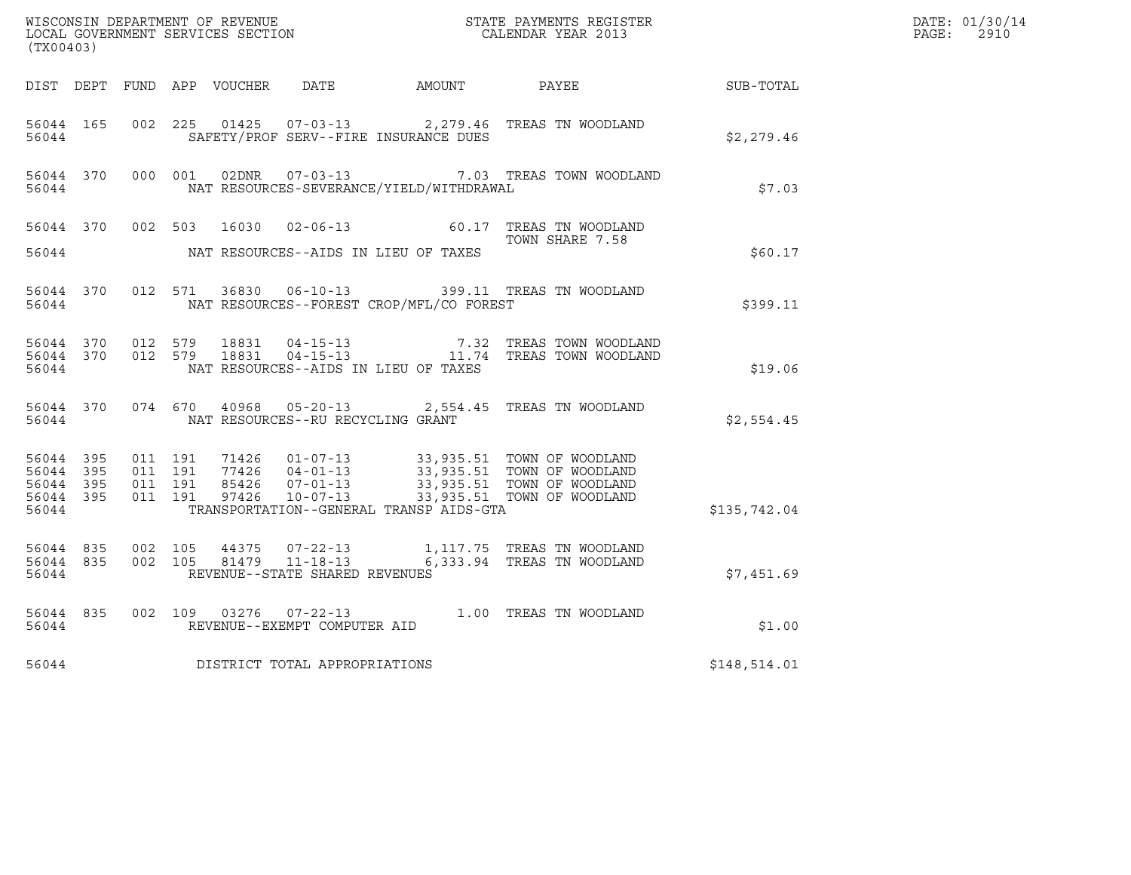| (TX00403)                                                 |           |                                          |         |       |                                                   |                                              |                                                                                                                                                                                              |                  | DATE: 01/30/14<br>$\mathtt{PAGE}$ :<br>2910 |
|-----------------------------------------------------------|-----------|------------------------------------------|---------|-------|---------------------------------------------------|----------------------------------------------|----------------------------------------------------------------------------------------------------------------------------------------------------------------------------------------------|------------------|---------------------------------------------|
|                                                           |           |                                          |         |       |                                                   | DIST DEPT FUND APP VOUCHER DATE AMOUNT PAYEE |                                                                                                                                                                                              | <b>SUB-TOTAL</b> |                                             |
| 56044 165<br>56044                                        |           | 002 225                                  |         |       |                                                   | SAFETY/PROF SERV--FIRE INSURANCE DUES        | 01425  07-03-13  2,279.46  TREAS TN WOODLAND                                                                                                                                                 | \$2,279.46       |                                             |
| 56044                                                     |           | 56044 370 000 001                        |         |       |                                                   | NAT RESOURCES-SEVERANCE/YIELD/WITHDRAWAL     | 02DNR  07-03-13  7.03 TREAS TOWN WOODLAND                                                                                                                                                    | \$7.03           |                                             |
| 56044                                                     | 56044 370 |                                          | 002 503 | 16030 |                                                   | NAT RESOURCES--AIDS IN LIEU OF TAXES         | 02-06-13 60.17 TREAS TN WOODLAND<br>TOWN SHARE 7.58                                                                                                                                          | \$60.17          |                                             |
| 56044                                                     | 56044 370 |                                          | 012 571 |       |                                                   | NAT RESOURCES--FOREST CROP/MFL/CO FOREST     | 36830  06-10-13  399.11  TREAS TN WOODLAND                                                                                                                                                   | \$399.11         |                                             |
| 56044                                                     | 56044 370 | 56044 370 012 579                        |         |       |                                                   | NAT RESOURCES--AIDS IN LIEU OF TAXES         | 012 579 18831 04-15-13 7.32 TREAS TOWN WOODLAND<br>012 579 18831 04-15-13 11.74 TREAS TOWN WOODLAND                                                                                          | \$19.06          |                                             |
| 56044                                                     | 56044 370 |                                          |         |       | NAT RESOURCES--RU RECYCLING GRANT                 |                                              | 074 670 40968 05-20-13 2,554.45 TREAS TN WOODLAND                                                                                                                                            | \$2,554.45       |                                             |
| 56044 395<br>56044 395<br>56044 395<br>56044 395<br>56044 |           | 011 191<br>011 191<br>011 191<br>011 191 |         |       |                                                   | TRANSPORTATION--GENERAL TRANSP AIDS-GTA      | 71426  01-07-13  33,935.51  TOWN OF WOODLAND<br>77426  04-01-13  33,935.51  TOWN OF WOODLAND<br>85426  07-01-13  33,935.51  TOWN OF WOODLAND<br>97426  10-07-13  33,935.51  TOWN OF WOODLAND | \$135,742.04     |                                             |
| 56044 835<br>56044                                        |           | 56044 835 002 105<br>002 105             |         | 44375 | 81479  11-18-13<br>REVENUE--STATE SHARED REVENUES |                                              | 07-22-13 1,117.75 TREAS TN WOODLAND<br>6,333.94 TREAS TN WOODLAND                                                                                                                            | \$7,451.69       |                                             |
| 56044 835<br>56044                                        |           |                                          |         |       | REVENUE--EXEMPT COMPUTER AID                      |                                              | 002 109 03276 07-22-13 1.00 TREAS TN WOODLAND                                                                                                                                                | \$1.00           |                                             |
| 56044                                                     |           |                                          |         |       | DISTRICT TOTAL APPROPRIATIONS                     |                                              |                                                                                                                                                                                              | \$148,514.01     |                                             |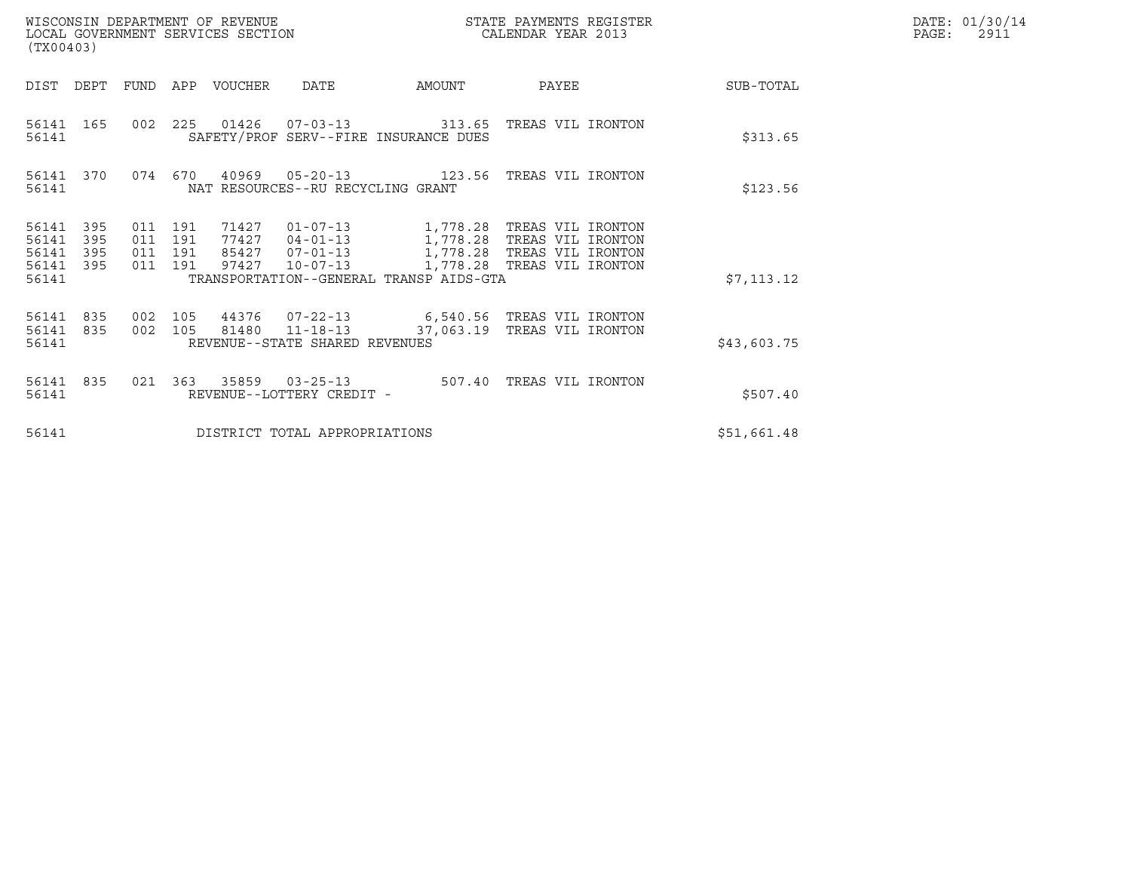| WISCONSIN DEPARTMENT OF REVENUE<br>LOCAL GOVERNMENT SERVICES SECTION<br>(TX00403) |                          |                                      |     |                                  |                                                                      | STATE PAYMENTS REGISTER<br>CALENDAR YEAR 2013                                                                                         |                            |  |             | DATE: 01/30/14<br>$\mathtt{PAGE}$ :<br>2911 |
|-----------------------------------------------------------------------------------|--------------------------|--------------------------------------|-----|----------------------------------|----------------------------------------------------------------------|---------------------------------------------------------------------------------------------------------------------------------------|----------------------------|--|-------------|---------------------------------------------|
| DIST                                                                              | DEPT                     | FUND                                 | APP | VOUCHER                          | <b>DATE</b>                                                          | AMOUNT                                                                                                                                | PAYEE                      |  | SUB-TOTAL   |                                             |
| 56141<br>56141                                                                    | 165                      |                                      |     |                                  |                                                                      | 002  225  01426  07-03-13  313.65  TREAS VIL IRONTON<br>SAFETY/PROF SERV--FIRE INSURANCE DUES                                         |                            |  | \$313.65    |                                             |
| 56141 370<br>56141                                                                |                          | 074                                  | 670 | 40969                            | NAT RESOURCES--RU RECYCLING GRANT                                    |                                                                                                                                       |                            |  | \$123.56    |                                             |
| 56141<br>56141<br>56141<br>56141<br>56141                                         | 395<br>395<br>395<br>395 | 011 191<br>011<br>011 191<br>011 191 | 191 | 71427<br>77427<br>85427<br>97427 | $01 - 07 - 13$<br>$04 - 01 - 13$<br>$07 - 01 - 13$<br>$10 - 07 - 13$ | 1,778.28   TREAS VIL IRONTON<br>1,778.28   TREAS VIL IRONTON<br>1,778.28 TREAS VIL IRONTON<br>TRANSPORTATION--GENERAL TRANSP AIDS-GTA | 1,778.28 TREAS VIL IRONTON |  | \$7,113.12  |                                             |
| 56141<br>56141<br>56141                                                           | 835<br>835               | 002 105<br>002 105                   |     |                                  | 44376 07-22-13<br>81480 11-18-13<br>REVENUE--STATE SHARED REVENUES   | 6,540.56 TREAS VIL IRONTON<br>37,063.19                                                                                               | TREAS VIL IRONTON          |  | \$43,603.75 |                                             |
| 56141<br>56141                                                                    | 835                      | 021                                  | 363 | 35859                            | $03 - 25 - 13$<br>REVENUE--LOTTERY CREDIT -                          | 507.40                                                                                                                                | TREAS VIL IRONTON          |  | \$507.40    |                                             |
| 56141                                                                             |                          |                                      |     |                                  | DISTRICT TOTAL APPROPRIATIONS                                        |                                                                                                                                       |                            |  | \$51,661.48 |                                             |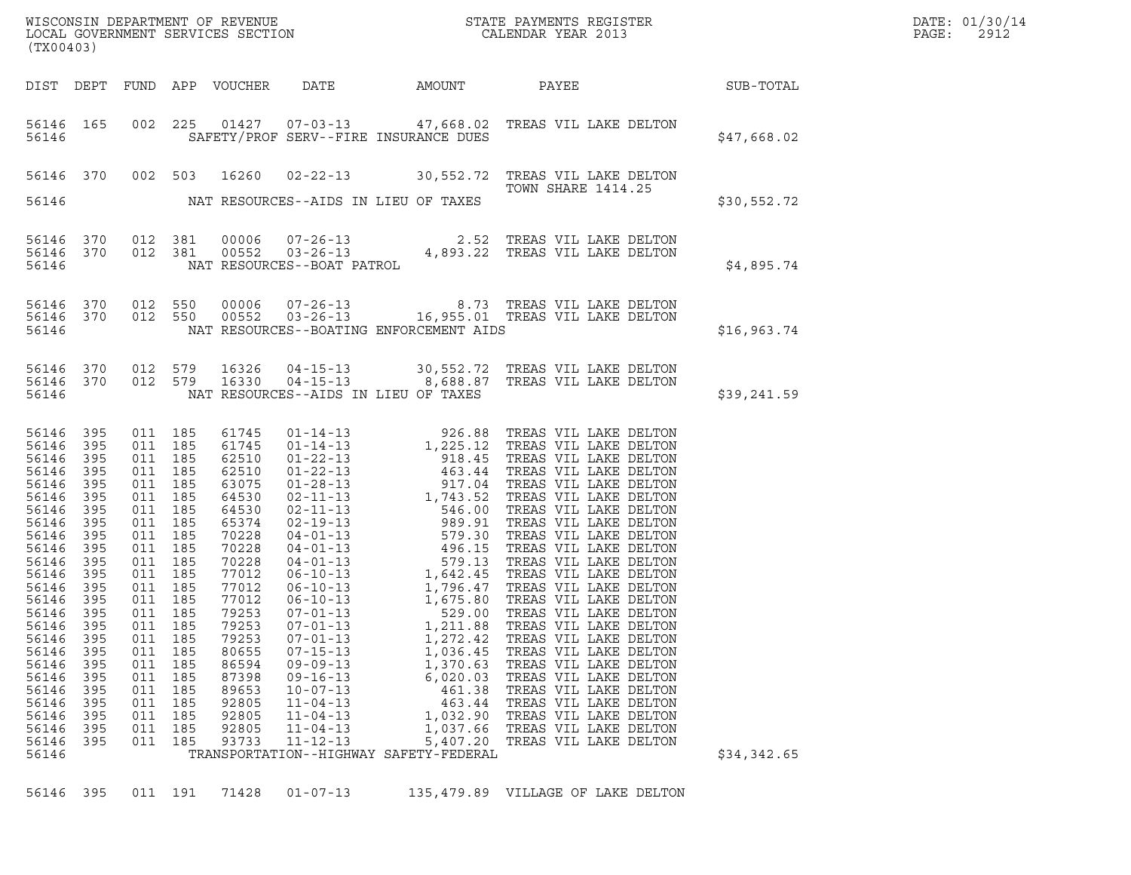| WISCONSIN DEPARTMENT OF REVENUE<br>LOCAL GOVERNMENT SERVICES SECTION<br>(TYAOAAQ)<br>(TX00403)                                                                                                                                         |                                                                                                                                                                             |                                                                                                                                                                                                                              |                                                                               |                                                                                                                                                                                                                               |                                                                                                                                                                                                    |                                                                                                                                                            |                                                                                                                                                                                                                                                                                        |             | DATE: 01/30/14<br>PAGE:<br>2912 |
|----------------------------------------------------------------------------------------------------------------------------------------------------------------------------------------------------------------------------------------|-----------------------------------------------------------------------------------------------------------------------------------------------------------------------------|------------------------------------------------------------------------------------------------------------------------------------------------------------------------------------------------------------------------------|-------------------------------------------------------------------------------|-------------------------------------------------------------------------------------------------------------------------------------------------------------------------------------------------------------------------------|----------------------------------------------------------------------------------------------------------------------------------------------------------------------------------------------------|------------------------------------------------------------------------------------------------------------------------------------------------------------|----------------------------------------------------------------------------------------------------------------------------------------------------------------------------------------------------------------------------------------------------------------------------------------|-------------|---------------------------------|
|                                                                                                                                                                                                                                        |                                                                                                                                                                             |                                                                                                                                                                                                                              |                                                                               | DIST DEPT FUND APP VOUCHER DATE                                                                                                                                                                                               |                                                                                                                                                                                                    | AMOUNT                                                                                                                                                     | SUB-TOTAL<br>PAYEE                                                                                                                                                                                                                                                                     |             |                                 |
| 56146                                                                                                                                                                                                                                  | 56146 165                                                                                                                                                                   |                                                                                                                                                                                                                              |                                                                               |                                                                                                                                                                                                                               |                                                                                                                                                                                                    | SAFETY/PROF SERV--FIRE INSURANCE DUES                                                                                                                      | 002 225 01427 07-03-13 47,668.02 TREAS VIL LAKE DELTON                                                                                                                                                                                                                                 | \$47,668.02 |                                 |
| 56146                                                                                                                                                                                                                                  |                                                                                                                                                                             |                                                                                                                                                                                                                              |                                                                               |                                                                                                                                                                                                                               | NAT RESOURCES--AIDS IN LIEU OF TAXES                                                                                                                                                               |                                                                                                                                                            | 56146 370 002 503 16260 02-22-13 30,552.72 TREAS VIL LAKE DELTON<br>TOWN SHARE 1414.25                                                                                                                                                                                                 | \$30,552.72 |                                 |
| 56146<br>56146                                                                                                                                                                                                                         | 56146 370                                                                                                                                                                   |                                                                                                                                                                                                                              |                                                                               |                                                                                                                                                                                                                               |                                                                                                                                                                                                    |                                                                                                                                                            |                                                                                                                                                                                                                                                                                        | \$4,895.74  |                                 |
| 56146                                                                                                                                                                                                                                  | 56146 370                                                                                                                                                                   | 56146 370 012 550<br>012 550                                                                                                                                                                                                 |                                                                               |                                                                                                                                                                                                                               |                                                                                                                                                                                                    | NAT RESOURCES--BOATING ENFORCEMENT AIDS                                                                                                                    | 00006  07-26-13  8.73  TREAS VIL LAKE DELTON<br>00552  03-26-13   16,955.01  TREAS VIL LAKE DELTON                                                                                                                                                                                     | \$16,963.74 |                                 |
| 56146 370<br>56146                                                                                                                                                                                                                     | 56146 370                                                                                                                                                                   |                                                                                                                                                                                                                              |                                                                               |                                                                                                                                                                                                                               | NAT RESOURCES--AIDS IN LIEU OF TAXES                                                                                                                                                               |                                                                                                                                                            | 012 579 16326 04-15-13 30,552.72 TREAS VIL LAKE DELTON<br>012 579 16330 04-15-13 8,688.87 TREAS VIL LAKE DELTON                                                                                                                                                                        | \$39,241.59 |                                 |
| 56146<br>56146<br>56146<br>56146<br>56146<br>56146<br>56146<br>56146<br>56146<br>56146<br>56146<br>56146<br>56146<br>56146<br>56146<br>56146<br>56146<br>56146<br>56146<br>56146<br>56146<br>56146<br>56146<br>56146<br>56146<br>56146 | 395<br>395<br>395<br>395<br>395<br>395<br>395<br>395<br>395<br>395<br>395<br>395<br>395<br>395<br>395<br>395<br>395<br>395<br>395<br>395<br>395<br>395<br>395<br>395<br>395 | 011 185<br>011 185<br>011 185<br>011 185<br>011 185<br>011 185<br>011 185<br>011 185<br>011 185<br>011 185<br>011 185<br>011 185<br>011 185<br>011 185<br>011<br>011<br>011<br>011<br>011<br>011<br>011<br>011<br>011<br>011 | 011 185<br>185<br>185<br>185<br>185<br>185<br>185<br>185<br>185<br>185<br>185 | 61745<br>61745<br>62510<br>62510<br>63075<br>64530<br>64530<br>65374<br>70228<br>70228<br>70228<br>77012<br>77012<br>77012<br>79253<br>79253<br>79253<br>80655<br>86594<br>87398<br>89653<br>92805<br>92805<br>92805<br>93733 | $07 - 01 - 13$<br>$07 - 01 - 13$<br>$07 - 01 - 13$<br>$07 - 15 - 13$<br>$09 - 09 - 13$<br>$09 - 16 - 13$<br>$10 - 07 - 13$<br>$11 - 04 - 13$<br>$11 - 04 - 13$<br>$11 - 04 - 13$<br>$11 - 12 - 13$ | 1,211.88<br>1,272.42<br>1,036.45<br>1,370.63<br>6,020.03<br>461.38<br>463.44<br>1,032.90<br>1,037.66<br>5,407.20<br>TRANSPORTATION--HIGHWAY SAFETY-FEDERAL | 529.00 TREAS VIL LAKE DELTON<br>TREAS VIL LAKE DELTON<br>TREAS VIL LAKE DELTON<br>TREAS VIL LAKE DELTON<br>TREAS VIL LAKE DELTON<br>TREAS VIL LAKE DELTON<br>TREAS VIL LAKE DELTON<br>TREAS VIL LAKE DELTON<br>TREAS VIL LAKE DELTON<br>TREAS VIL LAKE DELTON<br>TREAS VIL LAKE DELTON | \$34,342.65 |                                 |
| 56146 395                                                                                                                                                                                                                              |                                                                                                                                                                             |                                                                                                                                                                                                                              | 011 191                                                                       | 71428                                                                                                                                                                                                                         | $01 - 07 - 13$                                                                                                                                                                                     |                                                                                                                                                            | 135,479.89 VILLAGE OF LAKE DELTON                                                                                                                                                                                                                                                      |             |                                 |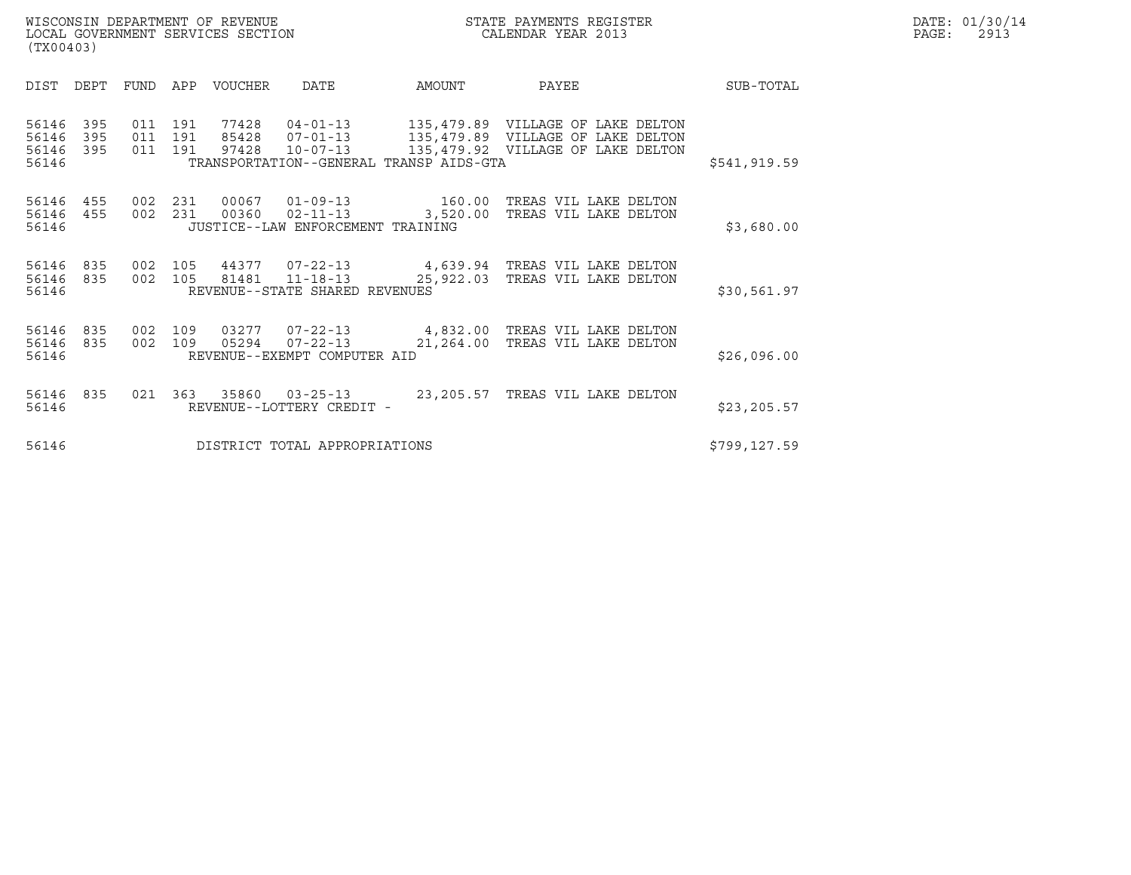| WISCONSIN DEPARTMENT OF REVENUE<br>LOCAL GOVERNMENT SERVICES SECTION<br>(TX00403)                              |                                                                                                                           | STATE PAYMENTS REGISTER<br>CALENDAR YEAR 2013                          |              | DATE: 01/30/14<br>$\mathtt{PAGE:}$<br>2913 |
|----------------------------------------------------------------------------------------------------------------|---------------------------------------------------------------------------------------------------------------------------|------------------------------------------------------------------------|--------------|--------------------------------------------|
| FUND<br>VOUCHER<br>DIST<br>DEPT<br>APP                                                                         | <b>DATE</b><br>AMOUNT                                                                                                     | PAYEE                                                                  | SUB-TOTAL    |                                            |
| 56146<br>395<br>011 191<br>77428<br>56146<br>011 191<br>395<br>85428<br>56146 395<br>011 191<br>97428<br>56146 | 04-01-13 135,479.89 VILLAGE OF LAKE DELTON<br>$07 - 01 - 13$<br>$10 - 07 - 13$<br>TRANSPORTATION--GENERAL TRANSP AIDS-GTA | 135,479.89 VILLAGE OF LAKE DELTON<br>135,479.92 VILLAGE OF LAKE DELTON | \$541,919.59 |                                            |
| 231<br>56146<br>455<br>002<br>00067<br>56146 455<br>002<br>231<br>00360<br>56146                               | $01 - 09 - 13$ 160.00<br>$02 - 11 - 13$ 3,520.00<br>JUSTICE--LAW ENFORCEMENT TRAINING                                     | TREAS VIL LAKE DELTON<br>TREAS VIL LAKE DELTON                         | \$3,680.00   |                                            |
| 105<br>44377<br>56146<br>835<br>002<br>56146 835<br>002<br>105<br>81481<br>56146                               | 07-22-13 4,639.94 TREAS VIL LAKE DELTON<br>$11 - 18 - 13$ 25,922.03<br>REVENUE--STATE SHARED REVENUES                     | TREAS VIL LAKE DELTON                                                  | \$30,561.97  |                                            |
| 03277<br>56146<br>835<br>002<br>109<br>56146 835<br>109<br>05294<br>002<br>56146                               | 07-22-13 4,832.00 TREAS VIL LAKE DELTON<br>$07 - 22 - 13$<br>21,264.00<br>REVENUE--EXEMPT COMPUTER AID                    | TREAS VIL LAKE DELTON                                                  | \$26,096.00  |                                            |
| 56146<br>835<br>56146                                                                                          | 021  363  35860  03-25-13  23,205.57  TREAS VIL LAKE DELTON<br>REVENUE--LOTTERY CREDIT -                                  |                                                                        | \$23, 205.57 |                                            |
| 56146                                                                                                          | DISTRICT TOTAL APPROPRIATIONS                                                                                             |                                                                        | \$799,127.59 |                                            |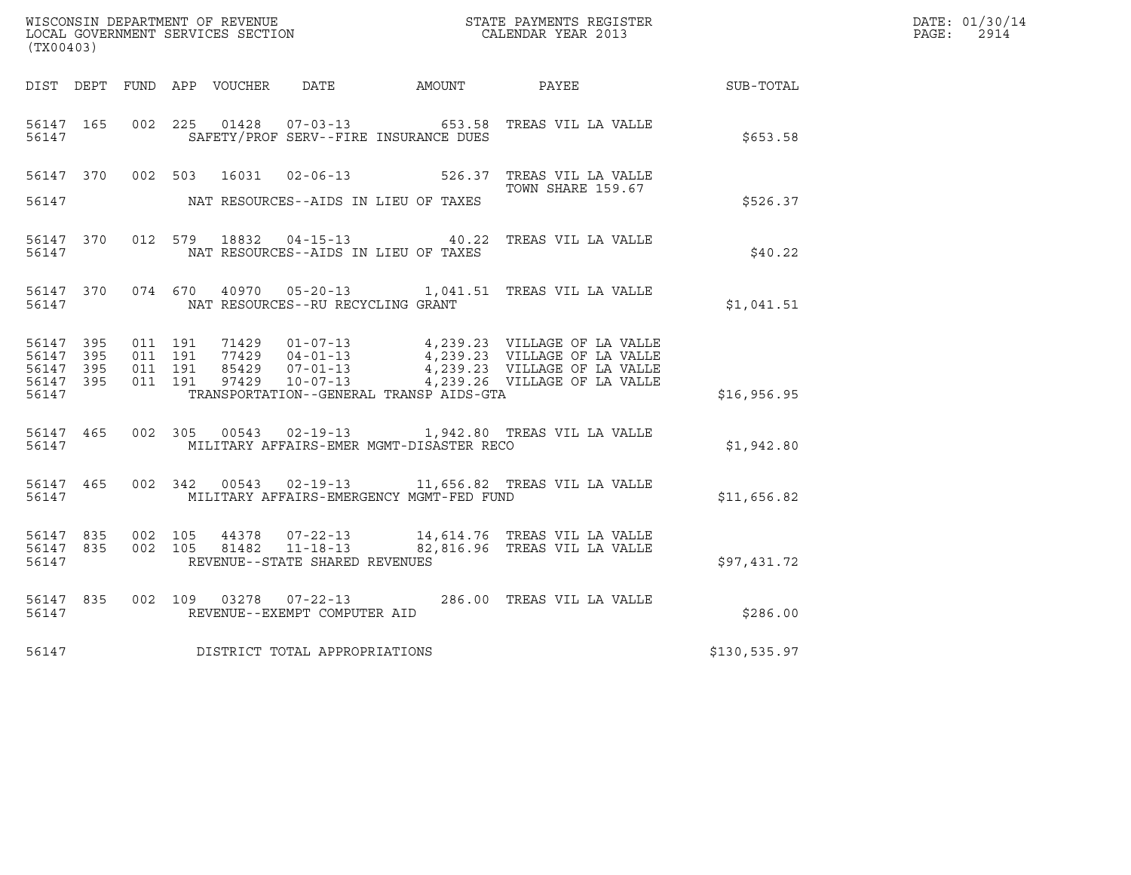| WISCONSIN DEPARTMENT OF REVENUE   | STATE PAYMENTS REGISTER | DATE: 01/30/14 |
|-----------------------------------|-------------------------|----------------|
| LOCAL GOVERNMENT SERVICES SECTION | CALENDAR YEAR 2013      | 2914<br>PAGE:  |

| (TX00403)                                                 |  |  |  |  |                                         |                                            |                                                                                                                                                                                                                          | $\mathbb{E} \mathbb{R}$ | DATE: 01/30/14<br>PAGE: 2914 |
|-----------------------------------------------------------|--|--|--|--|-----------------------------------------|--------------------------------------------|--------------------------------------------------------------------------------------------------------------------------------------------------------------------------------------------------------------------------|-------------------------|------------------------------|
|                                                           |  |  |  |  |                                         |                                            | DIST DEPT FUND APP VOUCHER DATE AMOUNT PAYEE SUB-TOTAL                                                                                                                                                                   |                         |                              |
| 56147                                                     |  |  |  |  |                                         | SAFETY/PROF SERV--FIRE INSURANCE DUES      | 56147 165 002 225 01428 07-03-13 653.58 TREAS VIL LA VALLE                                                                                                                                                               | \$653.58                |                              |
|                                                           |  |  |  |  |                                         |                                            | 56147 370 002 503 16031 02-06-13 526.37 TREAS VIL LA VALLE<br>TOWN SHARE 159.67                                                                                                                                          |                         |                              |
|                                                           |  |  |  |  |                                         | 56147 NAT RESOURCES--AIDS IN LIEU OF TAXES |                                                                                                                                                                                                                          | \$526.37                |                              |
|                                                           |  |  |  |  |                                         |                                            | 56147 370 012 579 18832 04-15-13 40.22 TREAS VIL LA VALLE                                                                                                                                                                | \$40.22                 |                              |
|                                                           |  |  |  |  | 56147 MAT RESOURCES--RU RECYCLING GRANT |                                            | 56147 370 074 670 40970 05-20-13 1,041.51 TREAS VIL LA VALLE                                                                                                                                                             | \$1,041.51              |                              |
| 56147 395<br>56147 395<br>56147 395<br>56147 395<br>56147 |  |  |  |  |                                         | TRANSPORTATION--GENERAL TRANSP AIDS-GTA    | 011 191 71429 01-07-13 4,239.23 VILLAGE OF LA VALLE<br>011 191 77429 04-01-13 4,239.23 VILLAGE OF LA VALLE<br>011 191 97429 07-01-13 4,239.23 VILLAGE OF LA VALLE<br>011 191 97429 10-07-13 4,239.26 VILLAGE OF LA VALLE | \$16,956.95             |                              |
|                                                           |  |  |  |  |                                         |                                            | 56147 465 002 305 00543 02-19-13 1,942.80 TREAS VIL LA VALLE<br>56147 MILITARY AFFAIRS-EMER MGMT-DISASTER RECO                                                                                                           | \$1,942.80              |                              |
|                                                           |  |  |  |  |                                         |                                            | 56147 465 002 342 00543 02-19-13 11,656.82 TREAS VIL LA VALLE<br>56147 MILITARY AFFAIRS-EMERGENCY MGMT-FED FUND                                                                                                          | \$11,656.82             |                              |
| 56147                                                     |  |  |  |  | REVENUE--STATE SHARED REVENUES          |                                            | 56147 835 002 105 44378 07-22-13 14,614.76 TREAS VIL LA VALLE<br>56147 835 002 105 81482 11-18-13 82,816.96 TREAS VIL LA VALLE                                                                                           | \$97,431.72             |                              |
|                                                           |  |  |  |  |                                         |                                            | $\begin{tabular}{lllllll} 56147 & 835 & 002 & 109 & 03278 & 07-22-13 & & 286.00 & \text{TREAS VIL LA VALLE} \\ 56147 & & & \text{REVENUE--EXEMPT COMPUTER AID & & & & \\ \end{tabular}$                                  | \$286.00                |                              |
|                                                           |  |  |  |  | 56147 DISTRICT TOTAL APPROPRIATIONS     |                                            | \$130,535.97                                                                                                                                                                                                             |                         |                              |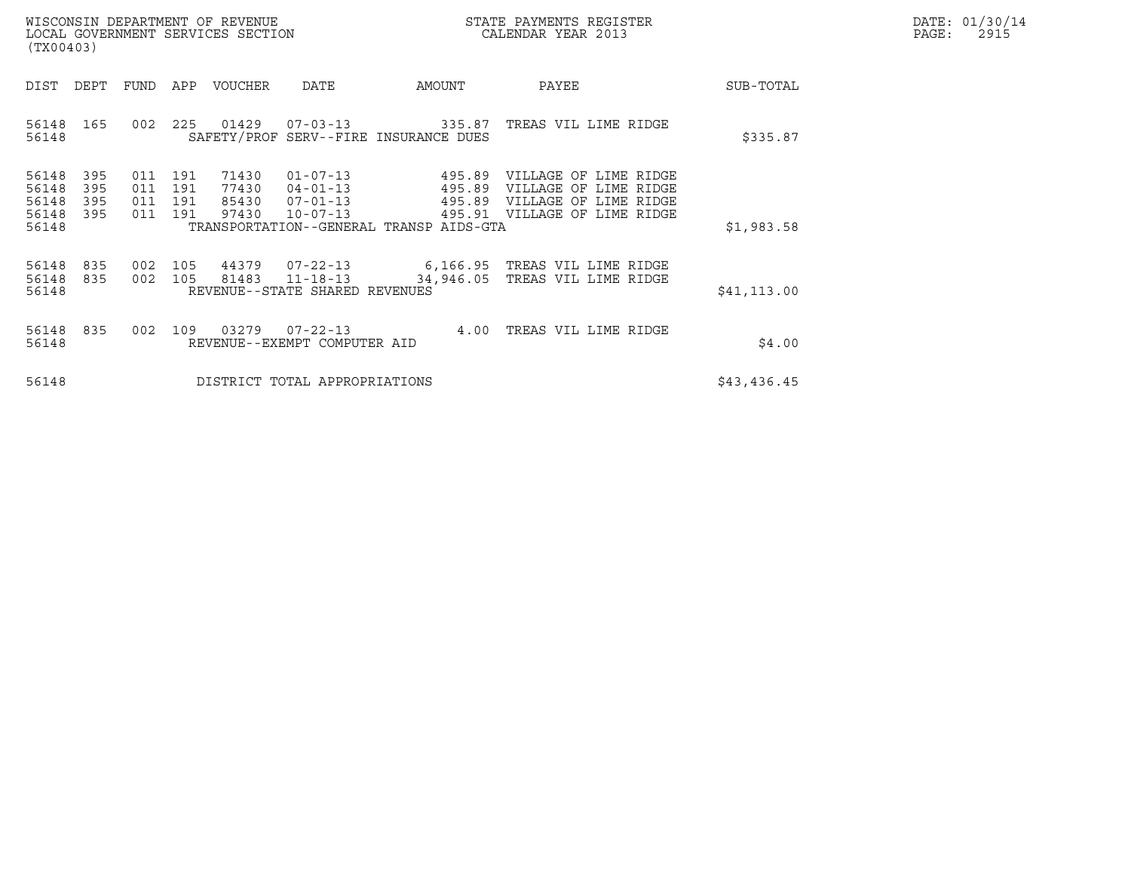|       | DATE: 01/30/14 |
|-------|----------------|
| PAGE: | 2915           |

| WISCONSIN DEPARTMENT OF REVENUE<br>LOCAL GOVERNMENT SERVICES SECTION<br>(TX00403)                                                                                                                                                                |                                                                | STATE PAYMENTS REGISTER<br>CALENDAR YEAR 2013                                                           |              | DATE: 01/30/14<br>$\mathtt{PAGE}$ :<br>2915 |
|--------------------------------------------------------------------------------------------------------------------------------------------------------------------------------------------------------------------------------------------------|----------------------------------------------------------------|---------------------------------------------------------------------------------------------------------|--------------|---------------------------------------------|
| DIST<br>DEPT<br>FUND<br>VOUCHER<br>DATE<br>APP                                                                                                                                                                                                   | AMOUNT                                                         | PAYEE                                                                                                   | SUB-TOTAL    |                                             |
| 01429<br>225<br>$07 - 03 - 13$<br>56148<br>165<br>002<br>SAFETY/PROF SERV--FIRE INSURANCE DUES<br>56148                                                                                                                                          | 335.87                                                         | TREAS VIL LIME RIDGE                                                                                    | \$335.87     |                                             |
| 71430<br>395<br>56148<br>011<br>191<br>56148<br>395<br>011<br>191<br>77430<br>56148<br>395<br>191<br>85430<br>011<br>$07 - 01 - 13$<br>97430<br>56148<br>395<br>$10 - 07 - 13$<br>011<br>191<br>56148<br>TRANSPORTATION--GENERAL TRANSP AIDS-GTA | $01 - 07 - 13$<br>495.89<br>$04 - 01 - 13$<br>495.89<br>495.89 | VILLAGE OF LIME RIDGE<br>VILLAGE OF LIME RIDGE<br>VILLAGE OF LIME RIDGE<br>495.91 VILLAGE OF LIME RIDGE | \$1,983.58   |                                             |
| 44379<br>$07 - 22 - 13$<br>56148<br>835<br>002<br>105<br>56148<br>002<br>105<br>81483<br>835<br>$11 - 18 - 13$<br>56148<br>REVENUE--STATE SHARED REVENUES                                                                                        | 34,946.05                                                      | 6,166.95 TREAS VIL LIME RIDGE<br>TREAS VIL LIME RIDGE                                                   | \$41, 113.00 |                                             |
| 835<br>03279<br>$07 - 22 - 13$<br>56148<br>002<br>109<br>56148<br>REVENUE--EXEMPT COMPUTER AID                                                                                                                                                   |                                                                | 4.00 TREAS VIL LIME RIDGE                                                                               | \$4.00       |                                             |
| 56148<br>DISTRICT TOTAL APPROPRIATIONS                                                                                                                                                                                                           |                                                                |                                                                                                         | \$43,436.45  |                                             |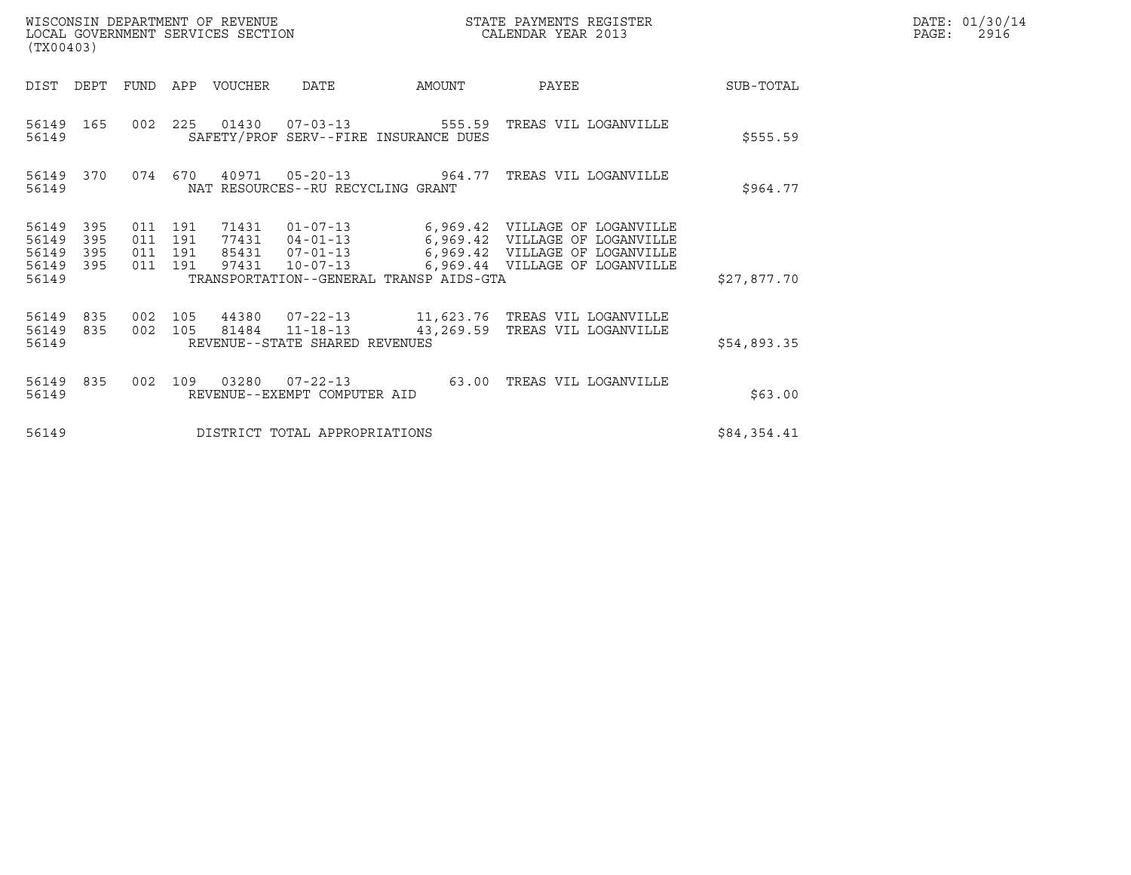| WISCONSIN DEPARTMENT OF REVENUE   | STATE PAYMENTS REGISTER | DATE: 01/30/14 |
|-----------------------------------|-------------------------|----------------|
| LOCAL GOVERNMENT SERVICES SECTION | CALENDAR YEAR 2013      | 2916<br>PAGE:  |

| WISCONSIN DEPARTMENT OF REVENUE<br>LOCAL GOVERNMENT SERVICES SECTION<br>(TX00403) |                                          |                        |                                   |                                                                        | STATE PAYMENTS REGISTER<br>CALENDAR YEAR 2013                                                                                                                                             |             | DATE: 01/30/14<br>2916<br>PAGE: |
|-----------------------------------------------------------------------------------|------------------------------------------|------------------------|-----------------------------------|------------------------------------------------------------------------|-------------------------------------------------------------------------------------------------------------------------------------------------------------------------------------------|-------------|---------------------------------|
| DIST DEPT FUND APP VOUCHER DATE                                                   |                                          |                        |                                   | <b>EXAMPLE THE PROPERTY OF A STATE</b>                                 | <b>PAYEE</b>                                                                                                                                                                              | SUB-TOTAL   |                                 |
| 56149 165<br>56149                                                                |                                          |                        |                                   | 002 225 01430 07-03-13 555.59<br>SAFETY/PROF SERV--FIRE INSURANCE DUES | TREAS VIL LOGANVILLE                                                                                                                                                                      | \$555.59    |                                 |
| 56149 370<br>56149                                                                |                                          |                        | NAT RESOURCES--RU RECYCLING GRANT | 074 670 40971 05-20-13 964.77                                          | TREAS VIL LOGANVILLE                                                                                                                                                                      | \$964.77    |                                 |
| 56149<br>395<br>56149<br>395<br>56149<br>395<br>56149<br>395<br>56149             | 011 191<br>011 191<br>011 191<br>011 191 | 97431                  | 85431 07-01-13                    | TRANSPORTATION--GENERAL TRANSP AIDS-GTA                                | 71431  01-07-13    6,969.42    VILLAGE OF LOGANVILLE<br>77431  04-01-13    6,969.42    VILLAGE OF LOGANVILLE<br>6,969.42 VILLAGE OF LOGANVILLE<br>10-07-13 6,969.44 VILLAGE OF LOGANVILLE | \$27,877.70 |                                 |
| 56149<br>835<br>56149<br>835<br>56149                                             |                                          | 002 105 81484 11-18-13 | REVENUE--STATE SHARED REVENUES    | 43,269.59                                                              | 002 105 44380 07-22-13 11,623.76 TREAS VIL LOGANVILLE<br>TREAS VIL LOGANVILLE                                                                                                             | \$54,893.35 |                                 |
| 56149 835<br>56149                                                                |                                          |                        | REVENUE--EXEMPT COMPUTER AID      | 002 109 03280 07-22-13 63.00                                           | TREAS VIL LOGANVILLE                                                                                                                                                                      | \$63.00     |                                 |
| 56149                                                                             |                                          |                        | DISTRICT TOTAL APPROPRIATIONS     |                                                                        |                                                                                                                                                                                           | \$84,354.41 |                                 |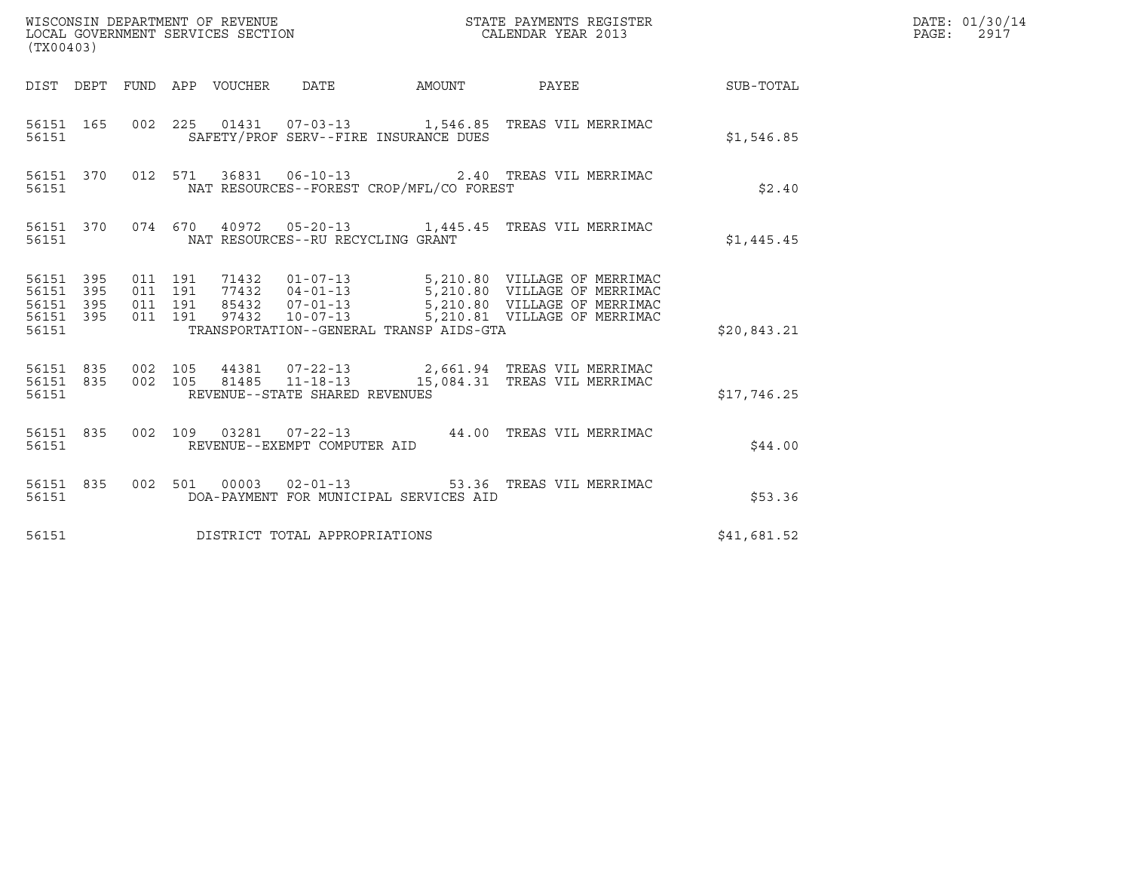| (TX00403)                                                 |  |                               |         |  |                                         |                                          |                                                                                                                               |             | DATE: 01/30/14<br>PAGE: 2917 |
|-----------------------------------------------------------|--|-------------------------------|---------|--|-----------------------------------------|------------------------------------------|-------------------------------------------------------------------------------------------------------------------------------|-------------|------------------------------|
|                                                           |  |                               |         |  |                                         |                                          | DIST DEPT FUND APP VOUCHER DATE AMOUNT PAYEE THE SUB-TOTAL                                                                    |             |                              |
| 56151                                                     |  |                               |         |  |                                         | SAFETY/PROF SERV--FIRE INSURANCE DUES    | 56151 165 002 225 01431 07-03-13 1,546.85 TREAS VIL MERRIMAC                                                                  | \$1,546.85  |                              |
| 56151                                                     |  |                               |         |  |                                         | NAT RESOURCES--FOREST CROP/MFL/CO FOREST | 56151 370 012 571 36831 06-10-13 2.40 TREAS VIL MERRIMAC                                                                      | \$2.40      |                              |
|                                                           |  |                               |         |  | 56151 NAT RESOURCES--RU RECYCLING GRANT |                                          | 56151 370 074 670 40972 05-20-13 1,445.45 TREAS VIL MERRIMAC                                                                  | \$1,445.45  |                              |
| 56151 395<br>56151 395<br>56151 395<br>56151 395<br>56151 |  | 011 191<br>011 191<br>011 191 | 011 191 |  |                                         | TRANSPORTATION--GENERAL TRANSP AIDS-GTA  |                                                                                                                               | \$20,843.21 |                              |
|                                                           |  |                               |         |  | 56151 REVENUE--STATE SHARED REVENUES    |                                          | 56151 835 002 105 44381 07-22-13 2,661.94 TREAS VIL MERRIMAC<br>56151 835 002 105 81485 11-18-13 15,084.31 TREAS VIL MERRIMAC | \$17,746.25 |                              |
| 56151                                                     |  |                               |         |  | REVENUE--EXEMPT COMPUTER AID            |                                          | 56151 835 002 109 03281 07-22-13 44.00 TREAS VIL MERRIMAC                                                                     | \$44.00     |                              |
| 56151                                                     |  |                               |         |  |                                         | DOA-PAYMENT FOR MUNICIPAL SERVICES AID   | 56151 835 002 501 00003 02-01-13 53.36 TREAS VIL MERRIMAC                                                                     | \$53.36     |                              |
| 56151                                                     |  |                               |         |  | DISTRICT TOTAL APPROPRIATIONS           |                                          |                                                                                                                               | \$41,681.52 |                              |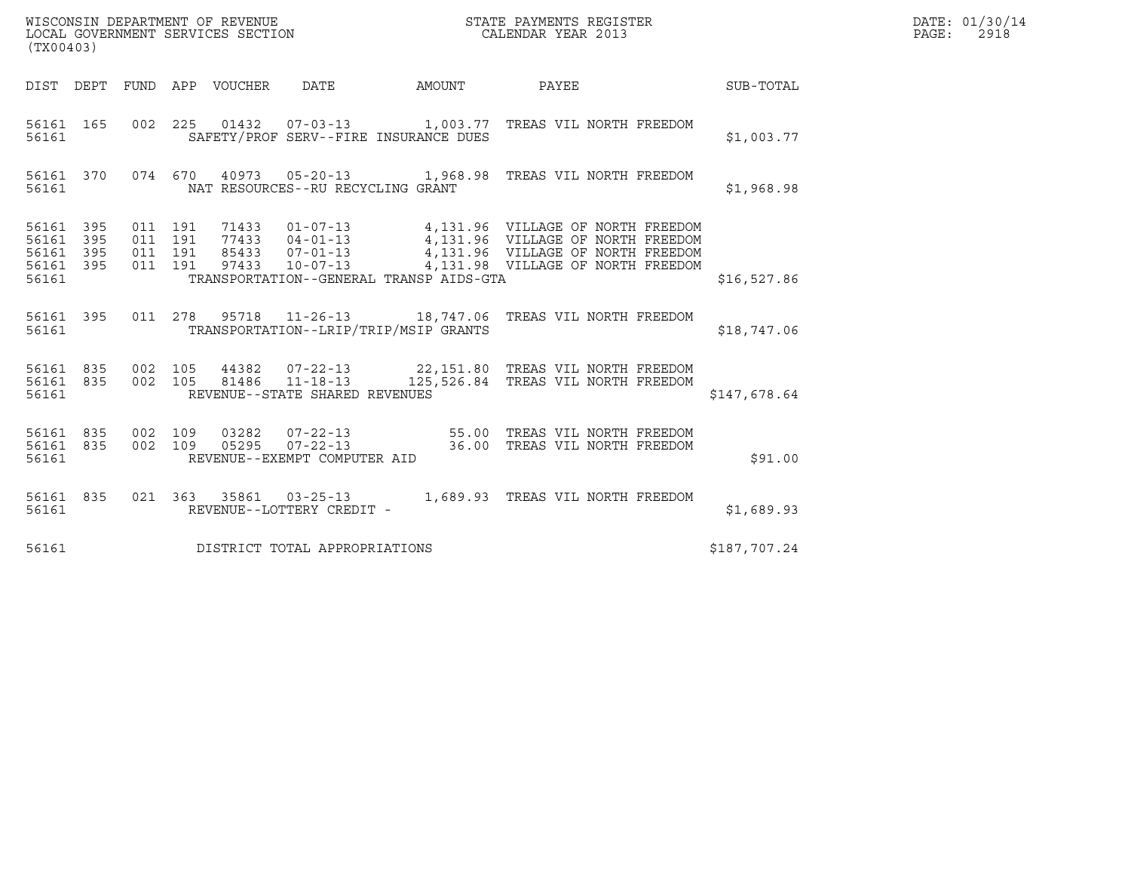| (TX00403)                                                 |                   |                               |                                                  |                                                                                                                                                                                                                          |              | DATE: 01/30/14<br>PAGE: 2918 |
|-----------------------------------------------------------|-------------------|-------------------------------|--------------------------------------------------|--------------------------------------------------------------------------------------------------------------------------------------------------------------------------------------------------------------------------|--------------|------------------------------|
|                                                           |                   |                               |                                                  | DIST DEPT FUND APP VOUCHER DATE AMOUNT PAYEE THE SUB-TOTAL                                                                                                                                                               |              |                              |
| 56161 165<br>56161                                        |                   |                               | SAFETY/PROF SERV--FIRE INSURANCE DUES            | 002  225  01432  07-03-13   1,003.77  TREAS VIL NORTH FREEDOM                                                                                                                                                            | \$1,003.77   |                              |
| 56161                                                     |                   |                               | NAT RESOURCES--RU RECYCLING GRANT                | 56161 370 074 670 40973 05-20-13 1,968.98 TREAS VIL NORTH FREEDOM                                                                                                                                                        | \$1,968.98   |                              |
| 56161 395<br>56161 395<br>56161 395<br>56161 395<br>56161 | 011 191           | 011 191<br>011 191<br>011 191 | TRANSPORTATION--GENERAL TRANSP AIDS-GTA          | 71433  01-07-13  4,131.96  VILLAGE OF NORTH FREEDOM<br>77433  04-01-13  4,131.96  VILLAGE OF NORTH FREEDOM<br>85433  07-01-13  4,131.96  VILLAGE OF NORTH FREEDOM<br>97433  10-07-13  4,131.98  VILLAGE OF NORTH FREEDOM | \$16,527.86  |                              |
| 56161                                                     |                   |                               | TRANSPORTATION--LRIP/TRIP/MSIP GRANTS            | 56161 395 011 278 95718 11-26-13 18,747.06 TREAS VIL NORTH FREEDOM                                                                                                                                                       | \$18,747.06  |                              |
| 56161 835<br>56161                                        |                   | 002 105                       | 81486 11-18-13<br>REVENUE--STATE SHARED REVENUES | 56161 835 002 105 44382 07-22-13 22,151.80 TREAS VIL NORTH FREEDOM<br>125,526.84 TREAS VIL NORTH FREEDOM                                                                                                                 | \$147,678.64 |                              |
| 56161 835<br>56161                                        | 56161 835 002 109 | 002 109                       | REVENUE--EXEMPT COMPUTER AID                     |                                                                                                                                                                                                                          | \$91.00      |                              |
| 56161 835<br>56161                                        |                   |                               | REVENUE--LOTTERY CREDIT -                        | 021 363 35861 03-25-13 1,689.93 TREAS VIL NORTH FREEDOM                                                                                                                                                                  | \$1,689.93   |                              |
| 56161                                                     |                   |                               | DISTRICT TOTAL APPROPRIATIONS                    |                                                                                                                                                                                                                          | \$187,707.24 |                              |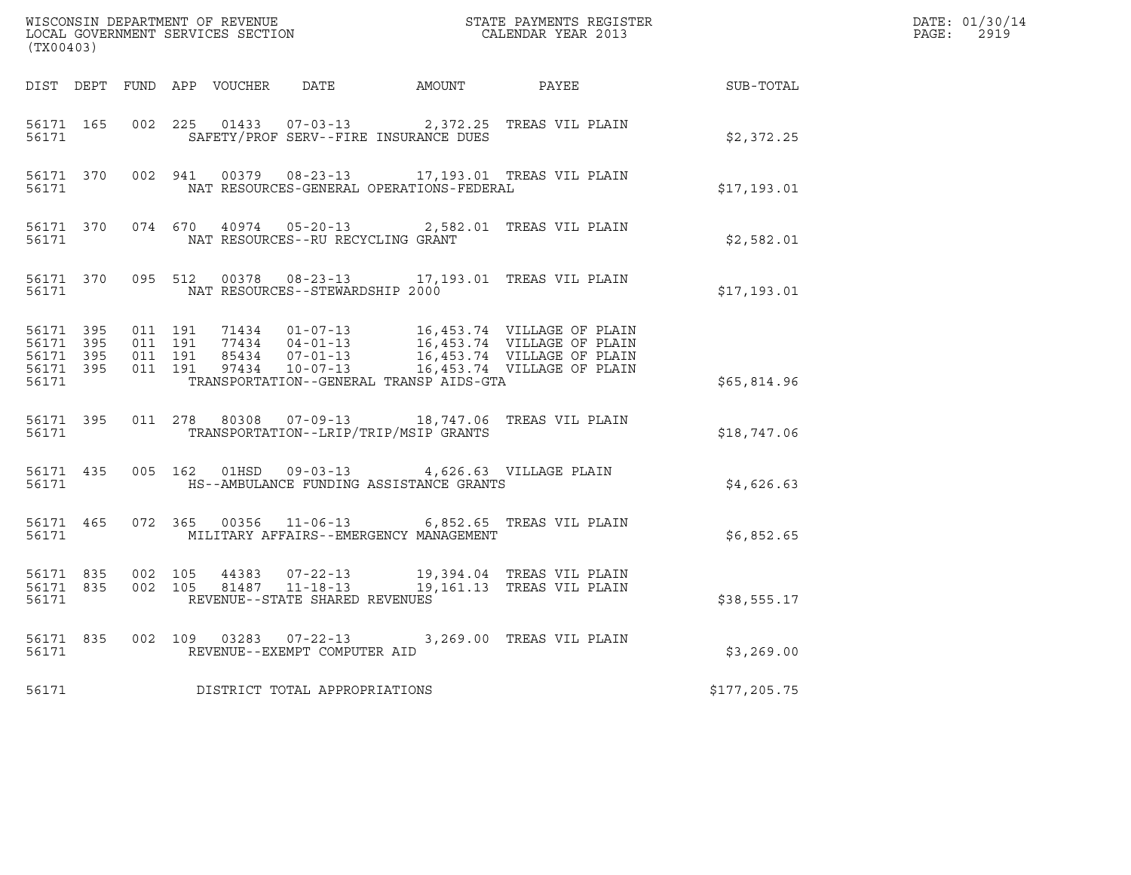| (TX00403) |           |  |                                                         |                                                                                                                          |              | DATE: 01/30/14<br>PAGE: 2919 |
|-----------|-----------|--|---------------------------------------------------------|--------------------------------------------------------------------------------------------------------------------------|--------------|------------------------------|
|           |           |  |                                                         | DIST DEPT FUND APP VOUCHER DATE AMOUNT PAYEE PAYES                                                                       |              |                              |
|           | 56171     |  | SAFETY/PROF SERV--FIRE INSURANCE DUES                   | 56171 165 002 225 01433 07-03-13 2,372.25 TREAS VIL PLAIN                                                                | \$2,372.25   |                              |
|           |           |  |                                                         | 56171 370 002 941 00379 08-23-13 17,193.01 TREAS VIL PLAIN                                                               | \$17,193.01  |                              |
|           |           |  |                                                         | 56171 370 074 670 40974 05-20-13 2,582.01 TREAS VIL PLAIN                                                                | \$2,582.01   |                              |
|           |           |  | 56171 NAT RESOURCES--STEWARDSHIP 2000                   | 56171 370 095 512 00378 08-23-13 17,193.01 TREAS VIL PLAIN                                                               | \$17,193.01  |                              |
|           |           |  | 56171 TRANSPORTATION--GENERAL TRANSP AIDS-GTA           |                                                                                                                          | \$65,814.96  |                              |
|           | 56171 360 |  | TRANSPORTATION--LRIP/TRIP/MSIP GRANTS                   | 56171 395 011 278 80308 07-09-13 18,747.06 TREAS VIL PLAIN                                                               | \$18,747.06  |                              |
|           |           |  | 56171 435 005 162 01HSD 09-03-13 4,626.63 VILLAGE PLAIN |                                                                                                                          | \$4,626.63   |                              |
|           |           |  | 56171 MILITARY AFFAIRS--EMERGENCY MANAGEMENT            | 56171 465 072 365 00356 11-06-13 6,852.65 TREAS VIL PLAIN                                                                | \$6,852.65   |                              |
|           | 56171     |  | REVENUE--STATE SHARED REVENUES                          | 56171 835 002 105 44383 07-22-13 19,394.04 TREAS VIL PLAIN<br>56171 835 002 105 81487 11-18-13 19,161.13 TREAS VIL PLAIN | \$38,555.17  |                              |
|           |           |  | 56171 REVENUE--EXEMPT COMPUTER AID                      | 56171 835 002 109 03283 07-22-13 3,269.00 TREAS VIL PLAIN                                                                | \$3,269.00   |                              |
|           |           |  | 56171 DISTRICT TOTAL APPROPRIATIONS                     |                                                                                                                          | \$177,205.75 |                              |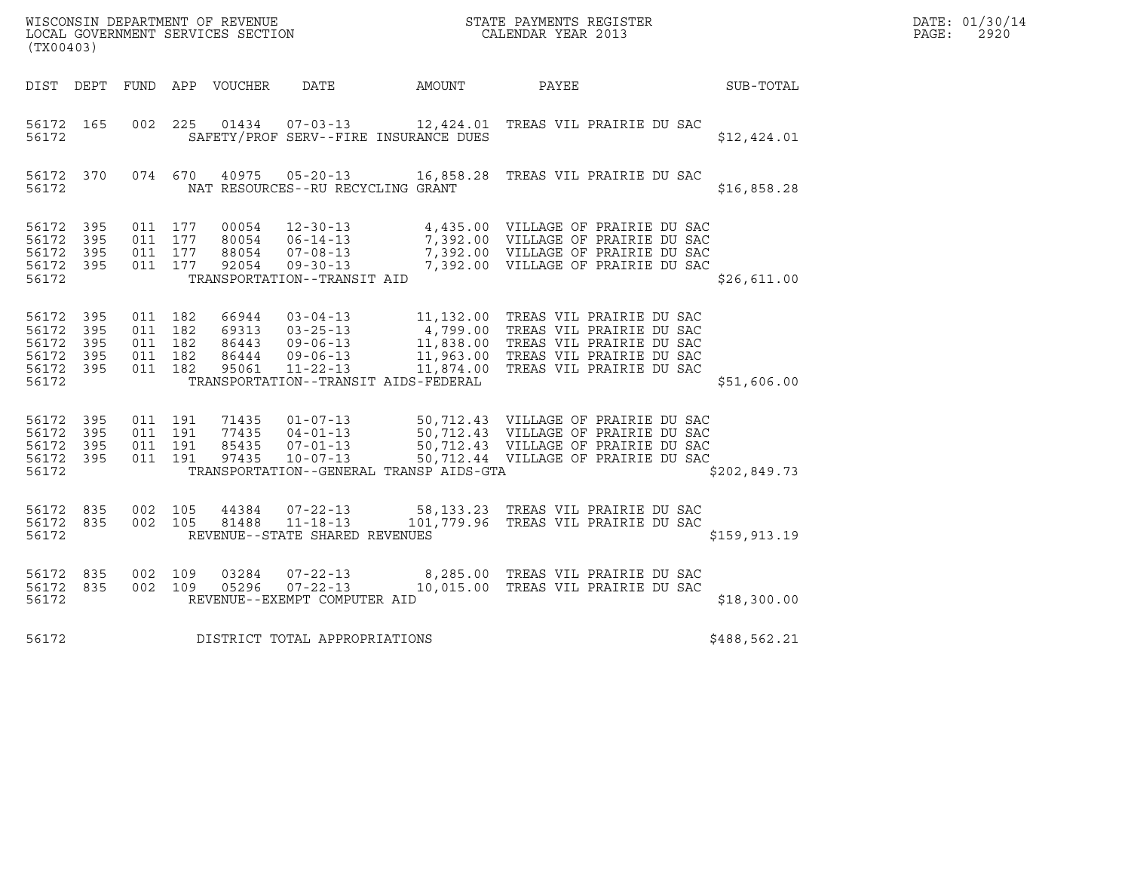| (TX00403)                                                  |                   |                                                     | WISCONSIN DEPARTMENT OF REVENUE<br>LOCAL GOVERNMENT SERVICES SECTION |                                                                    |                                         | STATE PAYMENTS REGISTER<br>CALENDAR YEAR 2013                                                                                                                                                                                                                      |               | DATE: 01/30/14<br>PAGE:<br>2920 |
|------------------------------------------------------------|-------------------|-----------------------------------------------------|----------------------------------------------------------------------|--------------------------------------------------------------------|-----------------------------------------|--------------------------------------------------------------------------------------------------------------------------------------------------------------------------------------------------------------------------------------------------------------------|---------------|---------------------------------|
| DIST DEPT                                                  |                   |                                                     | FUND APP VOUCHER                                                     | DATE                                                               | AMOUNT                                  | PAYEE                                                                                                                                                                                                                                                              | SUB-TOTAL     |                                 |
| 56172 165<br>56172                                         |                   | 002 225                                             |                                                                      | $01434$ $07-03-13$                                                 | SAFETY/PROF SERV--FIRE INSURANCE DUES   | 12,424.01 TREAS VIL PRAIRIE DU SAC                                                                                                                                                                                                                                 | \$12,424.01   |                                 |
| 56172 370<br>56172                                         |                   | 074 670                                             | 40975                                                                | $05 - 20 - 13$<br>NAT RESOURCES--RU RECYCLING GRANT                |                                         | 16,858.28 TREAS VIL PRAIRIE DU SAC                                                                                                                                                                                                                                 | \$16,858.28   |                                 |
| 56172 395<br>56172<br>56172<br>56172 395<br>56172          | 395<br>- 395      | 011 177<br>011 177<br>011 177<br>011 177            | 00054<br>80054<br>88054<br>92054                                     | TRANSPORTATION--TRANSIT AID                                        |                                         | 12-30-13 4,435.00 VILLAGE OF PRAIRIE DU SAC<br>06-14-13 7,392.00 VILLAGE OF PRAIRIE DU SAC<br>07-08-13 7,392.00 VILLAGE OF PRAIRIE DU SAC<br>09-30-13 7,392.00 VILLAGE OF PRAIRIE DU SAC                                                                           | \$26,611.00   |                                 |
| 56172 395<br>56172<br>56172<br>56172<br>56172 395<br>56172 | 395<br>395<br>395 | 011 182<br>011 182<br>011 182<br>011 182<br>011 182 | 66944<br>69313<br>86443<br>86444<br>95061                            | $09 - 06 - 13$<br>$11 - 22 - 13$                                   | TRANSPORTATION--TRANSIT AIDS-FEDERAL    | 03-04-13 11,132.00 TREAS VIL PRAIRIE DU SAC<br>03-25-13 4,799.00 TREAS VIL PRAIRIE DU SAC<br>09-06-13 11,838.00 TREAS VIL PRAIRIE DU SAC<br>09-06-13 11963.00 TREAS VIL PRAIRIE DU SAC<br>11,963.00 TREAS VIL PRAIRIE DU SAC<br>11,874.00 TREAS VIL PRAIRIE DU SAC | \$51,606.00   |                                 |
| 56172 395<br>56172<br>56172<br>56172 395<br>56172          | 395<br>395        | 011 191<br>011 191<br>011 191<br>011 191            | 71435<br>77435<br>85435<br>97435                                     | $10 - 07 - 13$                                                     | TRANSPORTATION--GENERAL TRANSP AIDS-GTA | 01-07-13 50,712.43 VILLAGE OF PRAIRIE DU SAC<br>04-01-13 50,712.43 VILLAGE OF PRAIRIE DU SAC<br>07-01-13 50,712.43 VILLAGE OF PRAIRIE DU SAC<br>50,712.44 VILLAGE OF PRAIRIE DU SAC                                                                                | \$202,849.73  |                                 |
| 56172 835<br>56172 835<br>56172                            |                   | 002 105<br>002 105                                  | 44384<br>81488                                                       | $07 - 22 - 13$<br>$11 - 18 - 13$<br>REVENUE--STATE SHARED REVENUES |                                         | 58,133.23 TREAS VIL PRAIRIE DU SAC<br>101,779.96 TREAS VIL PRAIRIE DU SAC                                                                                                                                                                                          | \$159, 913.19 |                                 |
| 56172 835<br>56172 835<br>56172                            |                   | 002 109<br>002 109                                  | 03284<br>05296                                                       | $07 - 22 - 13$<br>$07 - 22 - 13$<br>REVENUE--EXEMPT COMPUTER AID   |                                         | 8,285.00 TREAS VIL PRAIRIE DU SAC<br>10,015.00 TREAS VIL PRAIRIE DU SAC                                                                                                                                                                                            | \$18,300.00   |                                 |
| 56172                                                      |                   |                                                     |                                                                      | DISTRICT TOTAL APPROPRIATIONS                                      |                                         |                                                                                                                                                                                                                                                                    | \$488,562.21  |                                 |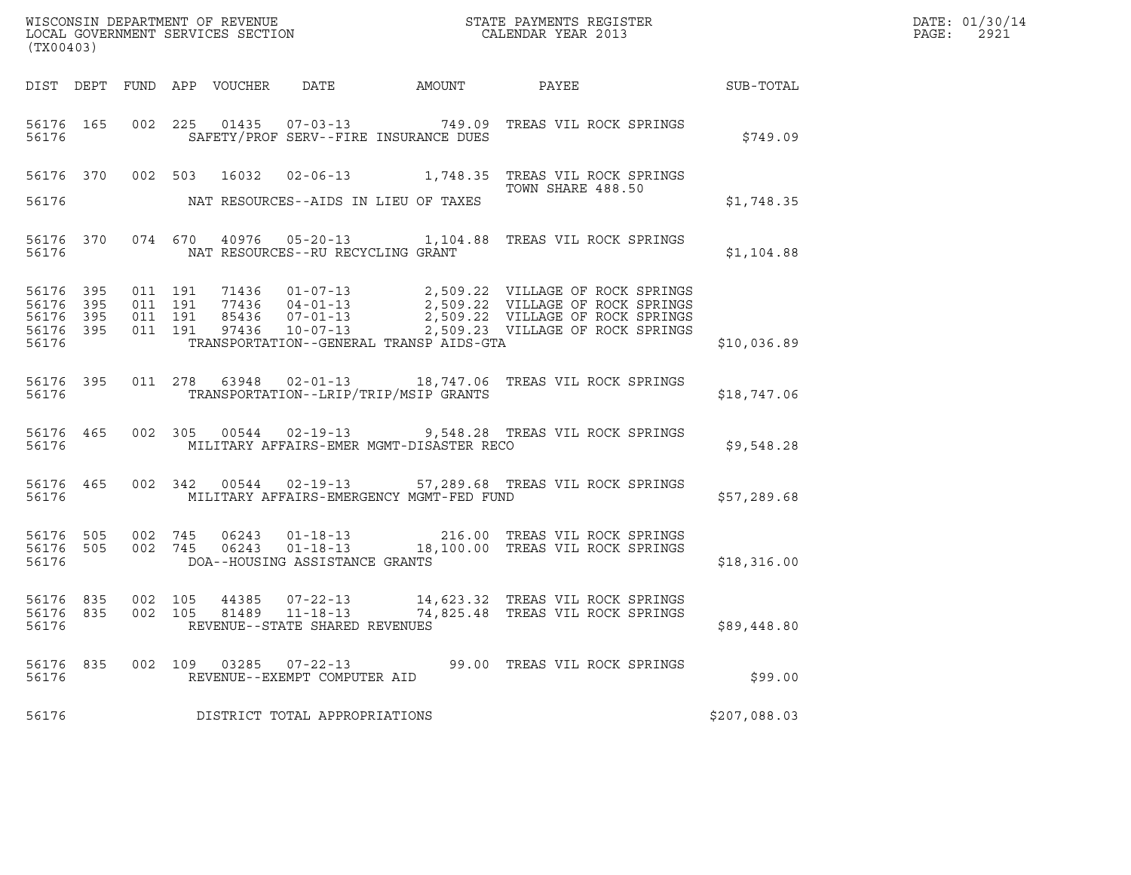| DATE: | 01/30/14 |
|-------|----------|
| PAGE: | 2921     |

| (TX00403)                           |           |                               |         |                                 |                                                  |                                          |                                                                                                                                                                                                          |              | DATE: 01/30/14<br>PAGE:<br>2921 |
|-------------------------------------|-----------|-------------------------------|---------|---------------------------------|--------------------------------------------------|------------------------------------------|----------------------------------------------------------------------------------------------------------------------------------------------------------------------------------------------------------|--------------|---------------------------------|
|                                     |           |                               |         | DIST DEPT FUND APP VOUCHER DATE |                                                  |                                          | AMOUNT PAYEE SUB-TOTAL                                                                                                                                                                                   |              |                                 |
| 56176                               |           |                               |         |                                 |                                                  | SAFETY/PROF SERV--FIRE INSURANCE DUES    | 56176 165 002 225 01435 07-03-13 749.09 TREAS VIL ROCK SPRINGS                                                                                                                                           | \$749.09     |                                 |
|                                     |           |                               |         |                                 |                                                  |                                          | 56176 370 002 503 16032 02-06-13 1,748.35 TREAS VIL ROCK SPRINGS<br>TOWN SHARE 488.50                                                                                                                    |              |                                 |
| 56176                               |           |                               |         |                                 |                                                  | NAT RESOURCES--AIDS IN LIEU OF TAXES     |                                                                                                                                                                                                          | \$1,748.35   |                                 |
| 56176                               |           |                               |         |                                 | NAT RESOURCES--RU RECYCLING GRANT                |                                          | 56176 370 074 670 40976 05-20-13 1,104.88 TREAS VIL ROCK SPRINGS                                                                                                                                         | \$1,104.88   |                                 |
| 56176 395<br>56176 395<br>56176 395 | 56176 395 | 011 191<br>011 191<br>011 191 | 011 191 |                                 |                                                  |                                          | 71436 01-07-13 2,509.22 VILLAGE OF ROCK SPRINGS<br>77436 04-01-13 2,509.22 VILLAGE OF ROCK SPRINGS<br>85436 07-01-13 2,509.22 VILLAGE OF ROCK SPRINGS<br>97436 10-07-13 2,509.23 VILLAGE OF ROCK SPRINGS |              |                                 |
| 56176                               |           |                               |         |                                 |                                                  | TRANSPORTATION--GENERAL TRANSP AIDS-GTA  |                                                                                                                                                                                                          | \$10,036.89  |                                 |
| 56176                               |           |                               |         |                                 |                                                  | TRANSPORTATION--LRIP/TRIP/MSIP GRANTS    | 56176 395 011 278 63948 02-01-13 18,747.06 TREAS VIL ROCK SPRINGS                                                                                                                                        | \$18,747.06  |                                 |
|                                     |           | 56176 300                     |         |                                 |                                                  | MILITARY AFFAIRS-EMER MGMT-DISASTER RECO | 56176 465 002 305 00544 02-19-13 9,548.28 TREAS VIL ROCK SPRINGS                                                                                                                                         | \$9,548.28   |                                 |
| 56176                               |           |                               |         |                                 |                                                  | MILITARY AFFAIRS-EMERGENCY MGMT-FED FUND | 56176 465 002 342 00544 02-19-13 57,289.68 TREAS VIL ROCK SPRINGS                                                                                                                                        | \$57,289.68  |                                 |
| 56176                               |           |                               |         |                                 | DOA--HOUSING ASSISTANCE GRANTS                   |                                          | 56176 505 002 745 06243 01-18-13 216.00 TREAS VIL ROCK SPRINGS<br>56176 505 002 745 06243 01-18-13 18,100.00 TREAS VIL ROCK SPRINGS                                                                      | \$18,316.00  |                                 |
| 56176 835<br>56176 835<br>56176     |           | 002 105<br>002 105            |         |                                 | 81489 11-18-13<br>REVENUE--STATE SHARED REVENUES |                                          | 44385  07-22-13  14,623.32  TREAS VIL ROCK SPRINGS<br>74,825.48   TREAS VIL ROCK SPRINGS                                                                                                                 | \$89,448.80  |                                 |
| 56176 835<br>56176                  |           |                               | 002 109 |                                 | 03285 07-22-13<br>REVENUE--EXEMPT COMPUTER AID   |                                          | 99.00 TREAS VIL ROCK SPRINGS                                                                                                                                                                             | \$99.00      |                                 |
| 56176                               |           |                               |         |                                 | DISTRICT TOTAL APPROPRIATIONS                    |                                          |                                                                                                                                                                                                          | \$207,088.03 |                                 |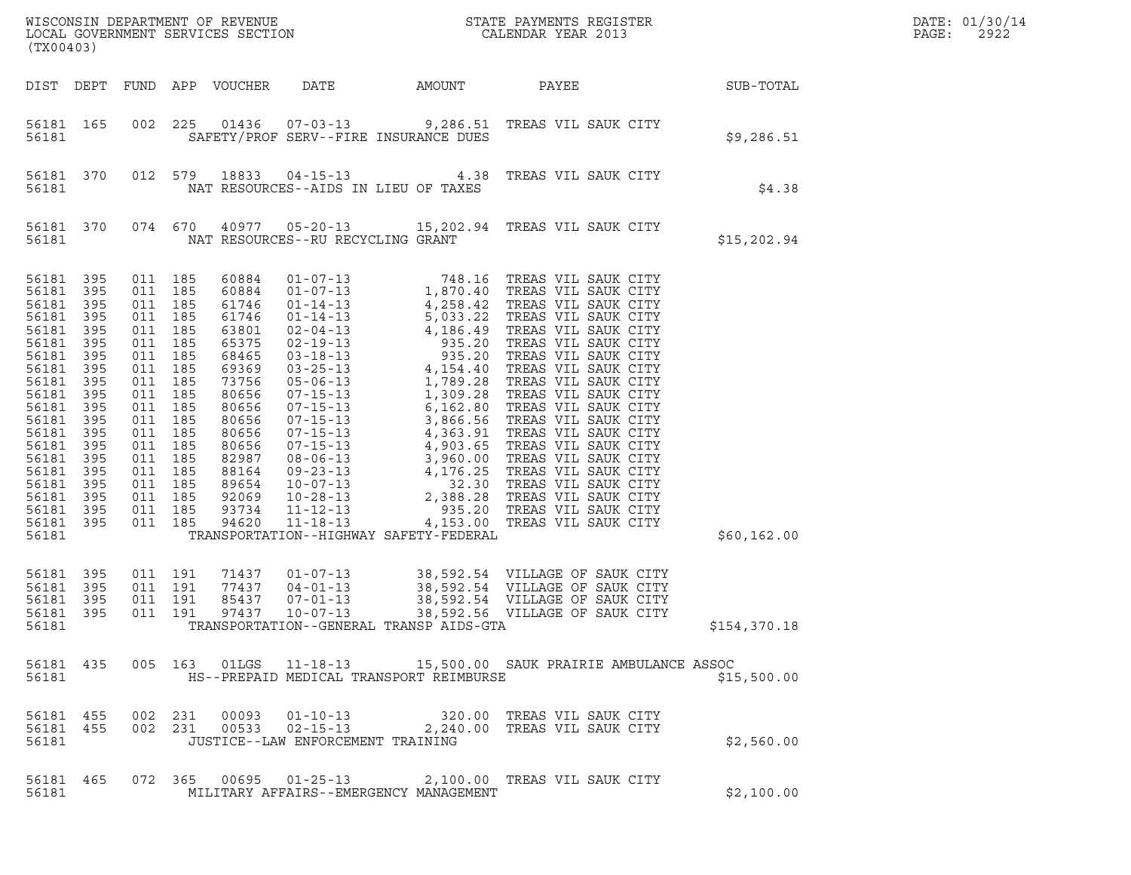| (TX00403)                                                                                                                                                                                                      |                                                                                                                            |                                                                                                                                                                                                                                     |                                                                                                                                                                                           |                                                    |                                         |                                                                                                                                      |                  | DATE: 01/30/14<br>PAGE:<br>2922 |
|----------------------------------------------------------------------------------------------------------------------------------------------------------------------------------------------------------------|----------------------------------------------------------------------------------------------------------------------------|-------------------------------------------------------------------------------------------------------------------------------------------------------------------------------------------------------------------------------------|-------------------------------------------------------------------------------------------------------------------------------------------------------------------------------------------|----------------------------------------------------|-----------------------------------------|--------------------------------------------------------------------------------------------------------------------------------------|------------------|---------------------------------|
|                                                                                                                                                                                                                |                                                                                                                            |                                                                                                                                                                                                                                     | DIST DEPT FUND APP VOUCHER                                                                                                                                                                | DATE                                               | AMOUNT                                  | PAYEE                                                                                                                                | <b>SUB-TOTAL</b> |                                 |
| 56181 165<br>56181                                                                                                                                                                                             |                                                                                                                            |                                                                                                                                                                                                                                     |                                                                                                                                                                                           |                                                    | SAFETY/PROF SERV--FIRE INSURANCE DUES   | 002 225 01436 07-03-13 9,286.51 TREAS VIL SAUK CITY                                                                                  | \$9,286.51       |                                 |
| 56181                                                                                                                                                                                                          | 56181 370                                                                                                                  |                                                                                                                                                                                                                                     |                                                                                                                                                                                           |                                                    | NAT RESOURCES--AIDS IN LIEU OF TAXES    | 012 579 18833 04-15-13 4.38 TREAS VIL SAUK CITY                                                                                      | \$4.38           |                                 |
| 56181                                                                                                                                                                                                          | 56181 370                                                                                                                  |                                                                                                                                                                                                                                     |                                                                                                                                                                                           | NAT RESOURCES--RU RECYCLING GRANT                  |                                         | 074 670 40977 05-20-13 15,202.94 TREAS VIL SAUK CITY                                                                                 | \$15,202.94      |                                 |
| 56181 395<br>56181<br>56181<br>56181<br>56181<br>56181<br>56181<br>56181<br>56181<br>56181<br>56181<br>56181<br>56181<br>56181<br>56181<br>56181<br>56181<br>56181<br>56181<br>56181 395<br>56181<br>56181 395 | 395<br>395<br>395<br>395<br>395<br>395<br>395<br>395<br>395<br>395<br>395<br>395<br>395<br>395<br>395<br>395<br>395<br>395 | 011 185<br>011 185<br>011 185<br>011 185<br>011 185<br>011 185<br>011 185<br>011 185<br>011 185<br>011 185<br>011 185<br>011 185<br>011 185<br>011 185<br>011 185<br>011 185<br>011 185<br>011 185<br>011 185<br>011 185<br>011 191 | 60884<br>60884<br>61746<br>61746<br>63801<br>65375<br>68465<br>69369<br>73756<br>80656<br>80656<br>80656<br>80656<br>80656<br>82987<br>88164<br>89654<br>92069<br>93734<br>94620<br>71437 | $01 - 07 - 13$                                     | TRANSPORTATION--HIGHWAY SAFETY-FEDERAL  |                                                                                                                                      | \$60,162.00      |                                 |
| 56181<br>56181<br>56181<br>56181                                                                                                                                                                               | 395<br>395<br>395                                                                                                          | 011 191<br>011 191<br>011 191                                                                                                                                                                                                       | 77437<br>85437<br>97437                                                                                                                                                                   | $04 - 01 - 13$<br>$07 - 01 - 13$<br>$10 - 07 - 13$ | TRANSPORTATION--GENERAL TRANSP AIDS-GTA | 38,592.54 VILLAGE OF SAUK CITY<br>38,592.54 VILLAGE OF SAUK CITY<br>38,592.54 VILLAGE OF SAUK CITY<br>38,592.56 VILLAGE OF SAUK CITY | \$154,370.18     |                                 |
| 56181                                                                                                                                                                                                          |                                                                                                                            |                                                                                                                                                                                                                                     |                                                                                                                                                                                           |                                                    | HS--PREPAID MEDICAL TRANSPORT REIMBURSE | 56181 435 005 163 01LGS 11-18-13 15,500.00 SAUK PRAIRIE AMBULANCE ASSOC                                                              | \$15,500.00      |                                 |
| 56181                                                                                                                                                                                                          | 56181 455 002 231<br>56181 455                                                                                             |                                                                                                                                                                                                                                     |                                                                                                                                                                                           | JUSTICE--LAW ENFORCEMENT TRAINING                  |                                         | 002 231 00093 01-10-13 320.00 TREAS VIL SAUK CITY<br>002 231 00533 02-15-13 2,240.00 TREAS VIL SAUK CITY                             | \$2,560.00       |                                 |
| 56181 465<br>56181                                                                                                                                                                                             |                                                                                                                            |                                                                                                                                                                                                                                     |                                                                                                                                                                                           |                                                    | MILITARY AFFAIRS--EMERGENCY MANAGEMENT  | 072  365  00695  01-25-13  2,100.00  TREAS  VIL SAUK CITY                                                                            | \$2,100.00       |                                 |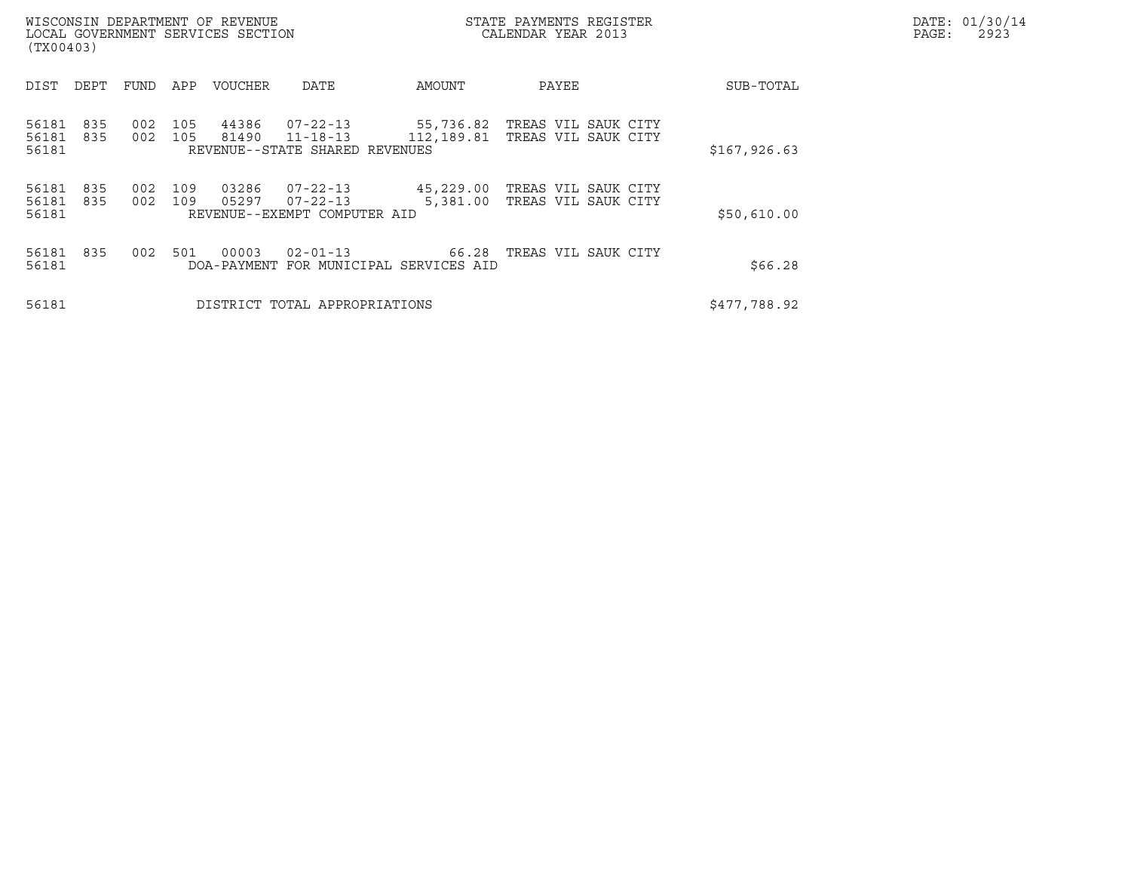| WISCONSIN DEPARTMENT OF REVENUE<br>LOCAL GOVERNMENT SERVICES SECTION<br>(TX00403) |            |            |                |                                                                    |                                                 | STATE PAYMENTS REGISTER<br>CALENDAR YEAR 2013 |               | DATE: 01/30/14<br>PAGE:<br>2923 |
|-----------------------------------------------------------------------------------|------------|------------|----------------|--------------------------------------------------------------------|-------------------------------------------------|-----------------------------------------------|---------------|---------------------------------|
| DIST<br>DEPT                                                                      | FUND       | APP        | VOUCHER        | DATE                                                               | AMOUNT                                          | PAYEE                                         | SUB-TOTAL     |                                 |
| 56181<br>835<br>56181<br>835<br>56181                                             | 002<br>002 | 105<br>105 | 44386<br>81490 | $07 - 22 - 13$<br>$11 - 18 - 13$<br>REVENUE--STATE SHARED REVENUES | 55,736.82<br>112,189.81                         | TREAS VIL SAUK CITY<br>TREAS VIL SAUK CITY    | \$167, 926.63 |                                 |
| 56181<br>835<br>56181<br>835<br>56181                                             | 002<br>002 | 109<br>109 | 03286<br>05297 | $07 - 22 - 13$<br>$07 - 22 - 13$<br>REVENUE--EXEMPT COMPUTER AID   | 45,229.00<br>5,381.00                           | TREAS VIL SAUK CITY<br>TREAS VIL SAUK CITY    | \$50,610.00   |                                 |
| 56181<br>835<br>56181                                                             | 002        | 501        | 00003          | $02 - 01 - 13$                                                     | 66.28<br>DOA-PAYMENT FOR MUNICIPAL SERVICES AID | TREAS VIL SAUK CITY                           | \$66.28       |                                 |
| 56181                                                                             |            |            |                | DISTRICT TOTAL APPROPRIATIONS                                      |                                                 |                                               | \$477,788.92  |                                 |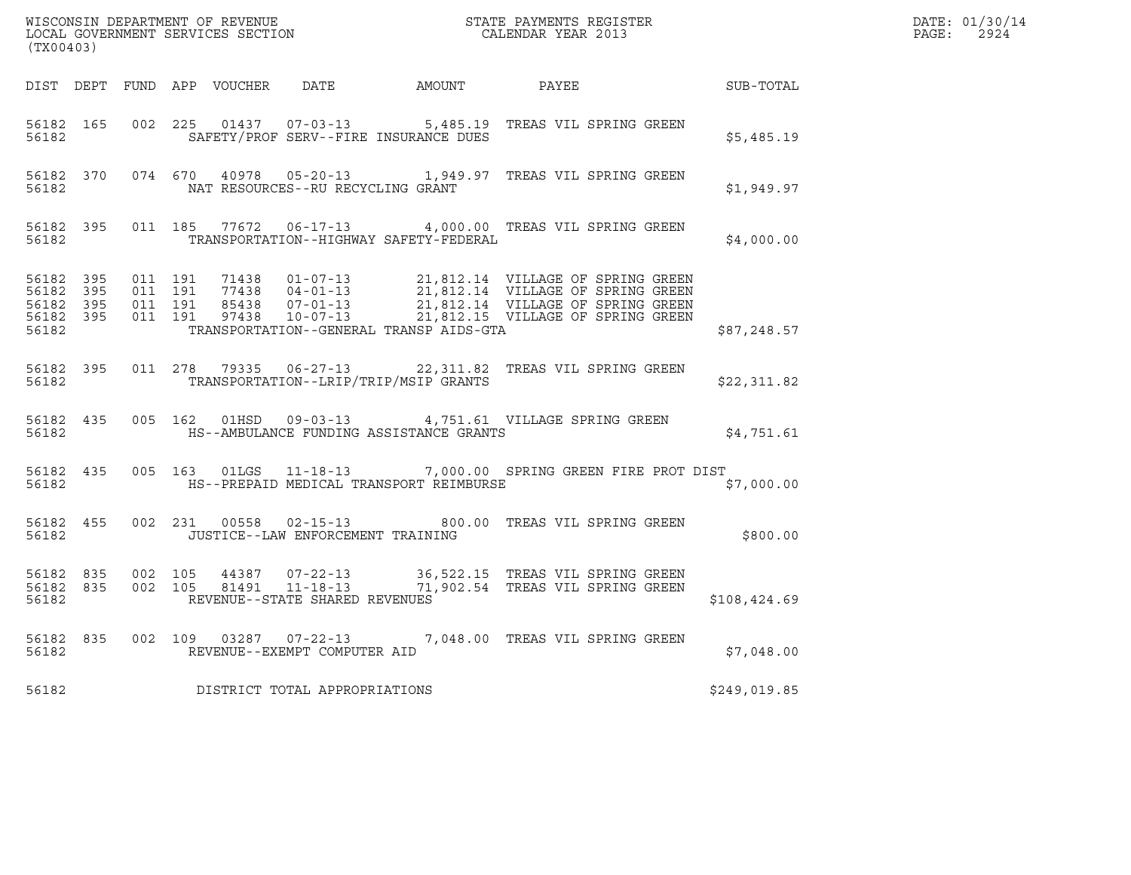| (TX00403) |            |  |                                         |                                                | ${\tt WISCONSIN} \begin{tabular}{l} DEPARTMENT OF REVIEW \\ LOCAL BONERNMENT SERVICES SECTION \\ \end{tabular}$                                                                                                                         |              | DATE: 01/30/14<br>PAGE: 2924 |
|-----------|------------|--|-----------------------------------------|------------------------------------------------|-----------------------------------------------------------------------------------------------------------------------------------------------------------------------------------------------------------------------------------------|--------------|------------------------------|
|           |            |  |                                         |                                                | DIST DEPT FUND APP VOUCHER DATE AMOUNT PAYEE PAYER SUB-TOTAL                                                                                                                                                                            |              |                              |
|           | 56182 2001 |  |                                         | SAFETY/PROF SERV--FIRE INSURANCE DUES          | 56182 165 002 225 01437 07-03-13 5,485.19 TREAS VIL SPRING GREEN                                                                                                                                                                        | \$5,485.19   |                              |
|           |            |  |                                         |                                                | 56182 370 074 670 40978 05-20-13 1,949.97 TREAS VIL SPRING GREEN                                                                                                                                                                        | \$1,949.97   |                              |
|           |            |  |                                         | 56182 TRANSPORTATION--HIGHWAY SAFETY-FEDERAL   | 56182 395 011 185 77672 06-17-13 4,000.00 TREAS VIL SPRING GREEN                                                                                                                                                                        | \$4,000.00   |                              |
|           |            |  |                                         | 56182 TRANSPORTATION--GENERAL TRANSP AIDS-GTA  | 56182 395 011 191 71438 01-07-13 21,812.14 VILLAGE OF SPRING GREEN<br>56182 395 011 191 77438 04-01-13 21,812.14 VILLAGE OF SPRING GREEN<br>56182 395 011 191 85438 07-01-13 21,812.14 VILLAGE OF SPRING GREEN<br>56182 395 011 191 974 | \$87,248.57  |                              |
|           |            |  |                                         | 56182 TRANSPORTATION--LRIP/TRIP/MSIP GRANTS    | 56182 395 011 278 79335 06-27-13 22,311.82 TREAS VIL SPRING GREEN                                                                                                                                                                       | \$22,311.82  |                              |
|           |            |  |                                         | 56182 THS--AMBULANCE FUNDING ASSISTANCE GRANTS | 56182 435 005 162 01HSD 09-03-13 4,751.61 VILLAGE SPRING GREEN                                                                                                                                                                          | \$4,751.61   |                              |
|           |            |  |                                         |                                                | 56182 435 005 163 01LGS 11-18-13 7,000.00 SPRING GREEN FIRE PROT DIST<br>56182 THS--PREPAID MEDICAL TRANSPORT REIMBURSE                                                                                                                 | \$7,000.00   |                              |
|           |            |  | 56182 JUSTICE--LAW ENFORCEMENT TRAINING |                                                | 56182 455 002 231 00558 02-15-13 800.00 TREAS VIL SPRING GREEN                                                                                                                                                                          | \$800.00     |                              |
| 56182     |            |  | REVENUE--STATE SHARED REVENUES          |                                                | 56182 835 002 105 44387 07-22-13 36,522.15 TREAS VIL SPRING GREEN<br>56182 835 002 105 81491 11-18-13 71,902.54 TREAS VIL SPRING GREEN                                                                                                  | \$108,424.69 |                              |
|           |            |  | 56182 REVENUE--EXEMPT COMPUTER AID      |                                                | 56182 835 002 109 03287 07-22-13 7,048.00 TREAS VIL SPRING GREEN                                                                                                                                                                        | \$7,048.00   |                              |
| 56182     |            |  | DISTRICT TOTAL APPROPRIATIONS           |                                                |                                                                                                                                                                                                                                         | \$249,019.85 |                              |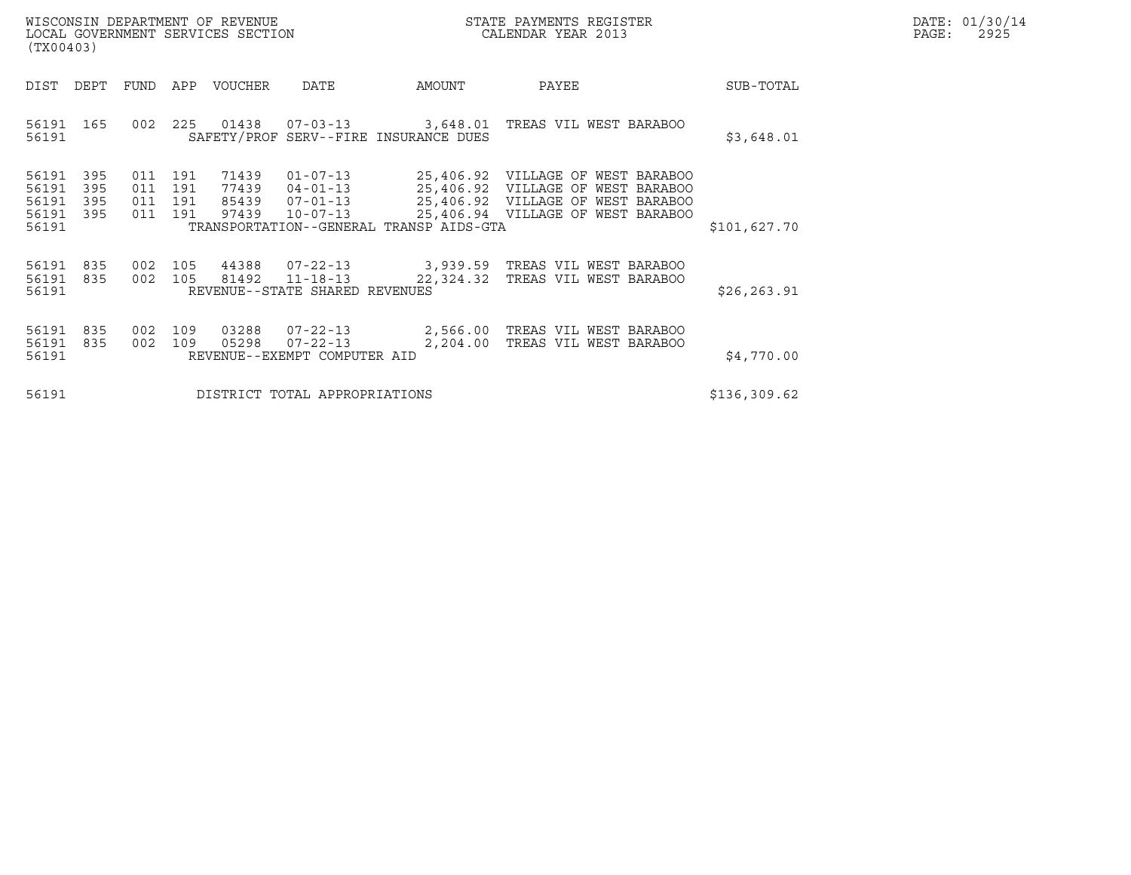| (TX00403)                                     |                   |            |                                  | WISCONSIN DEPARTMENT OF REVENUE<br>LOCAL GOVERNMENT SERVICES SECTION |                                                                  |                                         | STATE PAYMENTS REGISTER<br>CALENDAR YEAR 2013                                                               |              | DATE: 01/30/14<br>$\mathtt{PAGE}$ :<br>2925 |
|-----------------------------------------------|-------------------|------------|----------------------------------|----------------------------------------------------------------------|------------------------------------------------------------------|-----------------------------------------|-------------------------------------------------------------------------------------------------------------|--------------|---------------------------------------------|
| DIST                                          | DEPT              |            |                                  | FUND APP VOUCHER                                                     | DATE                                                             | AMOUNT                                  | PAYEE                                                                                                       | SUB-TOTAL    |                                             |
| 56191 165<br>56191                            |                   |            |                                  |                                                                      |                                                                  | SAFETY/PROF SERV--FIRE INSURANCE DUES   | 002 225 01438 07-03-13 3,648.01 TREAS VIL WEST BARABOO                                                      | \$3,648.01   |                                             |
| 56191<br>56191<br>56191<br>56191 395<br>56191 | 395<br>395<br>395 | 011<br>011 | 191<br>191<br>011 191<br>011 191 | 71439<br>77439<br>85439<br>97439                                     | $01 - 07 - 13$<br>$04 - 01 - 13$<br>$10 - 07 - 13$               | TRANSPORTATION--GENERAL TRANSP AIDS-GTA | 25,406.92 VILLAGE OF WEST BARABOO<br>25,406.92 VILLAGE OF WEST BARABOO<br>25,406.94 VILLAGE OF WEST BARABOO | \$101,627.70 |                                             |
| 56191 835<br>56191 835<br>56191               |                   | 002        | 002 105<br>105                   | 44388                                                                | 81492 11-18-13<br>REVENUE--STATE SHARED REVENUES                 | 22,324.32                               | TREAS VIL WEST BARABOO                                                                                      | \$26, 263.91 |                                             |
| 56191<br>56191<br>56191                       | 835<br>835        | 002<br>002 | 109<br>109                       | 03288<br>05298                                                       | $07 - 22 - 13$<br>$07 - 22 - 13$<br>REVENUE--EXEMPT COMPUTER AID | 2,204.00                                | 2,566.00 TREAS VIL WEST BARABOO<br>TREAS VIL WEST BARABOO                                                   | \$4,770.00   |                                             |
| 56191                                         |                   |            |                                  |                                                                      | DISTRICT TOTAL APPROPRIATIONS                                    | \$136,309.62                            |                                                                                                             |              |                                             |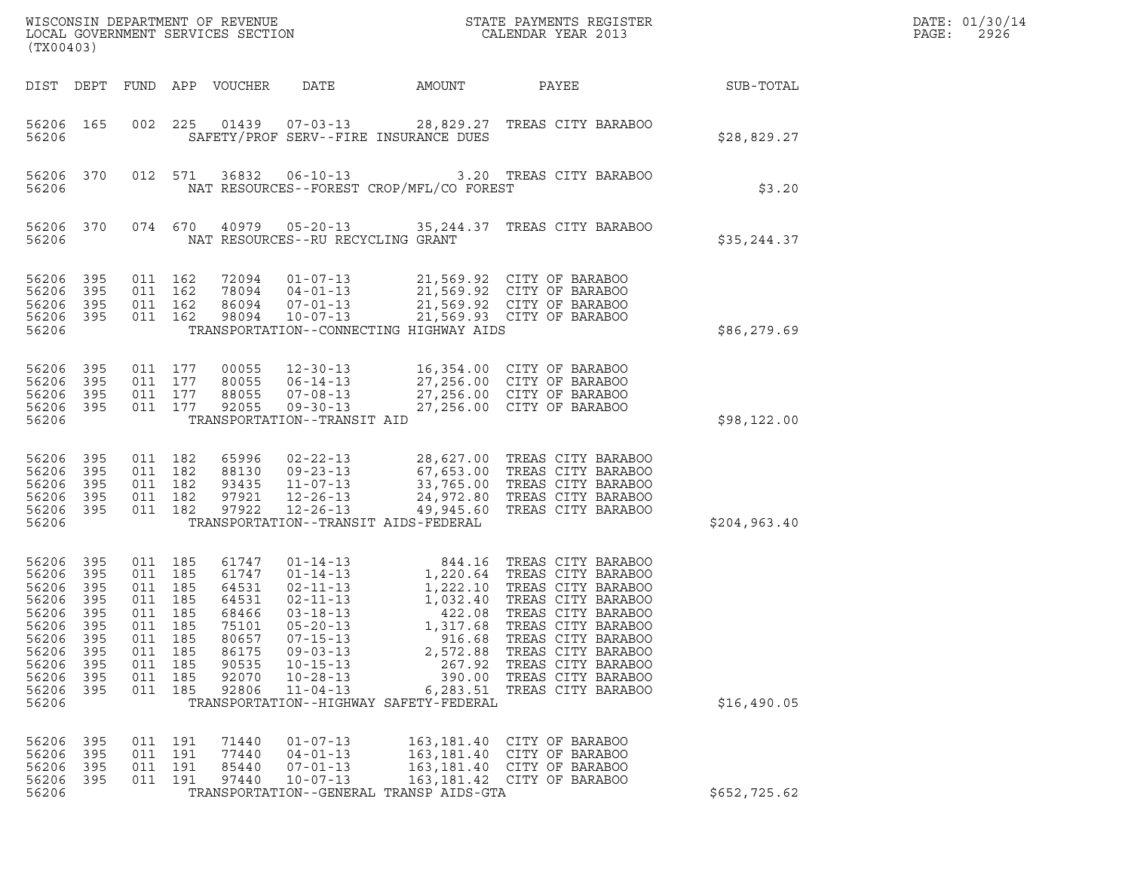| (TX00403)                                                                                                |                                                                             |                                                                                           |                                               |                                                                                                 |                                                                                                                                                                                              |                                                                                                                                | ${\tt WISCO} {\tt NISCONSIM DEPARTMENT OF REVENUE} {\tt DGCALENDAR YEAR 2013}$ LOCAL GOVERNMENT SERVICES SECTION ${\tt LOCALENDAR YEAR 2013}$                                                                                                                           |               | DATE: 01/30/14<br>PAGE:<br>2926 |
|----------------------------------------------------------------------------------------------------------|-----------------------------------------------------------------------------|-------------------------------------------------------------------------------------------|-----------------------------------------------|-------------------------------------------------------------------------------------------------|----------------------------------------------------------------------------------------------------------------------------------------------------------------------------------------------|--------------------------------------------------------------------------------------------------------------------------------|-------------------------------------------------------------------------------------------------------------------------------------------------------------------------------------------------------------------------------------------------------------------------|---------------|---------------------------------|
| DIST DEPT                                                                                                |                                                                             |                                                                                           |                                               | FUND APP VOUCHER                                                                                | DATE                                                                                                                                                                                         | AMOUNT                                                                                                                         | PAYEE                                                                                                                                                                                                                                                                   | SUB-TOTAL     |                                 |
| 56206 165<br>56206                                                                                       |                                                                             | 002                                                                                       | 225                                           |                                                                                                 | 01439  07-03-13                                                                                                                                                                              | SAFETY/PROF SERV--FIRE INSURANCE DUES                                                                                          | 28,829.27 TREAS CITY BARABOO                                                                                                                                                                                                                                            | \$28,829.27   |                                 |
| 56206 370<br>56206                                                                                       |                                                                             |                                                                                           | 012 571                                       | 36832                                                                                           | $06 - 10 - 13$                                                                                                                                                                               | NAT RESOURCES--FOREST CROP/MFL/CO FOREST                                                                                       | 3.20 TREAS CITY BARABOO                                                                                                                                                                                                                                                 | \$3.20        |                                 |
| 56206                                                                                                    | 56206 370                                                                   |                                                                                           | 074 670                                       | 40979                                                                                           | NAT RESOURCES--RU RECYCLING GRANT                                                                                                                                                            |                                                                                                                                | 05-20-13 35,244.37 TREAS CITY BARABOO                                                                                                                                                                                                                                   | \$35, 244.37  |                                 |
| 56206<br>56206<br>56206<br>56206<br>56206                                                                | 395<br>395<br>395<br>395                                                    | 011 162<br>011 162<br>011 162<br>011 162                                                  |                                               | 98094                                                                                           | 72094 01-07-13<br>78094 04-01-13<br>86094 07-01-13<br>$10 - 07 - 13$                                                                                                                         | TRANSPORTATION--CONNECTING HIGHWAY AIDS                                                                                        | 21,569.92 CITY OF BARABOO<br>21,569.92 CITY OF BARABOO<br>21,569.92 CITY OF BARABOO<br>21,569.93 CITY OF BARABOO                                                                                                                                                        | \$86,279.69   |                                 |
| 56206<br>56206<br>56206<br>56206 395<br>56206                                                            | 395<br>395<br>395                                                           | 011 177<br>011 177<br>011 177<br>011 177                                                  |                                               | 00055<br>80055<br>88055<br>92055                                                                | $12 - 30 - 13$<br>$06 - 14 - 13$<br>$07 - 08 - 13$<br>$09 - 30 - 13$<br>TRANSPORTATION--TRANSIT AID                                                                                          |                                                                                                                                | 16,354.00 CITY OF BARABOO<br>27,256.00 CITY OF BARABOO<br>27,256.00 CITY OF BARABOO<br>27,256.00 CITY OF BARABOO                                                                                                                                                        | \$98,122.00   |                                 |
| 56206<br>56206<br>56206<br>56206<br>56206 395<br>56206                                                   | 395<br>395<br>395<br>395                                                    | 011 182<br>011 182<br>011 182<br>011 182<br>011 182                                       |                                               | 65996<br>88130<br>93435<br>97921<br>97922                                                       | $02 - 22 - 13$<br>$09 - 23 - 13$<br>$11 - 07 - 13$<br>$12 - 26 - 13$<br>$12 - 26 - 13$                                                                                                       | TRANSPORTATION--TRANSIT AIDS-FEDERAL                                                                                           | 28,627.00 TREAS CITY BARABOO<br>67,653.00 TREAS CITY BARABOO<br>33,765.00 TREAS CITY BARABOO<br>24,972.80 TREAS CITY BARABOO<br>49,945.60 TREAS CITY BARABOO                                                                                                            | \$204, 963.40 |                                 |
| 56206<br>56206<br>56206<br>56206<br>56206<br>56206<br>56206<br>56206<br>56206<br>56206<br>56206<br>56206 | 395<br>395<br>395<br>395<br>- 395<br>395<br>395<br>395<br>395<br>395<br>395 | 011 185<br>011<br>011 185<br>011 185<br>011 185<br>011<br>011<br>011<br>011<br>011<br>011 | 185<br>185<br>185<br>185<br>185<br>185<br>185 | 61747<br>61747<br>64531<br>64531<br>68466<br>75101<br>80657<br>86175<br>90535<br>92070<br>92806 | $01 - 14 - 13$<br>$01 - 14 - 13$<br>02-11-13<br>$02 - 11 - 13$<br>$03 - 18 - 13$<br>$05 - 20 - 13$<br>$07 - 15 - 13$<br>$09 - 03 - 13$<br>$10 - 15 - 13$<br>$10 - 28 - 13$<br>$11 - 04 - 13$ | 1,032.40<br>422.08<br>1,317.68<br>916.68<br>2,572.88<br>267.92<br>390.00<br>6,283.51<br>TRANSPORTATION--HIGHWAY SAFETY-FEDERAL | 844.16 TREAS CITY BARABOO<br>1,220.64 TREAS CITY BARABOO<br>1,222.10 TREAS CITY BARABOO<br>TREAS CITY BARABOO<br>TREAS CITY BARABOO<br>TREAS CITY BARABOO<br>TREAS CITY BARABOO<br>TREAS CITY BARABOO<br>TREAS CITY BARABOO<br>TREAS CITY BARABOO<br>TREAS CITY BARABOO | \$16,490.05   |                                 |
| 56206<br>56206<br>56206<br>56206<br>56206                                                                | 395<br>395<br>395<br>395                                                    | 011 191<br>011<br>011<br>011 191                                                          | 191<br>191                                    | 71440<br>77440<br>85440<br>97440                                                                | $01 - 07 - 13$<br>$04 - 01 - 13$<br>$07 - 01 - 13$<br>$10 - 07 - 13$                                                                                                                         | 163,181.40<br>163,181.40<br>TRANSPORTATION--GENERAL TRANSP AIDS-GTA                                                            | CITY OF BARABOO<br>CITY OF BARABOO<br>163,181.40 CITY OF BARABOO<br>163,181.42 CITY OF BARABOO                                                                                                                                                                          | \$652,725.62  |                                 |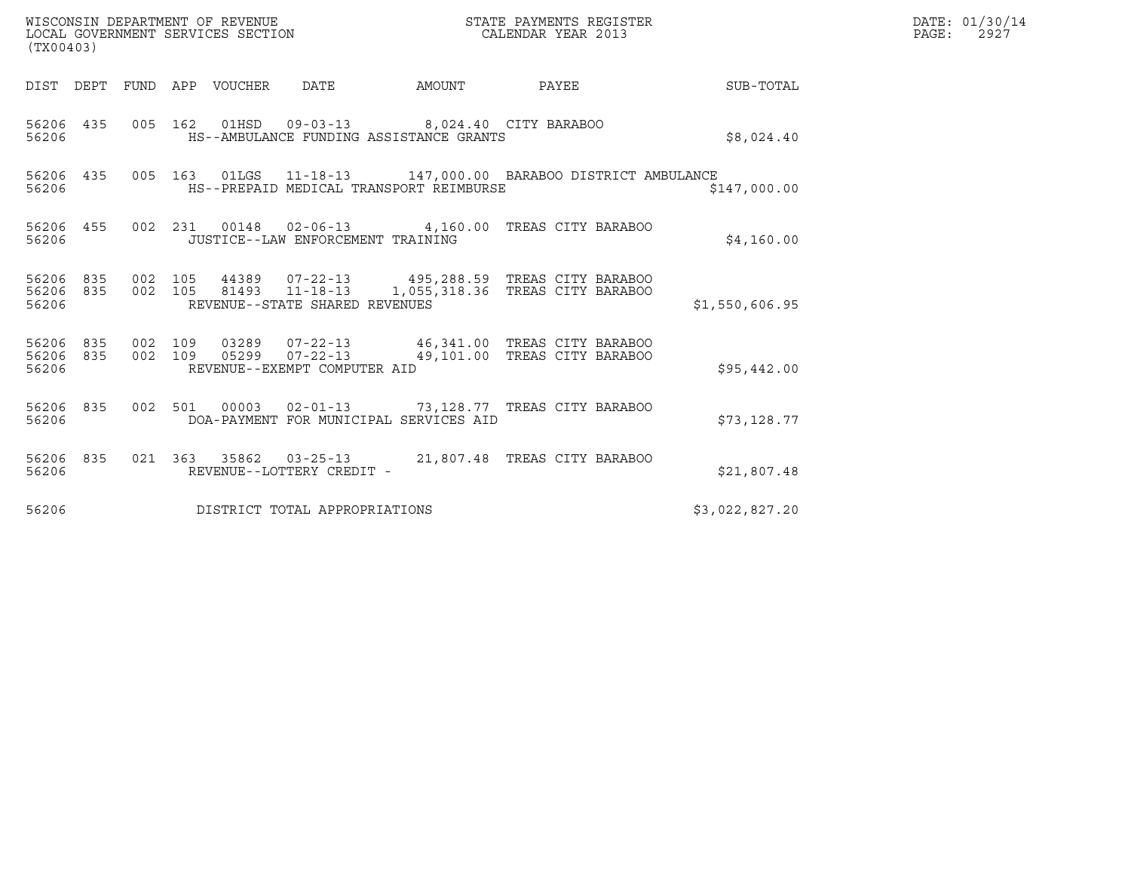| (TX00403)          |                  |                    | WISCONSIN DEPARTMENT OF REVENUE | WISCONSIN DEPARTMENT OF REVENUE<br>LOCAL GOVERNMENT SERVICES SECTION | STATE PAYMENTS REGISTER<br>CALENDAR YEAR 2013                                           |                                                                                                                                                                                                                          | DATE: 01/30/14<br>PAGE:<br>2927 |  |
|--------------------|------------------|--------------------|---------------------------------|----------------------------------------------------------------------|-----------------------------------------------------------------------------------------|--------------------------------------------------------------------------------------------------------------------------------------------------------------------------------------------------------------------------|---------------------------------|--|
|                    |                  |                    | DIST DEPT FUND APP VOUCHER      | DATE                                                                 |                                                                                         | AMOUNT PAYEE                                                                                                                                                                                                             | SUB-TOTAL                       |  |
| 56206 435<br>56206 |                  |                    |                                 |                                                                      | 005 162 01HSD 09-03-13 8,024.40 CITY BARABOO<br>HS--AMBULANCE FUNDING ASSISTANCE GRANTS |                                                                                                                                                                                                                          | \$8,024.40                      |  |
| 56206              | 56206 435        |                    |                                 |                                                                      | HS--PREPAID MEDICAL TRANSPORT REIMBURSE                                                 | 005 163 01LGS 11-18-13 147,000.00 BARABOO DISTRICT AMBULANCE                                                                                                                                                             | \$147,000.00                    |  |
| 56206              | 56206 455        |                    |                                 | JUSTICE--LAW ENFORCEMENT TRAINING                                    |                                                                                         | 002 231 00148 02-06-13 4,160.00 TREAS CITY BARABOO                                                                                                                                                                       | \$4,160.00                      |  |
| 56206              |                  |                    |                                 | REVENUE--STATE SHARED REVENUES                                       |                                                                                         | $\begin{array}{cccccccc} 56206 & 835 & 002 & 105 & 44389 & 07-22-13 & & 495,288.59 & \text{TREAS CITY BARABOO} & \\ 56206 & 835 & 002 & 105 & 81493 & 11-18-13 & 1,055,318.36 & \text{TREAS CITY BARABOO} & \end{array}$ | \$1,550,606.95                  |  |
| 56206<br>56206     | 56206 835<br>835 | 002 109<br>002 109 |                                 | REVENUE--EXEMPT COMPUTER AID                                         |                                                                                         | 03289  07-22-13  46,341.00  TREAS CITY BARABOO<br>05299  07-22-13  49,101.00  TREAS CITY BARABOO                                                                                                                         | \$95,442.00                     |  |
| 56206 835<br>56206 |                  |                    |                                 |                                                                      | DOA-PAYMENT FOR MUNICIPAL SERVICES AID                                                  | 002 501 00003 02-01-13 73,128.77 TREAS CITY BARABOO                                                                                                                                                                      | \$73,128.77                     |  |
| 56206              | 56206 835        |                    |                                 | REVENUE--LOTTERY CREDIT -                                            |                                                                                         | 021 363 35862 03-25-13 21,807.48 TREAS CITY BARABOO                                                                                                                                                                      | \$21,807.48                     |  |
| 56206              |                  |                    |                                 | DISTRICT TOTAL APPROPRIATIONS                                        |                                                                                         |                                                                                                                                                                                                                          | \$3,022,827.20                  |  |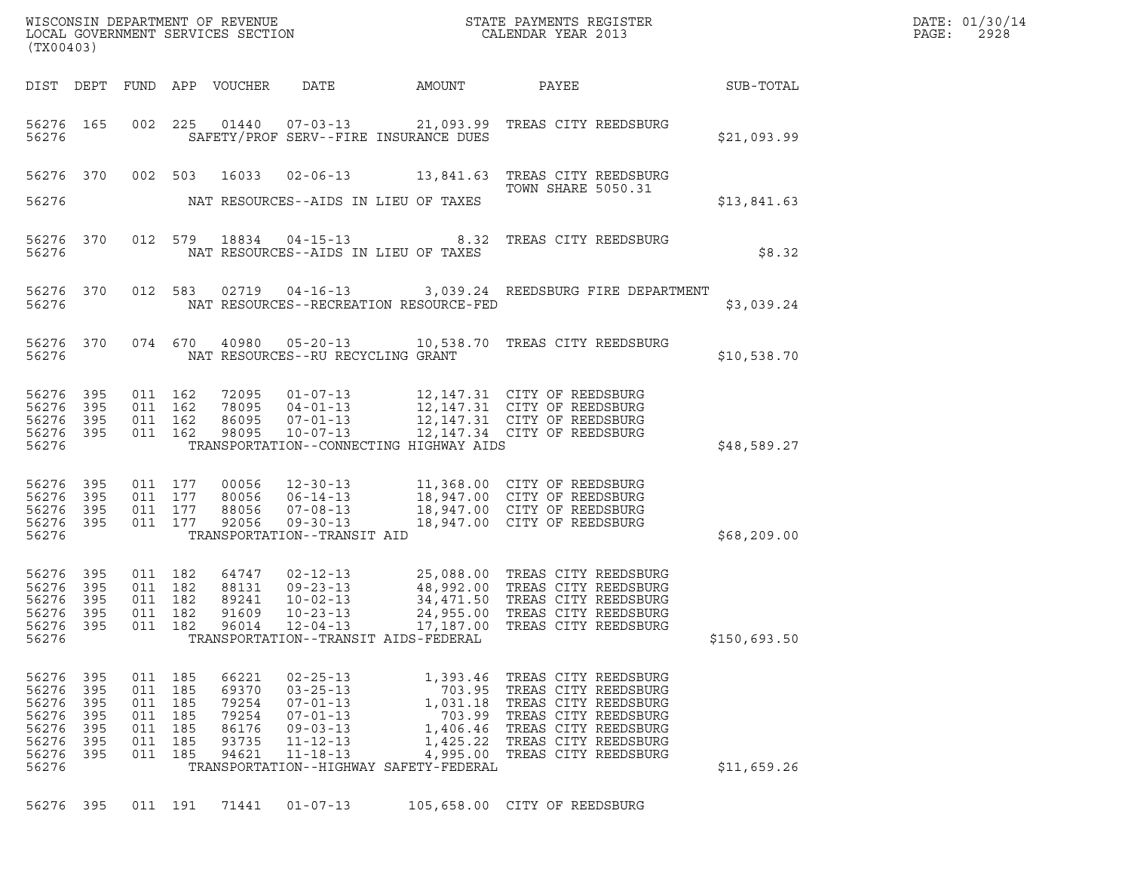| (TX00403)                                                                |                                              |                                                                           |                                                             |                                                                                                                            |                                         |                                                                                                                                                                                                                                              |              | DATE: 01/30/14<br>PAGE:<br>2928 |
|--------------------------------------------------------------------------|----------------------------------------------|---------------------------------------------------------------------------|-------------------------------------------------------------|----------------------------------------------------------------------------------------------------------------------------|-----------------------------------------|----------------------------------------------------------------------------------------------------------------------------------------------------------------------------------------------------------------------------------------------|--------------|---------------------------------|
|                                                                          |                                              |                                                                           |                                                             |                                                                                                                            |                                         |                                                                                                                                                                                                                                              |              |                                 |
|                                                                          | 56276                                        |                                                                           |                                                             |                                                                                                                            | SAFETY/PROF SERV--FIRE INSURANCE DUES   | 56276 165 002 225 01440 07-03-13 21,093.99 TREAS CITY REEDSBURG                                                                                                                                                                              | \$21,093.99  |                                 |
| 56276                                                                    |                                              |                                                                           |                                                             |                                                                                                                            | NAT RESOURCES--AIDS IN LIEU OF TAXES    | 56276 370 002 503 16033 02-06-13 13,841.63 TREAS CITY REEDSBURG<br><b>TOWN SHARE 5050.31</b>                                                                                                                                                 | \$13,841.63  |                                 |
| 56276                                                                    | 56276 370                                    |                                                                           |                                                             |                                                                                                                            | NAT RESOURCES--AIDS IN LIEU OF TAXES    | 012 579 18834 04-15-13 8.32 TREAS CITY REEDSBURG                                                                                                                                                                                             | \$8.32       |                                 |
|                                                                          | 56276 370                                    |                                                                           |                                                             |                                                                                                                            |                                         | 012 583 02719 04-16-13 3,039.24 REEDSBURG FIRE DEPARTMENT                                                                                                                                                                                    | \$3,039.24   |                                 |
|                                                                          | 56276 370                                    |                                                                           |                                                             | 56276                                   NAT RESOURCES--RU RECYCLING GRANT                                                  |                                         | 074 670 40980 05-20-13 10,538.70 TREAS CITY REEDSBURG                                                                                                                                                                                        | \$10,538.70  |                                 |
| 56276 395<br>56276 395<br>56276 395<br>56276 395<br>56276                |                                              | 011 162<br>011 162<br>011 162<br>011 162                                  | 72095<br>78095<br>86095<br>98095                            |                                                                                                                            | TRANSPORTATION--CONNECTING HIGHWAY AIDS | 01-07-13 12,147.31 CITY OF REEDSBURG<br>04-01-13 12,147.31 CITY OF REEDSBURG<br>07-01-13 12,147.31 CITY OF REEDSBURG<br>10-07-13 12,147.34 CITY OF REEDSBURG                                                                                 | \$48,589.27  |                                 |
| 56276 395<br>56276<br>56276 395<br>56276 395<br>56276                    | 395                                          | 011 177<br>011 177<br>011 177<br>011 177                                  |                                                             | TRANSPORTATION--TRANSIT AID                                                                                                |                                         | 00056 12-30-13 11,368.00 CITY OF REEDSBURG<br>80056 06-14-13 18,947.00 CITY OF REEDSBURG<br>88056 07-08-13 18,947.00 CITY OF REEDSBURG<br>92056 09-30-13 18,947.00 CITY OF REEDSBURG                                                         | \$68,209.00  |                                 |
| 56276 395<br>56276 395<br>56276<br>56276 395<br>56276<br>56276           | 395<br>395                                   | 011 182<br>011 182<br>011 182<br>011 182<br>011 182                       | 64747<br>88131<br>89241<br>91609<br>96014                   | $10 - 23 - 13$<br>12-04-13                                                                                                 | TRANSPORTATION--TRANSIT AIDS-FEDERAL    | 02-12-13 25,088.00 TREAS CITY REEDSBURG<br>09-23-13 48,992.00 TREAS CITY REEDSBURG<br>10-02-13 34,471.50 TREAS CITY REEDSBURG<br>10-23-13 24,955.00 TREAS CITY REEDSBURG<br>24,955.00 TREAS CITY REEDSBURG<br>17,187.00 TREAS CITY REEDSBURG | \$150,693.50 |                                 |
| 56276 395<br>56276<br>56276<br>56276<br>56276<br>56276<br>56276<br>56276 | 395<br>395<br>- 395<br>395<br>- 395<br>- 395 | 011 185<br>011 185<br>011 185<br>011 185<br>011 185<br>011 185<br>011 185 | 66221<br>69370<br>79254<br>79254<br>86176<br>93735<br>94621 | $02 - 25 - 13$<br>$03 - 25 - 13$<br>$07 - 01 - 13$<br>$07 - 01 - 13$<br>$09 - 03 - 13$<br>$11 - 12 - 13$<br>$11 - 18 - 13$ | TRANSPORTATION--HIGHWAY SAFETY-FEDERAL  | 1,393.46 TREAS CITY REEDSBURG<br>703.95 TREAS CITY REEDSBURG<br>1,031.18 TREAS CITY REEDSBURG<br>703.99 TREAS CITY REEDSBURG<br>1,406.46 TREAS CITY REEDSBURG<br>1,425.22 TREAS CITY REEDSBURG<br>4,995.00 TREAS CITY REEDSBURG              | \$11,659.26  |                                 |
|                                                                          | 56276 395                                    |                                                                           |                                                             | 011 191 71441 01-07-13                                                                                                     |                                         | 105,658.00 CITY OF REEDSBURG                                                                                                                                                                                                                 |              |                                 |